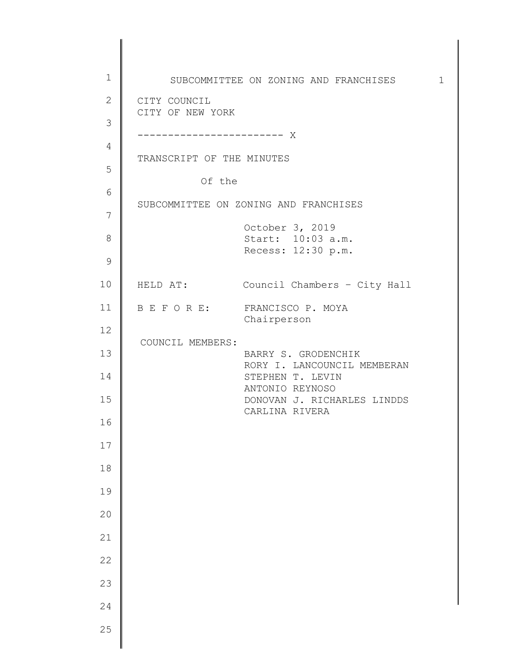1 2 3 4 5 6 7 8 9 10 11 12 13 14 15 16 17 18 19 20 21 22 23 24 25 SUBCOMMITTEE ON ZONING AND FRANCHISES 1 CITY COUNCIL CITY OF NEW YORK ------------------------ X TRANSCRIPT OF THE MINUTES Of the SUBCOMMITTEE ON ZONING AND FRANCHISES October 3, 2019 Start: 10:03 a.m. Recess: 12:30 p.m. HELD AT: Council Chambers – City Hall B E F O R E: FRANCISCO P. MOYA Chairperson COUNCIL MEMBERS: BARRY S. GRODENCHIK RORY I. LANCOUNCIL MEMBERAN STEPHEN T. LEVIN ANTONIO REYNOSO DONOVAN J. RICHARLES LINDDS CARLINA RIVERA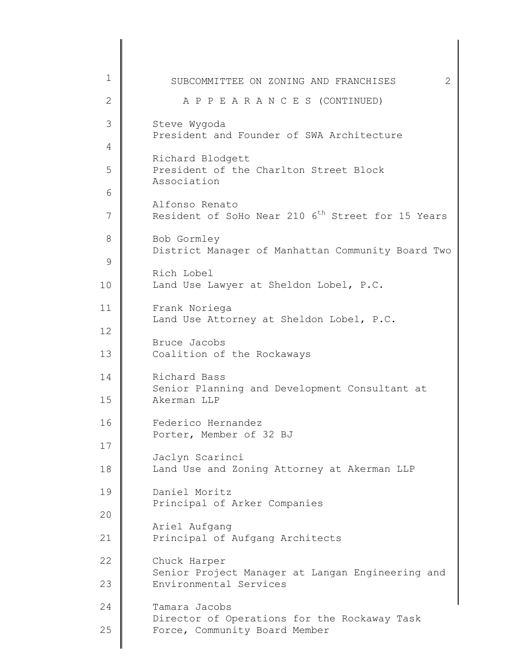| $\mathbf 1$  | 2<br>SUBCOMMITTEE ON ZONING AND FRANCHISES                                    |
|--------------|-------------------------------------------------------------------------------|
| $\mathbf{2}$ | A P P E A R A N C E S (CONTINUED)                                             |
| 3            | Steve Wygoda                                                                  |
| 4            | President and Founder of SWA Architecture                                     |
| 5            | Richard Blodgett<br>President of the Charlton Street Block<br>Association     |
| 6            | Alfonso Renato                                                                |
| 7            | Resident of SoHo Near 210 6 <sup>th</sup> Street for 15 Years                 |
| 8            | Bob Gormley<br>District Manager of Manhattan Community Board Two              |
| 9            | Rich Lobel                                                                    |
| 10           | Land Use Lawyer at Sheldon Lobel, P.C.                                        |
| 11           | Frank Noriega<br>Land Use Attorney at Sheldon Lobel, P.C.                     |
| 12           |                                                                               |
| 13           | Bruce Jacobs<br>Coalition of the Rockaways                                    |
| 14<br>15     | Richard Bass<br>Senior Planning and Development Consultant at<br>Akerman LLP  |
|              |                                                                               |
| 16           | Federico Hernandez<br>Porter, Member of 32 BJ                                 |
| 17           | Jaclyn Scarinci                                                               |
| 18           | Land Use and Zoning Attorney at Akerman LLP                                   |
| 19           | Daniel Moritz<br>Principal of Arker Companies                                 |
| 20           |                                                                               |
| 21           | Ariel Aufgang<br>Principal of Aufgang Architects                              |
| 22           | Chuck Harper<br>Senior Project Manager at Langan Engineering and              |
| 23           | Environmental Services                                                        |
| 24           | Tamara Jacobs                                                                 |
| 25           | Director of Operations for the Rockaway Task<br>Force, Community Board Member |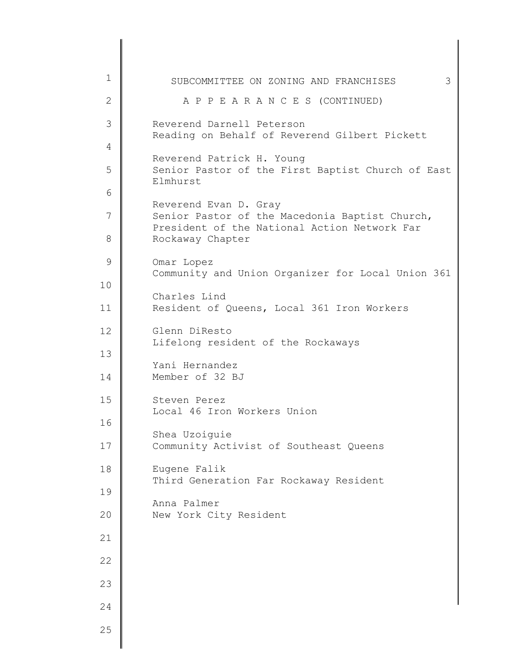| 1            | SUBCOMMITTEE ON ZONING AND FRANCHISES<br>3                                                     |
|--------------|------------------------------------------------------------------------------------------------|
| $\mathbf{2}$ | A P P E A R A N C E S (CONTINUED)                                                              |
| 3            | Reverend Darnell Peterson<br>Reading on Behalf of Reverend Gilbert Pickett                     |
| 4            | Reverend Patrick H. Young                                                                      |
| 5            | Senior Pastor of the First Baptist Church of East<br>Elmhurst                                  |
| 6            | Reverend Evan D. Gray                                                                          |
| 7            | Senior Pastor of the Macedonia Baptist Church,<br>President of the National Action Network Far |
| 8            | Rockaway Chapter                                                                               |
| 9            | Omar Lopez<br>Community and Union Organizer for Local Union 361                                |
| 10           | Charles Lind                                                                                   |
| 11           | Resident of Queens, Local 361 Iron Workers                                                     |
| 12           | Glenn DiResto<br>Lifelong resident of the Rockaways                                            |
| 13           | Yani Hernandez                                                                                 |
| 14           | Member of 32 BJ                                                                                |
| 15           | Steven Perez<br>Local 46 Iron Workers Union                                                    |
| 16           | Shea Uzoiquie                                                                                  |
| 17           | Community Activist of Southeast Queens                                                         |
| 18           | Eugene Falik<br>Third Generation Far Rockaway Resident                                         |
| 19           | Anna Palmer                                                                                    |
| 20           | New York City Resident                                                                         |
| 21           |                                                                                                |
| 22           |                                                                                                |
| 23           |                                                                                                |
| 24           |                                                                                                |
| 25           |                                                                                                |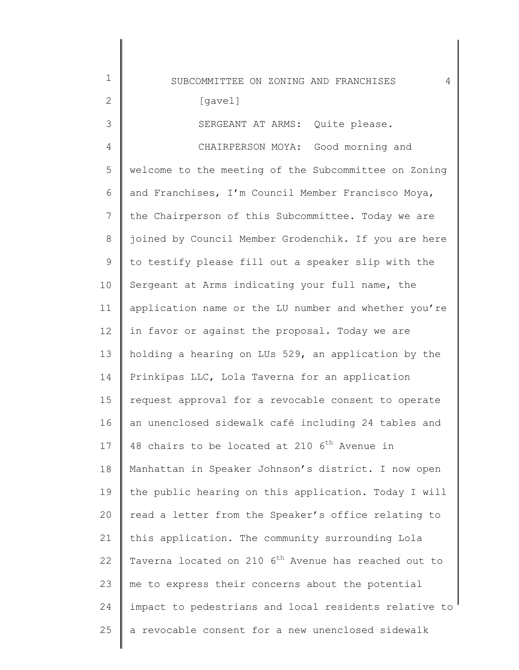1 2 3 4 5 6 7 8 9 10 11 12 13 14 15 16 17 18 19 20 21 22 23 24 25 SUBCOMMITTEE ON ZONING AND FRANCHISES 4 [gavel] SERGEANT AT ARMS: Quite please. CHAIRPERSON MOYA: Good morning and welcome to the meeting of the Subcommittee on Zoning and Franchises, I'm Council Member Francisco Moya, the Chairperson of this Subcommittee. Today we are joined by Council Member Grodenchik. If you are here to testify please fill out a speaker slip with the Sergeant at Arms indicating your full name, the application name or the LU number and whether you're in favor or against the proposal. Today we are holding a hearing on LUs 529, an application by the Prinkipas LLC, Lola Taverna for an application request approval for a revocable consent to operate an unenclosed sidewalk café including 24 tables and 48 chairs to be located at 210  $6<sup>th</sup>$  Avenue in Manhattan in Speaker Johnson's district. I now open the public hearing on this application. Today I will read a letter from the Speaker's office relating to this application. The community surrounding Lola Taverna located on 210  $6<sup>th</sup>$  Avenue has reached out to me to express their concerns about the potential impact to pedestrians and local residents relative to a revocable consent for a new unenclosed sidewalk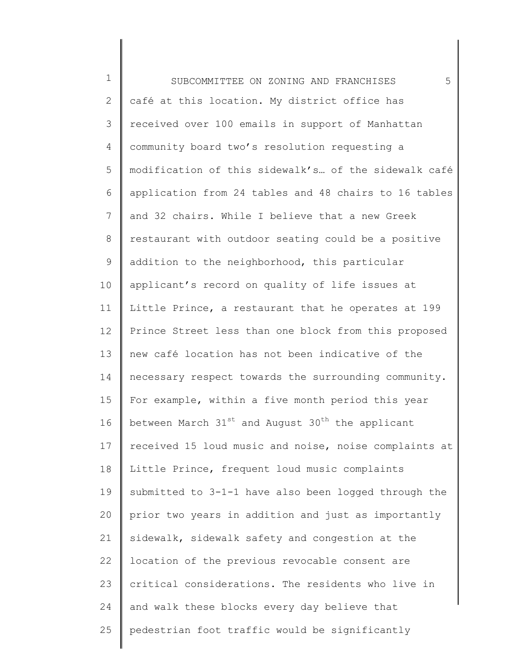1 2 3 4 5 6 7 8 9 10 11 12 13 14 15 16 17 18 19 20 21 22 23 24 25 SUBCOMMITTEE ON ZONING AND FRANCHISES 5 café at this location. My district office has received over 100 emails in support of Manhattan community board two's resolution requesting a modification of this sidewalk's… of the sidewalk café application from 24 tables and 48 chairs to 16 tables and 32 chairs. While I believe that a new Greek restaurant with outdoor seating could be a positive addition to the neighborhood, this particular applicant's record on quality of life issues at Little Prince, a restaurant that he operates at 199 Prince Street less than one block from this proposed new café location has not been indicative of the necessary respect towards the surrounding community. For example, within a five month period this year between March  $31^{st}$  and August  $30^{th}$  the applicant received 15 loud music and noise, noise complaints at Little Prince, frequent loud music complaints submitted to 3-1-1 have also been logged through the prior two years in addition and just as importantly sidewalk, sidewalk safety and congestion at the location of the previous revocable consent are critical considerations. The residents who live in and walk these blocks every day believe that pedestrian foot traffic would be significantly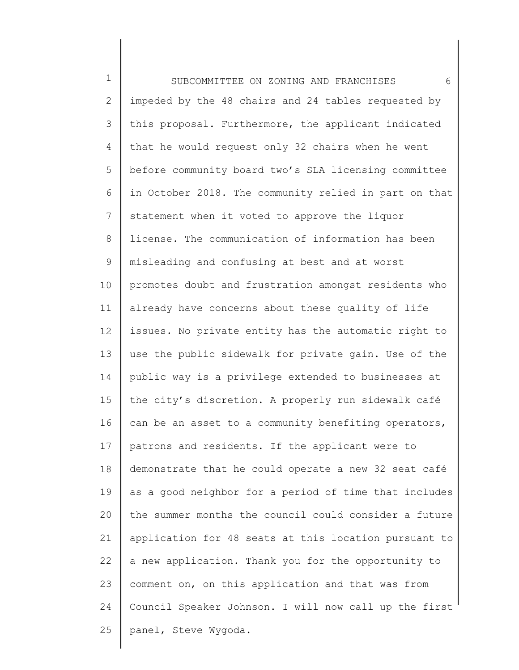1 2 3 4 5 6 7 8 9 10 11 12 13 14 15 16 17 18 19 20 21 22 23 24 25 SUBCOMMITTEE ON ZONING AND FRANCHISES 6 impeded by the 48 chairs and 24 tables requested by this proposal. Furthermore, the applicant indicated that he would request only 32 chairs when he went before community board two's SLA licensing committee in October 2018. The community relied in part on that statement when it voted to approve the liquor license. The communication of information has been misleading and confusing at best and at worst promotes doubt and frustration amongst residents who already have concerns about these quality of life issues. No private entity has the automatic right to use the public sidewalk for private gain. Use of the public way is a privilege extended to businesses at the city's discretion. A properly run sidewalk café can be an asset to a community benefiting operators, patrons and residents. If the applicant were to demonstrate that he could operate a new 32 seat café as a good neighbor for a period of time that includes the summer months the council could consider a future application for 48 seats at this location pursuant to a new application. Thank you for the opportunity to comment on, on this application and that was from Council Speaker Johnson. I will now call up the first panel, Steve Wygoda.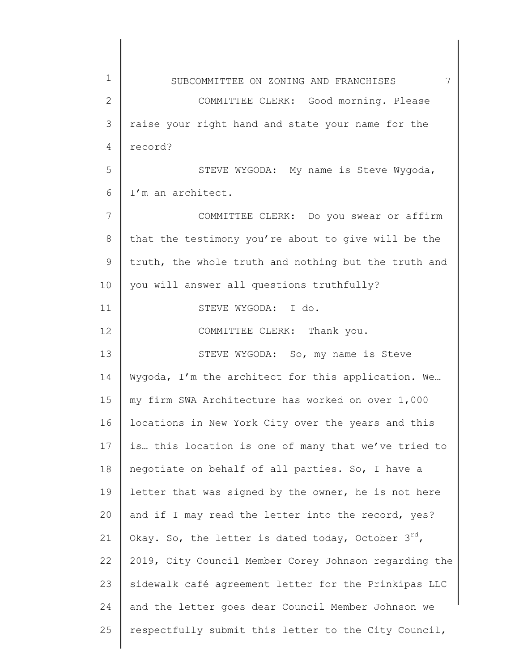1 2 3 4 5 6 7 8 9 10 11 12 13 14 15 16 17 18 19 20 21 22 23 24 25 SUBCOMMITTEE ON ZONING AND FRANCHISES 7 COMMITTEE CLERK: Good morning. Please raise your right hand and state your name for the record? STEVE WYGODA: My name is Steve Wygoda, I'm an architect. COMMITTEE CLERK: Do you swear or affirm that the testimony you're about to give will be the truth, the whole truth and nothing but the truth and you will answer all questions truthfully? STEVE WYGODA: I do. COMMITTEE CLERK: Thank you. STEVE WYGODA: So, my name is Steve Wygoda, I'm the architect for this application. We… my firm SWA Architecture has worked on over 1,000 locations in New York City over the years and this is… this location is one of many that we've tried to negotiate on behalf of all parties. So, I have a letter that was signed by the owner, he is not here and if I may read the letter into the record, yes? Okay. So, the letter is dated today, October  $3^{rd}$ , 2019, City Council Member Corey Johnson regarding the sidewalk café agreement letter for the Prinkipas LLC and the letter goes dear Council Member Johnson we respectfully submit this letter to the City Council,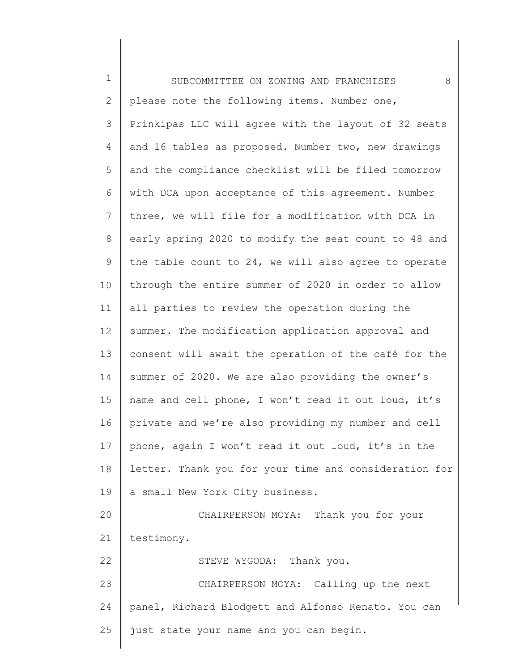1 2 3 4 5 6 7 8 9 10 11 12 13 14 15 16 17 18 19 20 21 22 23 24 25 SUBCOMMITTEE ON ZONING AND FRANCHISES 8 please note the following items. Number one, Prinkipas LLC will agree with the layout of 32 seats and 16 tables as proposed. Number two, new drawings and the compliance checklist will be filed tomorrow with DCA upon acceptance of this agreement. Number three, we will file for a modification with DCA in early spring 2020 to modify the seat count to 48 and the table count to 24, we will also agree to operate through the entire summer of 2020 in order to allow all parties to review the operation during the summer. The modification application approval and consent will await the operation of the café for the summer of 2020. We are also providing the owner's name and cell phone, I won't read it out loud, it's private and we're also providing my number and cell phone, again I won't read it out loud, it's in the letter. Thank you for your time and consideration for a small New York City business. CHAIRPERSON MOYA: Thank you for your testimony. STEVE WYGODA: Thank you. CHAIRPERSON MOYA: Calling up the next panel, Richard Blodgett and Alfonso Renato. You can just state your name and you can begin.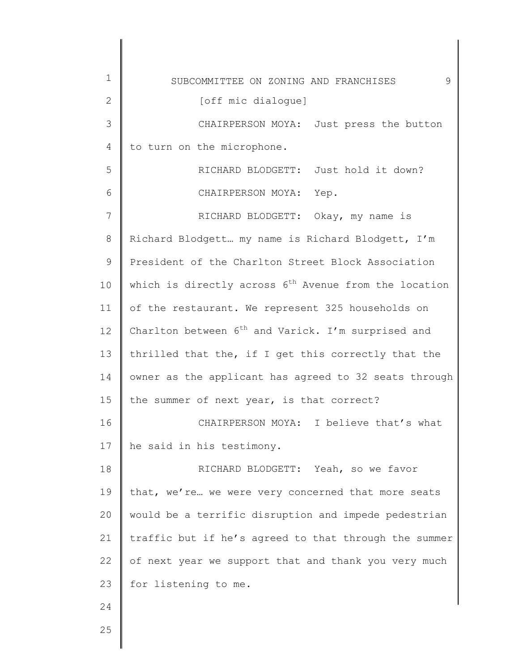| $\mathbf 1$     | SUBCOMMITTEE ON ZONING AND FRANCHISES<br>9                     |
|-----------------|----------------------------------------------------------------|
| $\mathbf{2}$    | [off mic dialogue]                                             |
| 3               | CHAIRPERSON MOYA: Just press the button                        |
| 4               | to turn on the microphone.                                     |
| 5               | RICHARD BLODGETT: Just hold it down?                           |
| 6               | CHAIRPERSON MOYA: Yep.                                         |
| 7               | RICHARD BLODGETT: Okay, my name is                             |
| $8\,$           | Richard Blodgett my name is Richard Blodgett, I'm              |
| $\mathsf 9$     | President of the Charlton Street Block Association             |
| 10              | which is directly across $6^{th}$ Avenue from the location     |
| 11              | of the restaurant. We represent 325 households on              |
| 12 <sup>°</sup> | Charlton between 6 <sup>th</sup> and Varick. I'm surprised and |
| 13              | thrilled that the, if I get this correctly that the            |
| 14              | owner as the applicant has agreed to 32 seats through          |
| 15              | the summer of next year, is that correct?                      |
| 16              | CHAIRPERSON MOYA: I believe that's what                        |
| 17              | he said in his testimony.                                      |
| 18              | RICHARD BLODGETT: Yeah, so we favor                            |
| 19              | that, we're we were very concerned that more seats             |
| 20              | would be a terrific disruption and impede pedestrian           |
| 21              | traffic but if he's agreed to that through the summer          |
| 22              | of next year we support that and thank you very much           |
| 23              | for listening to me.                                           |
| 24              |                                                                |
| 25              |                                                                |
|                 |                                                                |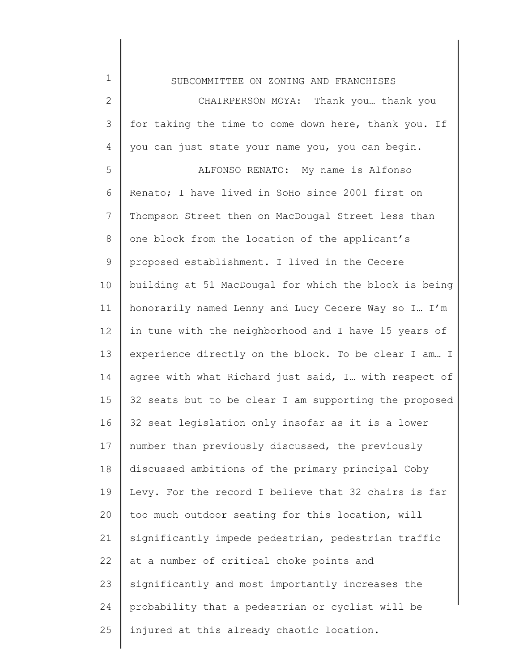| $\mathbf 1$    | SUBCOMMITTEE ON ZONING AND FRANCHISES                 |
|----------------|-------------------------------------------------------|
| $\mathbf{2}$   | CHAIRPERSON MOYA: Thank you thank you                 |
| 3              | for taking the time to come down here, thank you. If  |
| 4              | you can just state your name you, you can begin.      |
| 5              | ALFONSO RENATO: My name is Alfonso                    |
| 6              | Renato; I have lived in SoHo since 2001 first on      |
| $\overline{7}$ | Thompson Street then on MacDougal Street less than    |
| $8\,$          | one block from the location of the applicant's        |
| $\mathsf 9$    | proposed establishment. I lived in the Cecere         |
| 10             | building at 51 MacDougal for which the block is being |
| 11             | honorarily named Lenny and Lucy Cecere Way so I I'm   |
| 12             | in tune with the neighborhood and I have 15 years of  |
| 13             | experience directly on the block. To be clear I am I  |
| 14             | agree with what Richard just said, I. with respect of |
| 15             | 32 seats but to be clear I am supporting the proposed |
| 16             | 32 seat legislation only insofar as it is a lower     |
| 17             | number than previously discussed, the previously      |
| 18             | discussed ambitions of the primary principal Coby     |
| 19             | Levy. For the record I believe that 32 chairs is far  |
| 20             | too much outdoor seating for this location, will      |
| 21             | significantly impede pedestrian, pedestrian traffic   |
| 22             | at a number of critical choke points and              |
| 23             | significantly and most importantly increases the      |
| 24             | probability that a pedestrian or cyclist will be      |
| 25             | injured at this already chaotic location.             |
|                |                                                       |

║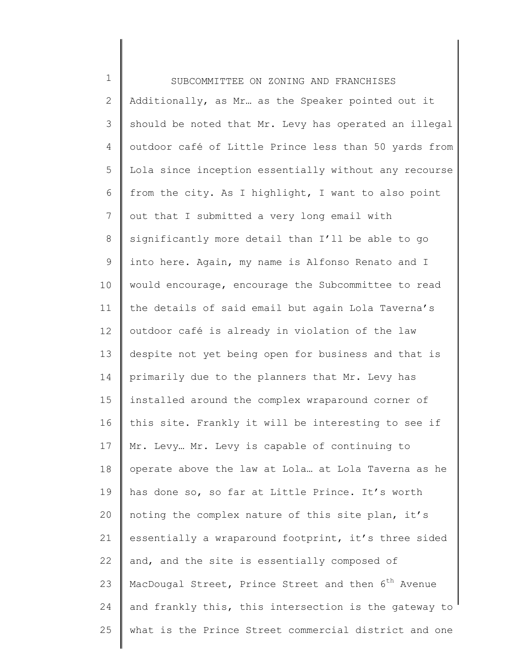1 2 3 4 5 6 7 8 9 10 11 12 13 14 15 16 17 18 19 20 21 22 23 24 25 SUBCOMMITTEE ON ZONING AND FRANCHISES Additionally, as Mr... as the Speaker pointed out it should be noted that Mr. Levy has operated an illegal outdoor café of Little Prince less than 50 yards from Lola since inception essentially without any recourse from the city. As I highlight, I want to also point out that I submitted a very long email with significantly more detail than I'll be able to go into here. Again, my name is Alfonso Renato and I would encourage, encourage the Subcommittee to read the details of said email but again Lola Taverna's outdoor café is already in violation of the law despite not yet being open for business and that is primarily due to the planners that Mr. Levy has installed around the complex wraparound corner of this site. Frankly it will be interesting to see if Mr. Levy… Mr. Levy is capable of continuing to operate above the law at Lola… at Lola Taverna as he has done so, so far at Little Prince. It's worth noting the complex nature of this site plan, it's essentially a wraparound footprint, it's three sided and, and the site is essentially composed of MacDougal Street, Prince Street and then 6<sup>th</sup> Avenue and frankly this, this intersection is the gateway to what is the Prince Street commercial district and one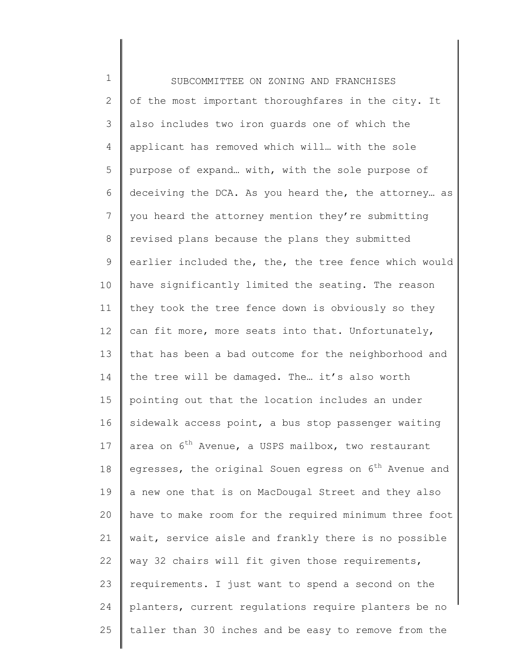1 2 3 4 5 6 7 8 9 10 11 12 13 14 15 16 17 18 19 20 21 22 23 24 25 SUBCOMMITTEE ON ZONING AND FRANCHISES of the most important thoroughfares in the city. It also includes two iron guards one of which the applicant has removed which will… with the sole purpose of expand… with, with the sole purpose of deceiving the DCA. As you heard the, the attorney… as you heard the attorney mention they're submitting revised plans because the plans they submitted earlier included the, the, the tree fence which would have significantly limited the seating. The reason they took the tree fence down is obviously so they can fit more, more seats into that. Unfortunately, that has been a bad outcome for the neighborhood and the tree will be damaged. The… it's also worth pointing out that the location includes an under sidewalk access point, a bus stop passenger waiting area on 6<sup>th</sup> Avenue, a USPS mailbox, two restaurant egresses, the original Souen egress on  $6<sup>th</sup>$  Avenue and a new one that is on MacDougal Street and they also have to make room for the required minimum three foot wait, service aisle and frankly there is no possible way 32 chairs will fit given those requirements, requirements. I just want to spend a second on the planters, current regulations require planters be no taller than 30 inches and be easy to remove from the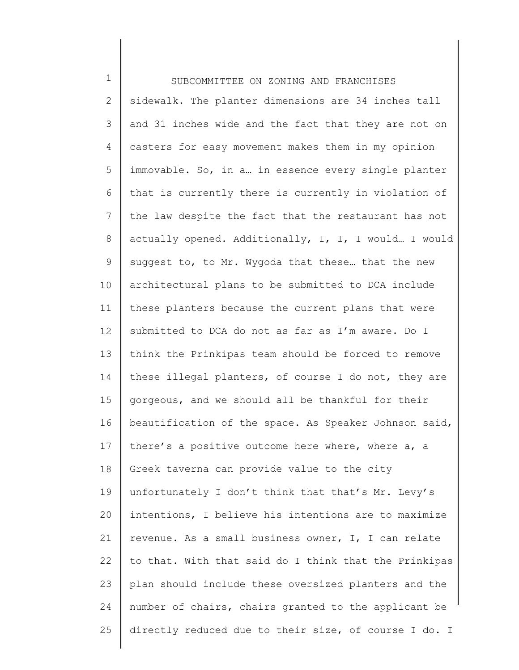1 2 3 4 5 6 7 8 9 10 11 12 13 14 15 16 17 18 19 20 21 22 23 24 25 SUBCOMMITTEE ON ZONING AND FRANCHISES sidewalk. The planter dimensions are 34 inches tall and 31 inches wide and the fact that they are not on casters for easy movement makes them in my opinion immovable. So, in a… in essence every single planter that is currently there is currently in violation of the law despite the fact that the restaurant has not actually opened. Additionally, I, I, I would… I would suggest to, to Mr. Wygoda that these... that the new architectural plans to be submitted to DCA include these planters because the current plans that were submitted to DCA do not as far as I'm aware. Do I think the Prinkipas team should be forced to remove these illegal planters, of course I do not, they are gorgeous, and we should all be thankful for their beautification of the space. As Speaker Johnson said, there's a positive outcome here where, where a, a Greek taverna can provide value to the city unfortunately I don't think that that's Mr. Levy's intentions, I believe his intentions are to maximize revenue. As a small business owner, I, I can relate to that. With that said do I think that the Prinkipas plan should include these oversized planters and the number of chairs, chairs granted to the applicant be directly reduced due to their size, of course I do. I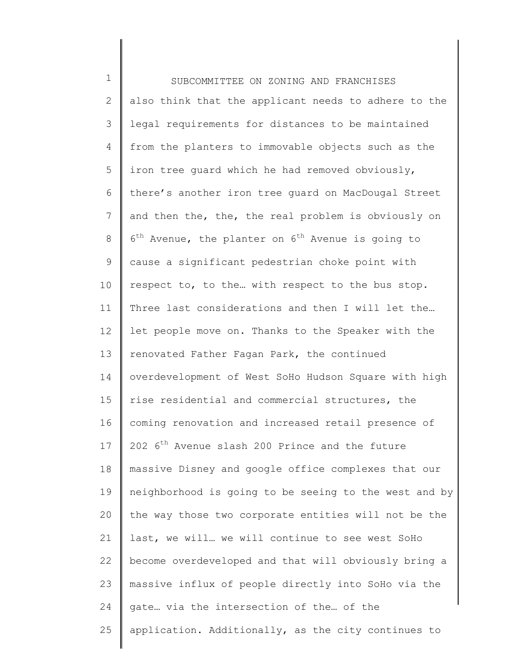1 2 3 4 5 6 7 8 9 10 11 12 13 14 15 16 17 18 19 20 21 22 23 24 25 SUBCOMMITTEE ON ZONING AND FRANCHISES also think that the applicant needs to adhere to the legal requirements for distances to be maintained from the planters to immovable objects such as the iron tree guard which he had removed obviously, there's another iron tree guard on MacDougal Street and then the, the, the real problem is obviously on 6<sup>th</sup> Avenue, the planter on 6<sup>th</sup> Avenue is going to cause a significant pedestrian choke point with respect to, to the… with respect to the bus stop. Three last considerations and then I will let the… let people move on. Thanks to the Speaker with the renovated Father Fagan Park, the continued overdevelopment of West SoHo Hudson Square with high rise residential and commercial structures, the coming renovation and increased retail presence of  $202$   $6^{th}$  Avenue slash 200 Prince and the future massive Disney and google office complexes that our neighborhood is going to be seeing to the west and by the way those two corporate entities will not be the last, we will… we will continue to see west SoHo become overdeveloped and that will obviously bring a massive influx of people directly into SoHo via the gate… via the intersection of the… of the application. Additionally, as the city continues to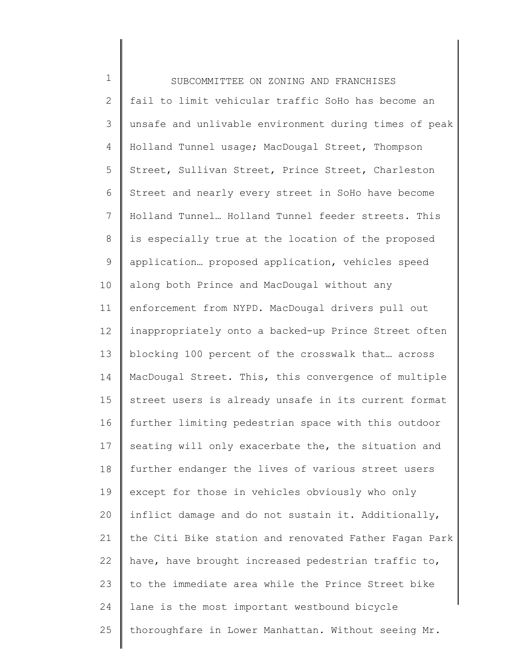1 2 3 4 5 6 7 8 9 10 11 12 13 14 15 16 17 18 19 20 21 22 23 24 25 SUBCOMMITTEE ON ZONING AND FRANCHISES fail to limit vehicular traffic SoHo has become an unsafe and unlivable environment during times of peak Holland Tunnel usage; MacDougal Street, Thompson Street, Sullivan Street, Prince Street, Charleston Street and nearly every street in SoHo have become Holland Tunnel… Holland Tunnel feeder streets. This is especially true at the location of the proposed application… proposed application, vehicles speed along both Prince and MacDougal without any enforcement from NYPD. MacDougal drivers pull out inappropriately onto a backed-up Prince Street often blocking 100 percent of the crosswalk that… across MacDougal Street. This, this convergence of multiple street users is already unsafe in its current format further limiting pedestrian space with this outdoor seating will only exacerbate the, the situation and further endanger the lives of various street users except for those in vehicles obviously who only inflict damage and do not sustain it. Additionally, the Citi Bike station and renovated Father Fagan Park have, have brought increased pedestrian traffic to, to the immediate area while the Prince Street bike lane is the most important westbound bicycle thoroughfare in Lower Manhattan. Without seeing Mr.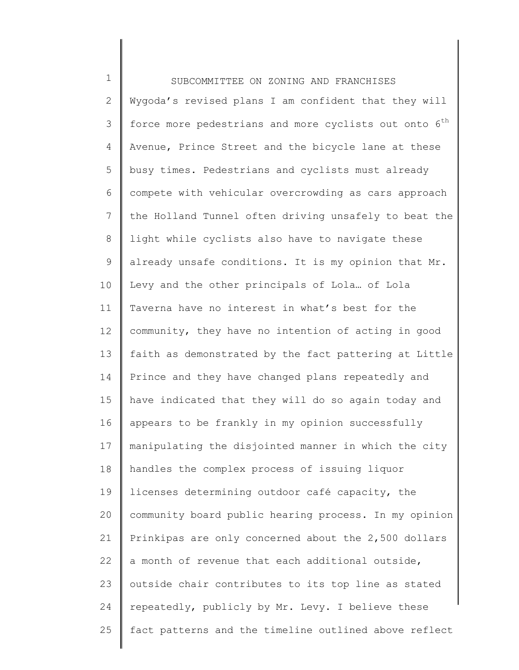1 2 3 4 5 6 7 8 9 10 11 12 13 14 15 16 17 18 19 20 21 22 23 24 25 SUBCOMMITTEE ON ZONING AND FRANCHISES Wygoda's revised plans I am confident that they will force more pedestrians and more cyclists out onto  $6<sup>th</sup>$ Avenue, Prince Street and the bicycle lane at these busy times. Pedestrians and cyclists must already compete with vehicular overcrowding as cars approach the Holland Tunnel often driving unsafely to beat the light while cyclists also have to navigate these already unsafe conditions. It is my opinion that Mr. Levy and the other principals of Lola… of Lola Taverna have no interest in what's best for the community, they have no intention of acting in good faith as demonstrated by the fact pattering at Little Prince and they have changed plans repeatedly and have indicated that they will do so again today and appears to be frankly in my opinion successfully manipulating the disjointed manner in which the city handles the complex process of issuing liquor licenses determining outdoor café capacity, the community board public hearing process. In my opinion Prinkipas are only concerned about the 2,500 dollars a month of revenue that each additional outside, outside chair contributes to its top line as stated repeatedly, publicly by Mr. Levy. I believe these fact patterns and the timeline outlined above reflect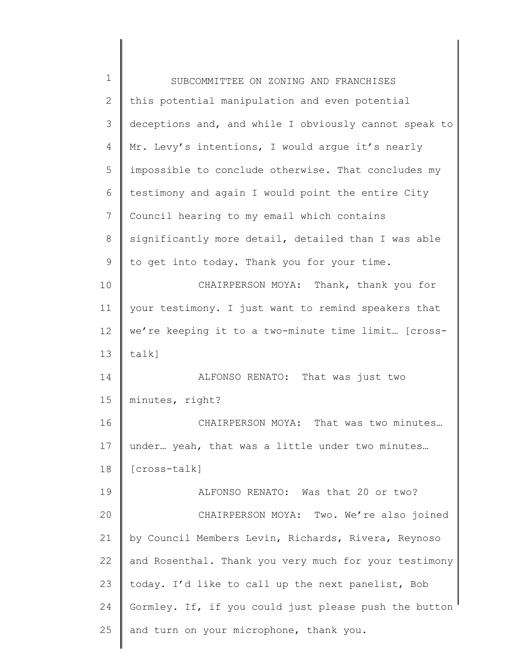| $\mathbf 1$    | SUBCOMMITTEE ON ZONING AND FRANCHISES                 |
|----------------|-------------------------------------------------------|
| $\mathbf{2}$   | this potential manipulation and even potential        |
| 3              | deceptions and, and while I obviously cannot speak to |
| 4              | Mr. Levy's intentions, I would arque it's nearly      |
| 5              | impossible to conclude otherwise. That concludes my   |
| 6              | testimony and again I would point the entire City     |
| $\overline{7}$ | Council hearing to my email which contains            |
| $8\,$          | significantly more detail, detailed than I was able   |
| $\mathsf 9$    | to get into today. Thank you for your time.           |
| 10             | CHAIRPERSON MOYA: Thank, thank you for                |
| 11             | your testimony. I just want to remind speakers that   |
| 12             | we're keeping it to a two-minute time limit [cross-   |
| 13             | talk]                                                 |
| 14             | ALFONSO RENATO: That was just two                     |
| 15             | minutes, right?                                       |
| 16             | CHAIRPERSON MOYA: That was two minutes                |
| 17             | under yeah, that was a little under two minutes       |
| 18             | [cross-talk]                                          |
| 19             | ALFONSO RENATO: Was that 20 or two?                   |
| 20             | CHAIRPERSON MOYA: Two. We're also joined              |
| 21             | by Council Members Levin, Richards, Rivera, Reynoso   |
| 22             | and Rosenthal. Thank you very much for your testimony |
| 23             | today. I'd like to call up the next panelist, Bob     |
| 24             | Gormley. If, if you could just please push the button |
| 25             | and turn on your microphone, thank you.               |
|                |                                                       |

 $\parallel$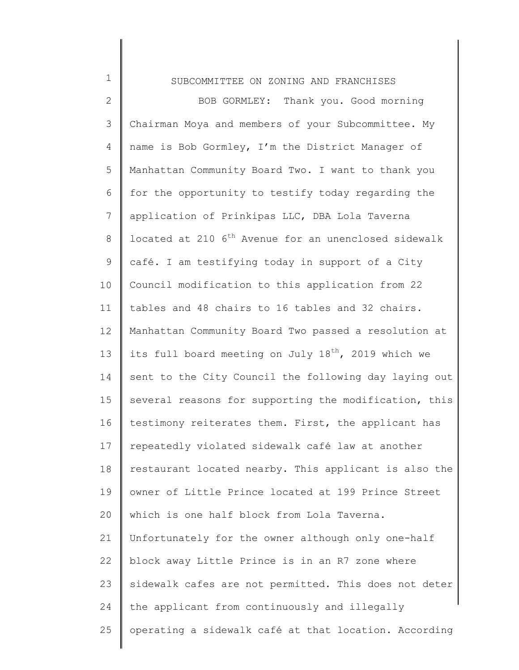| $\mathbf 1$     | SUBCOMMITTEE ON ZONING AND FRANCHISES                            |
|-----------------|------------------------------------------------------------------|
| $\mathbf{2}$    | BOB GORMLEY: Thank you. Good morning                             |
| 3               | Chairman Moya and members of your Subcommittee. My               |
| $\overline{4}$  | name is Bob Gormley, I'm the District Manager of                 |
| 5               | Manhattan Community Board Two. I want to thank you               |
| 6               | for the opportunity to testify today regarding the               |
| $7\phantom{.0}$ | application of Prinkipas LLC, DBA Lola Taverna                   |
| 8               | located at 210 6 <sup>th</sup> Avenue for an unenclosed sidewalk |
| 9               | café. I am testifying today in support of a City                 |
| 10              | Council modification to this application from 22                 |
| 11              | tables and 48 chairs to 16 tables and 32 chairs.                 |
| 12              | Manhattan Community Board Two passed a resolution at             |
| 13              | its full board meeting on July 18 <sup>th</sup> , 2019 which we  |
| 14              | sent to the City Council the following day laying out            |
| 15              | several reasons for supporting the modification, this            |
| 16              | testimony reiterates them. First, the applicant has              |
| 17              | repeatedly violated sidewalk café law at another                 |
| 18              | restaurant located nearby. This applicant is also the            |
| 19              | owner of Little Prince located at 199 Prince Street              |
| 20              | which is one half block from Lola Taverna.                       |
| 21              | Unfortunately for the owner although only one-half               |
| 22              | block away Little Prince is in an R7 zone where                  |
| 23              | sidewalk cafes are not permitted. This does not deter            |
| 24              | the applicant from continuously and illegally                    |
| 25              | operating a sidewalk café at that location. According            |
|                 |                                                                  |

║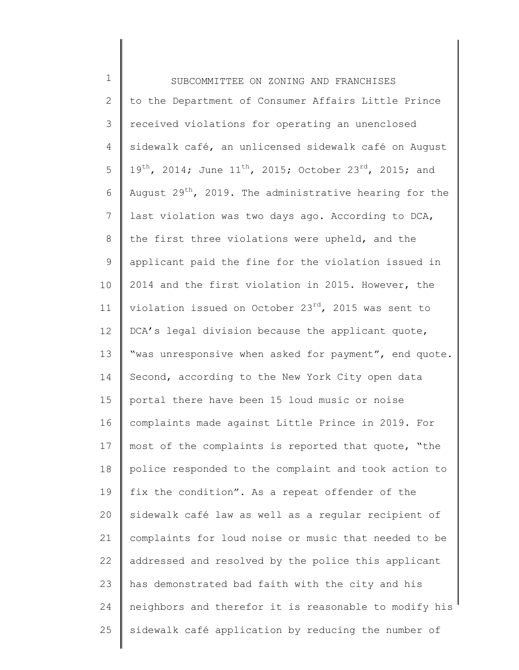1 2 3 4 5 6 7 8 9 10 11 12 13 14 15 16 17 18 19 20 21 22 23 24 25 SUBCOMMITTEE ON ZONING AND FRANCHISES to the Department of Consumer Affairs Little Prince received violations for operating an unenclosed sidewalk café, an unlicensed sidewalk café on August  $19^{th}$ , 2014; June  $11^{th}$ , 2015; October 23<sup>rd</sup>, 2015; and August 29<sup>th</sup>, 2019. The administrative hearing for the last violation was two days ago. According to DCA, the first three violations were upheld, and the applicant paid the fine for the violation issued in 2014 and the first violation in 2015. However, the violation issued on October 23rd, 2015 was sent to DCA's legal division because the applicant quote, "was unresponsive when asked for payment", end quote. Second, according to the New York City open data portal there have been 15 loud music or noise complaints made against Little Prince in 2019. For most of the complaints is reported that quote, "the police responded to the complaint and took action to fix the condition". As a repeat offender of the sidewalk café law as well as a regular recipient of complaints for loud noise or music that needed to be addressed and resolved by the police this applicant has demonstrated bad faith with the city and his neighbors and therefor it is reasonable to modify his sidewalk café application by reducing the number of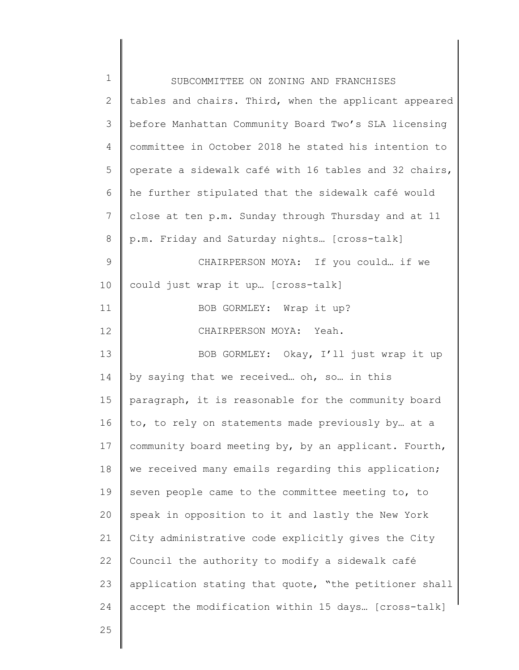| $1\,$        | SUBCOMMITTEE ON ZONING AND FRANCHISES                 |
|--------------|-------------------------------------------------------|
| $\mathbf{2}$ | tables and chairs. Third, when the applicant appeared |
| 3            | before Manhattan Community Board Two's SLA licensing  |
| 4            | committee in October 2018 he stated his intention to  |
| 5            | operate a sidewalk café with 16 tables and 32 chairs, |
| 6            | he further stipulated that the sidewalk café would    |
| 7            | close at ten p.m. Sunday through Thursday and at 11   |
| $8\,$        | p.m. Friday and Saturday nights [cross-talk]          |
| $\mathsf 9$  | CHAIRPERSON MOYA: If you could if we                  |
| 10           | could just wrap it up [cross-talk]                    |
| 11           | BOB GORMLEY: Wrap it up?                              |
| 12           | CHAIRPERSON MOYA: Yeah.                               |
| 13           | BOB GORMLEY: Okay, I'll just wrap it up               |
| 14           | by saying that we received oh, so in this             |
| 15           | paragraph, it is reasonable for the community board   |
| 16           | to, to rely on statements made previously by at a     |
| 17           | community board meeting by, by an applicant. Fourth,  |
| 18           | we received many emails regarding this application;   |
| 19           | seven people came to the committee meeting to, to     |
| 20           | speak in opposition to it and lastly the New York     |
| 21           | City administrative code explicitly gives the City    |
| 22           | Council the authority to modify a sidewalk café       |
| 23           | application stating that quote, "the petitioner shall |
| 24           | accept the modification within 15 days [cross-talk]   |
| 25           |                                                       |
|              |                                                       |

║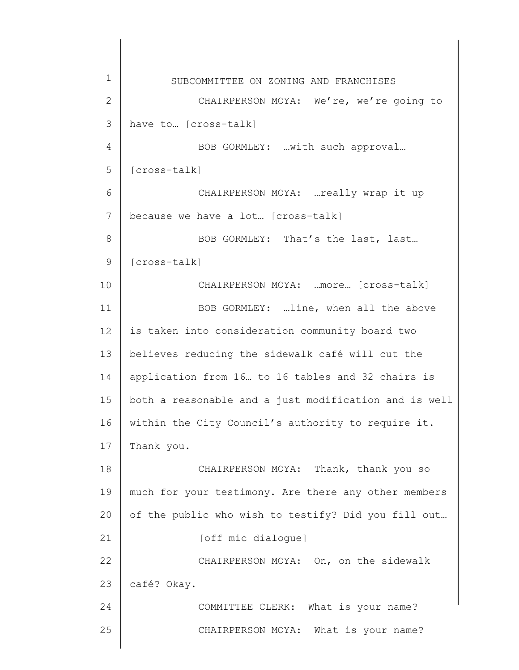1 2 3 4 5 6 7 8 9 10 11 12 13 14 15 16 17 18 19 20 21 22 23 24 25 SUBCOMMITTEE ON ZONING AND FRANCHISES CHAIRPERSON MOYA: We're, we're going to have to… [cross-talk] BOB GORMLEY: …with such approval… [cross-talk] CHAIRPERSON MOYA: ...really wrap it up because we have a lot… [cross-talk] BOB GORMLEY: That's the last, last… [cross-talk] CHAIRPERSON MOYA: …more… [cross-talk] BOB GORMLEY: …line, when all the above is taken into consideration community board two believes reducing the sidewalk café will cut the application from 16… to 16 tables and 32 chairs is both a reasonable and a just modification and is well within the City Council's authority to require it. Thank you. CHAIRPERSON MOYA: Thank, thank you so much for your testimony. Are there any other members of the public who wish to testify? Did you fill out… [off mic dialogue] CHAIRPERSON MOYA: On, on the sidewalk café? Okay. COMMITTEE CLERK: What is your name? CHAIRPERSON MOYA: What is your name?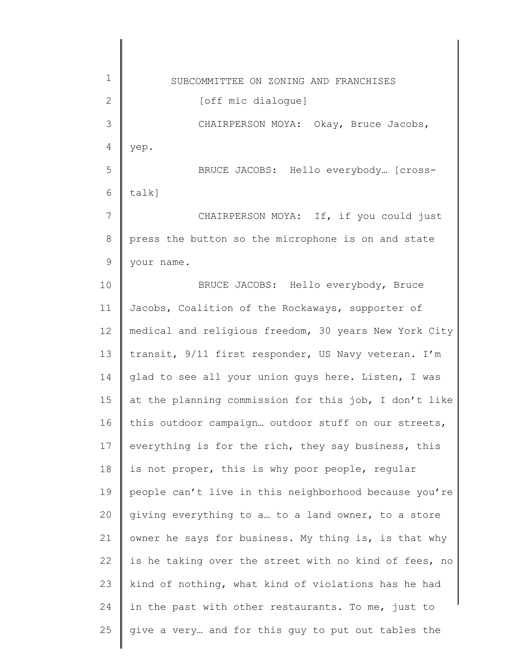1 2 3 4 5 6 7 8 9 10 11 12 13 14 15 16 17 18 19 20 21 22 23 24 25 SUBCOMMITTEE ON ZONING AND FRANCHISES [off mic dialogue] CHAIRPERSON MOYA: Okay, Bruce Jacobs, yep. BRUCE JACOBS: Hello everybody… [crosstalk] CHAIRPERSON MOYA: If, if you could just press the button so the microphone is on and state your name. BRUCE JACOBS: Hello everybody, Bruce Jacobs, Coalition of the Rockaways, supporter of medical and religious freedom, 30 years New York City transit, 9/11 first responder, US Navy veteran. I'm glad to see all your union guys here. Listen, I was at the planning commission for this job, I don't like this outdoor campaign… outdoor stuff on our streets, everything is for the rich, they say business, this is not proper, this is why poor people, regular people can't live in this neighborhood because you're giving everything to a… to a land owner, to a store owner he says for business. My thing is, is that why is he taking over the street with no kind of fees, no kind of nothing, what kind of violations has he had in the past with other restaurants. To me, just to give a very… and for this guy to put out tables the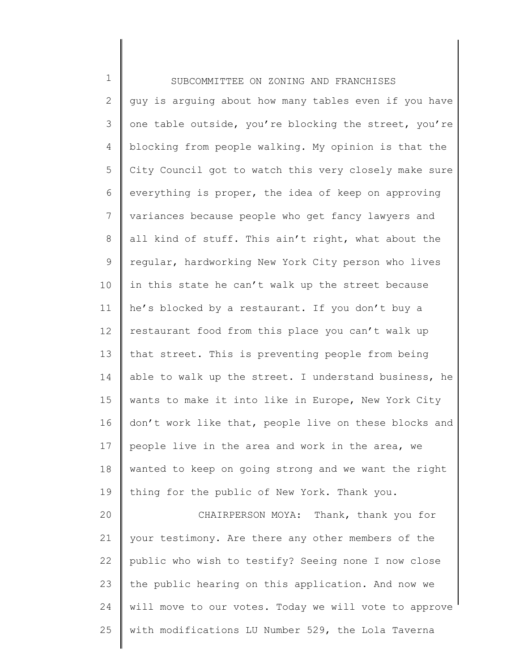1 2 3 4 5 6 7 8 9 10 11 12 13 14 15 16 17 18 19 20 21 22 23 24 25 SUBCOMMITTEE ON ZONING AND FRANCHISES guy is arguing about how many tables even if you have one table outside, you're blocking the street, you're blocking from people walking. My opinion is that the City Council got to watch this very closely make sure everything is proper, the idea of keep on approving variances because people who get fancy lawyers and all kind of stuff. This ain't right, what about the regular, hardworking New York City person who lives in this state he can't walk up the street because he's blocked by a restaurant. If you don't buy a restaurant food from this place you can't walk up that street. This is preventing people from being able to walk up the street. I understand business, he wants to make it into like in Europe, New York City don't work like that, people live on these blocks and people live in the area and work in the area, we wanted to keep on going strong and we want the right thing for the public of New York. Thank you. CHAIRPERSON MOYA: Thank, thank you for your testimony. Are there any other members of the public who wish to testify? Seeing none I now close the public hearing on this application. And now we will move to our votes. Today we will vote to approve with modifications LU Number 529, the Lola Taverna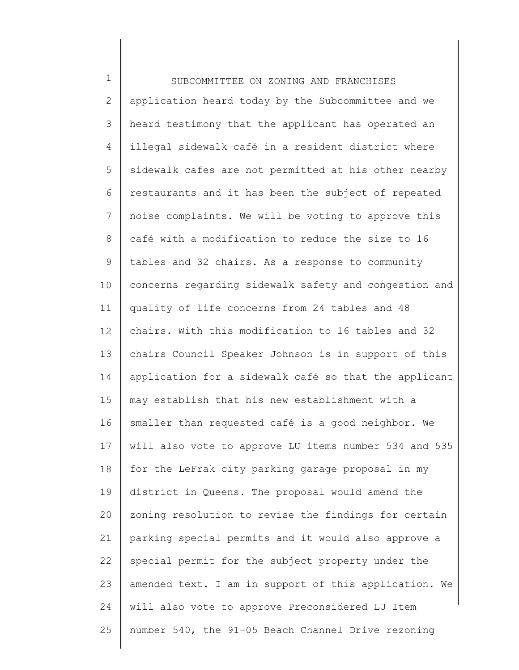1 2 3 4 5 6 7 8 9 10 11 12 13 14 15 16 17 18 19 20 21 22 23 24 25 SUBCOMMITTEE ON ZONING AND FRANCHISES application heard today by the Subcommittee and we heard testimony that the applicant has operated an illegal sidewalk café in a resident district where sidewalk cafes are not permitted at his other nearby restaurants and it has been the subject of repeated noise complaints. We will be voting to approve this café with a modification to reduce the size to 16 tables and 32 chairs. As a response to community concerns regarding sidewalk safety and congestion and quality of life concerns from 24 tables and 48 chairs. With this modification to 16 tables and 32 chairs Council Speaker Johnson is in support of this application for a sidewalk café so that the applicant may establish that his new establishment with a smaller than requested café is a good neighbor. We will also vote to approve LU items number 534 and 535 for the LeFrak city parking garage proposal in my district in Queens. The proposal would amend the zoning resolution to revise the findings for certain parking special permits and it would also approve a special permit for the subject property under the amended text. I am in support of this application. We will also vote to approve Preconsidered LU Item number 540, the 91-05 Beach Channel Drive rezoning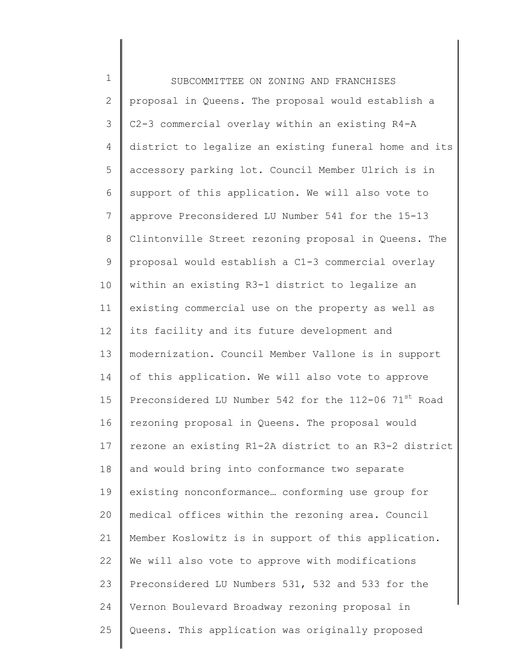| $\mathbf 1$    | SUBCOMMITTEE ON ZONING AND FRANCHISES                 |
|----------------|-------------------------------------------------------|
| $\mathbf{2}$   | proposal in Queens. The proposal would establish a    |
| 3              | C2-3 commercial overlay within an existing R4-A       |
| 4              | district to legalize an existing funeral home and its |
| 5              | accessory parking lot. Council Member Ulrich is in    |
| 6              | support of this application. We will also vote to     |
| $\overline{7}$ | approve Preconsidered LU Number 541 for the 15-13     |
| $8\,$          | Clintonville Street rezoning proposal in Queens. The  |
| $\mathsf 9$    | proposal would establish a C1-3 commercial overlay    |
| 10             | within an existing R3-1 district to legalize an       |
| 11             | existing commercial use on the property as well as    |
| 12             | its facility and its future development and           |
| 13             | modernization. Council Member Vallone is in support   |
| 14             | of this application. We will also vote to approve     |
| 15             | Preconsidered LU Number 542 for the 112-06 71st Road  |
| 16             | rezoning proposal in Queens. The proposal would       |
| 17             | rezone an existing R1-2A district to an R3-2 district |
| 18             | and would bring into conformance two separate         |
| 19             | existing nonconformance conforming use group for      |
| 20             | medical offices within the rezoning area. Council     |
| 21             | Member Koslowitz is in support of this application.   |
| 22             | We will also vote to approve with modifications       |
| 23             | Preconsidered LU Numbers 531, 532 and 533 for the     |
| 24             | Vernon Boulevard Broadway rezoning proposal in        |
| 25             | Queens. This application was originally proposed      |
|                |                                                       |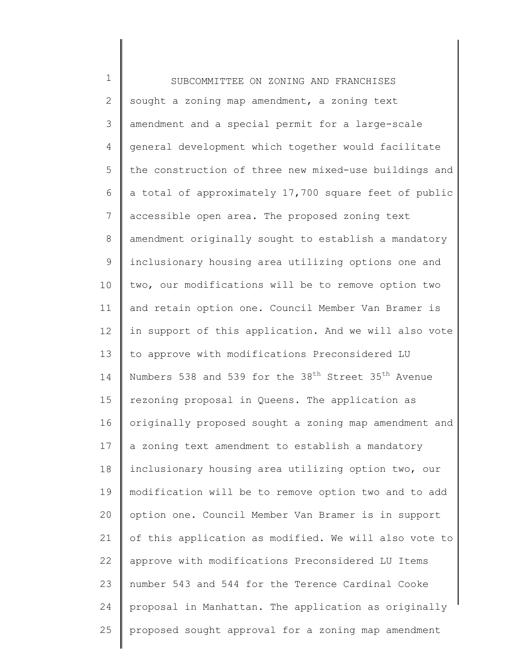1 2 3 4 5 6 7 8 9 10 11 12 13 14 15 16 17 18 19 20 21 22 23 24 25 SUBCOMMITTEE ON ZONING AND FRANCHISES sought a zoning map amendment, a zoning text amendment and a special permit for a large-scale general development which together would facilitate the construction of three new mixed-use buildings and a total of approximately 17,700 square feet of public accessible open area. The proposed zoning text amendment originally sought to establish a mandatory inclusionary housing area utilizing options one and two, our modifications will be to remove option two and retain option one. Council Member Van Bramer is in support of this application. And we will also vote to approve with modifications Preconsidered LU Numbers 538 and 539 for the 38<sup>th</sup> Street 35<sup>th</sup> Avenue rezoning proposal in Queens. The application as originally proposed sought a zoning map amendment and a zoning text amendment to establish a mandatory inclusionary housing area utilizing option two, our modification will be to remove option two and to add option one. Council Member Van Bramer is in support of this application as modified. We will also vote to approve with modifications Preconsidered LU Items number 543 and 544 for the Terence Cardinal Cooke proposal in Manhattan. The application as originally proposed sought approval for a zoning map amendment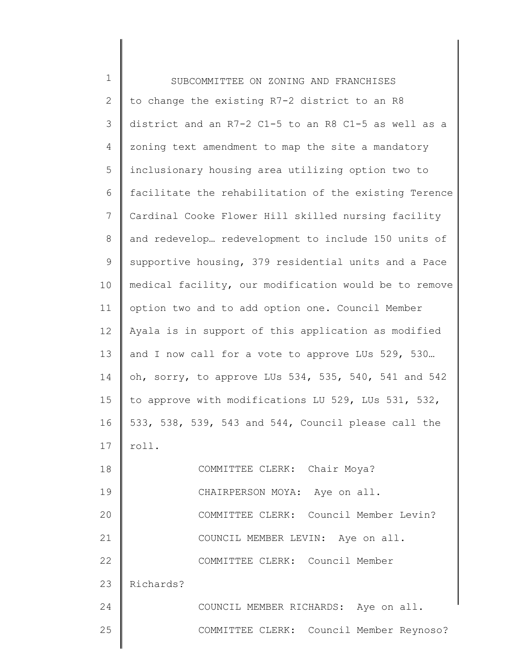| $\mathbf 1$  | SUBCOMMITTEE ON ZONING AND FRANCHISES                 |
|--------------|-------------------------------------------------------|
| $\mathbf{2}$ | to change the existing R7-2 district to an R8         |
| 3            | district and an R7-2 C1-5 to an R8 C1-5 as well as a  |
| 4            | zoning text amendment to map the site a mandatory     |
| 5            | inclusionary housing area utilizing option two to     |
| 6            | facilitate the rehabilitation of the existing Terence |
| 7            | Cardinal Cooke Flower Hill skilled nursing facility   |
| 8            | and redevelop redevelopment to include 150 units of   |
| 9            | supportive housing, 379 residential units and a Pace  |
| 10           | medical facility, our modification would be to remove |
| 11           | option two and to add option one. Council Member      |
| 12           | Ayala is in support of this application as modified   |
| 13           | and I now call for a vote to approve LUs 529, 530     |
| 14           | oh, sorry, to approve LUs 534, 535, 540, 541 and 542  |
| 15           | to approve with modifications LU 529, LUs 531, 532,   |
| 16           | 533, 538, 539, 543 and 544, Council please call the   |
| 17           | roll.                                                 |
| 18           | COMMITTEE CLERK: Chair Moya?                          |
| 19           | CHAIRPERSON MOYA: Aye on all.                         |
| 20           | COMMITTEE CLERK: Council Member Levin?                |
| 21           | COUNCIL MEMBER LEVIN: Aye on all.                     |
| 22           | COMMITTEE CLERK: Council Member                       |
| 23           | Richards?                                             |
| 24           | COUNCIL MEMBER RICHARDS: Aye on all.                  |
| 25           | COMMITTEE CLERK: Council Member Reynoso?              |
|              |                                                       |

║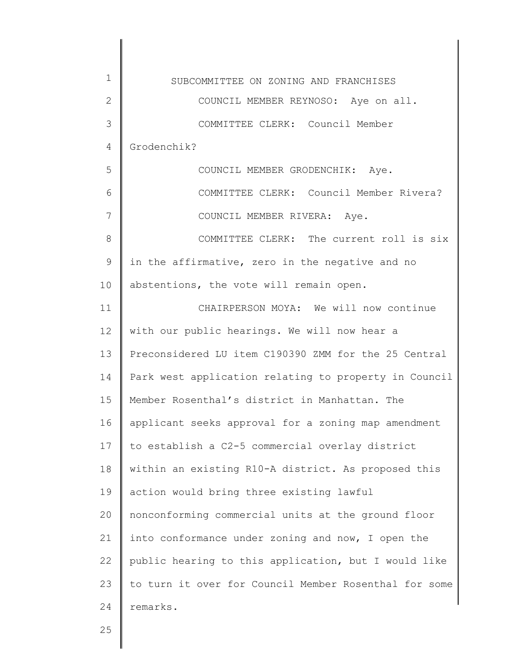| 1             | SUBCOMMITTEE ON ZONING AND FRANCHISES                 |
|---------------|-------------------------------------------------------|
| $\mathbf{2}$  | COUNCIL MEMBER REYNOSO: Aye on all.                   |
| 3             | COMMITTEE CLERK: Council Member                       |
| 4             | Grodenchik?                                           |
| 5             | COUNCIL MEMBER GRODENCHIK: Aye.                       |
| 6             | COMMITTEE CLERK: Council Member Rivera?               |
| 7             | COUNCIL MEMBER RIVERA: Aye.                           |
| 8             | COMMITTEE CLERK: The current roll is six              |
| $\mathcal{G}$ | in the affirmative, zero in the negative and no       |
| 10            | abstentions, the vote will remain open.               |
| 11            | CHAIRPERSON MOYA: We will now continue                |
| 12            | with our public hearings. We will now hear a          |
| 13            | Preconsidered LU item C190390 ZMM for the 25 Central  |
| 14            | Park west application relating to property in Council |
| 15            | Member Rosenthal's district in Manhattan. The         |
| 16            | applicant seeks approval for a zoning map amendment   |
| 17            | to establish a C2-5 commercial overlay district       |
| 18            | within an existing R10-A district. As proposed this   |
| 19            | action would bring three existing lawful              |
| 20            | nonconforming commercial units at the ground floor    |
| 21            | into conformance under zoning and now, I open the     |
| 22            | public hearing to this application, but I would like  |
| 23            | to turn it over for Council Member Rosenthal for some |
| 24            | remarks.                                              |
|               |                                                       |

25

Ι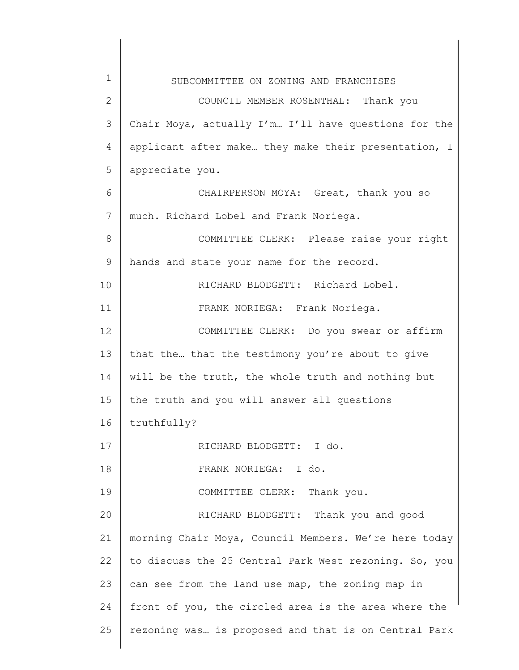| $\mathbf 1$    | SUBCOMMITTEE ON ZONING AND FRANCHISES                 |
|----------------|-------------------------------------------------------|
| $\mathbf{2}$   | COUNCIL MEMBER ROSENTHAL: Thank you                   |
| 3              | Chair Moya, actually I'm I'll have questions for the  |
| $\overline{4}$ | applicant after make they make their presentation, I  |
| 5              | appreciate you.                                       |
| 6              | CHAIRPERSON MOYA: Great, thank you so                 |
| 7              | much. Richard Lobel and Frank Noriega.                |
| 8              | COMMITTEE CLERK: Please raise your right              |
| $\mathsf 9$    | hands and state your name for the record.             |
| 10             | RICHARD BLODGETT: Richard Lobel.                      |
| 11             | FRANK NORIEGA: Frank Noriega.                         |
| 12             | COMMITTEE CLERK: Do you swear or affirm               |
| 13             | that the that the testimony you're about to give      |
| 14             | will be the truth, the whole truth and nothing but    |
| 15             | the truth and you will answer all questions           |
| 16             | truthfully?                                           |
| 17             | RICHARD BLODGETT: I do.                               |
| 18             | FRANK NORIEGA: I do.                                  |
| 19             | Thank you.<br>COMMITTEE CLERK:                        |
| 20             | RICHARD BLODGETT: Thank you and good                  |
| 21             | morning Chair Moya, Council Members. We're here today |
| 22             | to discuss the 25 Central Park West rezoning. So, you |
| 23             | can see from the land use map, the zoning map in      |
| 24             | front of you, the circled area is the area where the  |
| 25             | rezoning was is proposed and that is on Central Park  |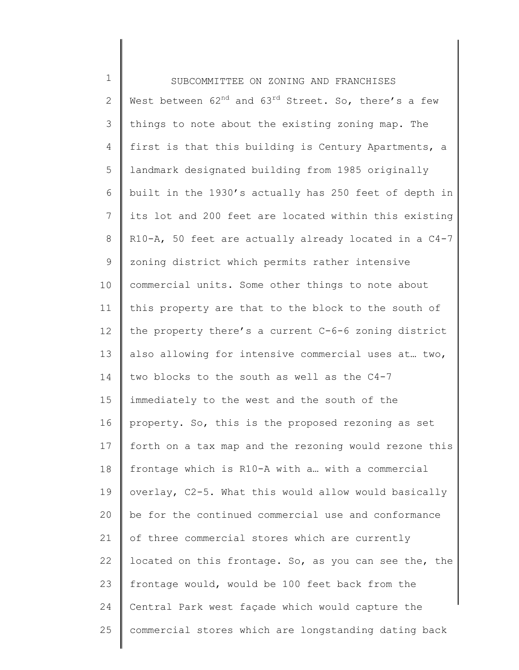| $1\,$          | SUBCOMMITTEE ON ZONING AND FRANCHISES                          |
|----------------|----------------------------------------------------------------|
| $\mathbf{2}$   | West between $62^{nd}$ and $63^{rd}$ Street. So, there's a few |
| 3              | things to note about the existing zoning map. The              |
| 4              | first is that this building is Century Apartments, a           |
| 5              | landmark designated building from 1985 originally              |
| 6              | built in the 1930's actually has 250 feet of depth in          |
| $\overline{7}$ | its lot and 200 feet are located within this existing          |
| $8\,$          | R10-A, 50 feet are actually already located in a C4-7          |
| $\mathsf 9$    | zoning district which permits rather intensive                 |
| 10             | commercial units. Some other things to note about              |
| 11             | this property are that to the block to the south of            |
| 12             | the property there's a current C-6-6 zoning district           |
| 13             | also allowing for intensive commercial uses at two,            |
| 14             | two blocks to the south as well as the C4-7                    |
| 15             | immediately to the west and the south of the                   |
| 16             | property. So, this is the proposed rezoning as set             |
| 17             | forth on a tax map and the rezoning would rezone this          |
| 18             | frontage which is R10-A with a with a commercial               |
| 19             | overlay, C2-5. What this would allow would basically           |
| 20             | be for the continued commercial use and conformance            |
| 21             | of three commercial stores which are currently                 |
| 22             | located on this frontage. So, as you can see the, the          |
| 23             | frontage would, would be 100 feet back from the                |
| 24             | Central Park west façade which would capture the               |
| 25             | commercial stores which are longstanding dating back           |
|                |                                                                |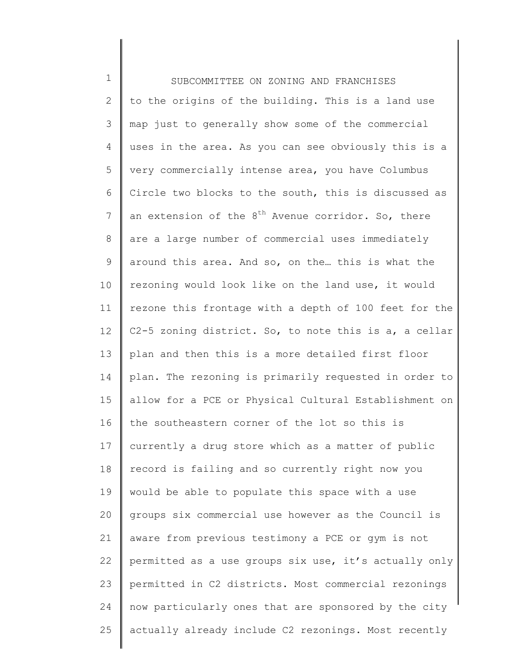1 2 3 4 5 6 7 8 9 10 11 12 13 14 15 16 17 18 19 20 21 22 23 24 25 SUBCOMMITTEE ON ZONING AND FRANCHISES to the origins of the building. This is a land use map just to generally show some of the commercial uses in the area. As you can see obviously this is a very commercially intense area, you have Columbus Circle two blocks to the south, this is discussed as an extension of the  $8<sup>th</sup>$  Avenue corridor. So, there are a large number of commercial uses immediately around this area. And so, on the… this is what the rezoning would look like on the land use, it would rezone this frontage with a depth of 100 feet for the C2-5 zoning district. So, to note this is a, a cellar plan and then this is a more detailed first floor plan. The rezoning is primarily requested in order to allow for a PCE or Physical Cultural Establishment on the southeastern corner of the lot so this is currently a drug store which as a matter of public record is failing and so currently right now you would be able to populate this space with a use groups six commercial use however as the Council is aware from previous testimony a PCE or gym is not permitted as a use groups six use, it's actually only permitted in C2 districts. Most commercial rezonings now particularly ones that are sponsored by the city actually already include C2 rezonings. Most recently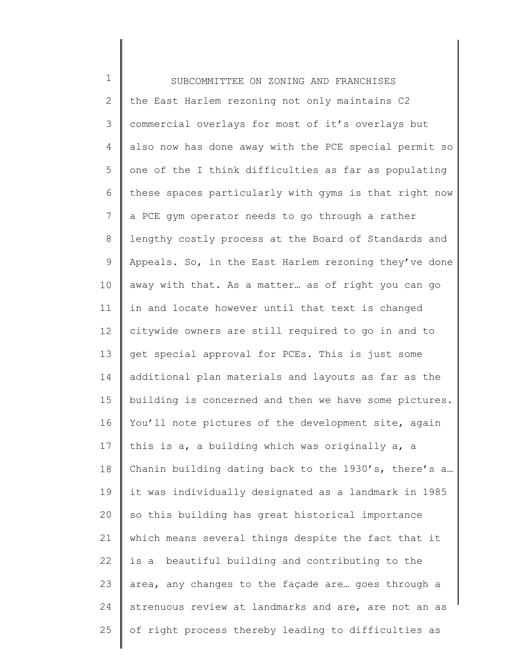1 2 3 4 5 6 7 8 9 10 11 12 13 14 15 16 17 18 19 20 21 22 23 24 25 SUBCOMMITTEE ON ZONING AND FRANCHISES the East Harlem rezoning not only maintains C2 commercial overlays for most of it's overlays but also now has done away with the PCE special permit so one of the I think difficulties as far as populating these spaces particularly with gyms is that right now a PCE gym operator needs to go through a rather lengthy costly process at the Board of Standards and Appeals. So, in the East Harlem rezoning they've done away with that. As a matter… as of right you can go in and locate however until that text is changed citywide owners are still required to go in and to get special approval for PCEs. This is just some additional plan materials and layouts as far as the building is concerned and then we have some pictures. You'll note pictures of the development site, again this is a, a building which was originally a, a Chanin building dating back to the 1930's, there's a… it was individually designated as a landmark in 1985 so this building has great historical importance which means several things despite the fact that it is a beautiful building and contributing to the area, any changes to the façade are… goes through a strenuous review at landmarks and are, are not an as of right process thereby leading to difficulties as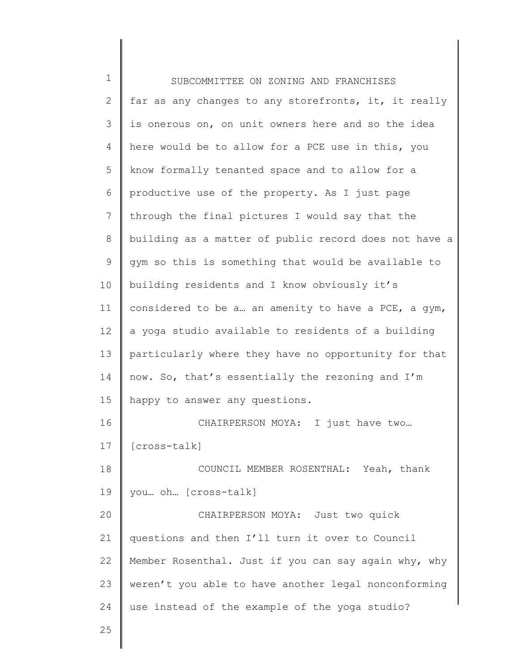| $\mathbf 1$  | SUBCOMMITTEE ON ZONING AND FRANCHISES                 |
|--------------|-------------------------------------------------------|
| $\mathbf{2}$ | far as any changes to any storefronts, it, it really  |
| 3            | is onerous on, on unit owners here and so the idea    |
| 4            | here would be to allow for a PCE use in this, you     |
| 5            | know formally tenanted space and to allow for a       |
| 6            | productive use of the property. As I just page        |
| 7            | through the final pictures I would say that the       |
| 8            | building as a matter of public record does not have a |
| 9            | gym so this is something that would be available to   |
| 10           | building residents and I know obviously it's          |
| 11           | considered to be a an amenity to have a PCE, a gym,   |
| 12           | a yoga studio available to residents of a building    |
| 13           | particularly where they have no opportunity for that  |
| 14           | now. So, that's essentially the rezoning and I'm      |
| 15           | happy to answer any questions.                        |
| 16           | CHAIRPERSON MOYA: I just have two                     |
| 17           | [cross-talk]                                          |
| 18           | COUNCIL MEMBER ROSENTHAL: Yeah, thank                 |
| 19           | you  oh  [cross-talk]                                 |
| 20           | CHAIRPERSON MOYA: Just two quick                      |
| 21           | questions and then I'll turn it over to Council       |
| 22           | Member Rosenthal. Just if you can say again why, why  |
| 23           | weren't you able to have another legal nonconforming  |
| 24           | use instead of the example of the yoga studio?        |
| 25           |                                                       |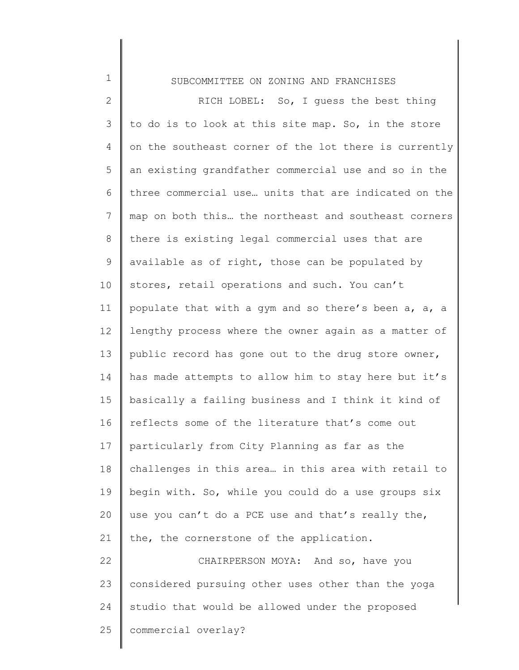## SUBCOMMITTEE ON ZONING AND FRANCHISES

1

2 3 4 5 6 7 8 9 10 11 12 13 14 15 16 17 18 19 20 21 22 23 24 25 RICH LOBEL: So, I guess the best thing to do is to look at this site map. So, in the store on the southeast corner of the lot there is currently an existing grandfather commercial use and so in the three commercial use… units that are indicated on the map on both this… the northeast and southeast corners there is existing legal commercial uses that are available as of right, those can be populated by stores, retail operations and such. You can't populate that with a gym and so there's been a, a, a lengthy process where the owner again as a matter of public record has gone out to the drug store owner, has made attempts to allow him to stay here but it's basically a failing business and I think it kind of reflects some of the literature that's come out particularly from City Planning as far as the challenges in this area… in this area with retail to begin with. So, while you could do a use groups six use you can't do a PCE use and that's really the, the, the cornerstone of the application. CHAIRPERSON MOYA: And so, have you considered pursuing other uses other than the yoga studio that would be allowed under the proposed commercial overlay?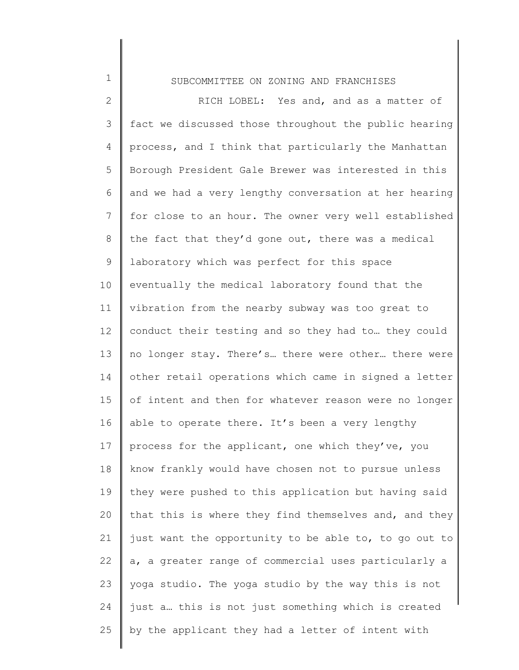## SUBCOMMITTEE ON ZONING AND FRANCHISES

1

2 3 4 5 6 7 8 9 10 11 12 13 14 15 16 17 18 19 20 21 22 23 24 25 RICH LOBEL: Yes and, and as a matter of fact we discussed those throughout the public hearing process, and I think that particularly the Manhattan Borough President Gale Brewer was interested in this and we had a very lengthy conversation at her hearing for close to an hour. The owner very well established the fact that they'd gone out, there was a medical laboratory which was perfect for this space eventually the medical laboratory found that the vibration from the nearby subway was too great to conduct their testing and so they had to… they could no longer stay. There's… there were other… there were other retail operations which came in signed a letter of intent and then for whatever reason were no longer able to operate there. It's been a very lengthy process for the applicant, one which they've, you know frankly would have chosen not to pursue unless they were pushed to this application but having said that this is where they find themselves and, and they just want the opportunity to be able to, to go out to a, a greater range of commercial uses particularly a yoga studio. The yoga studio by the way this is not just a… this is not just something which is created by the applicant they had a letter of intent with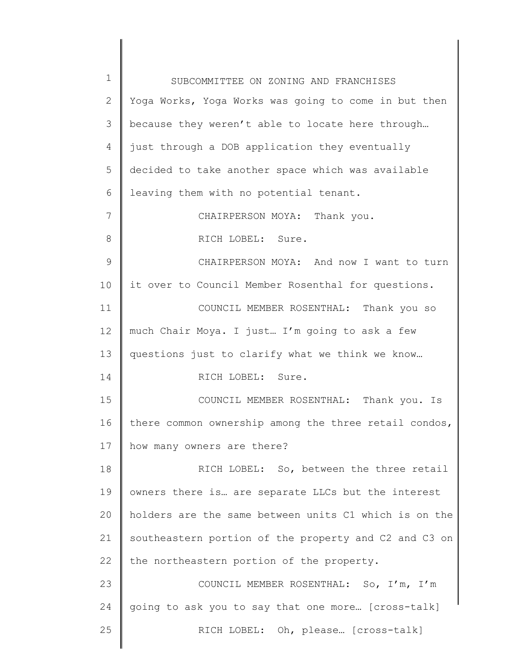1 2 3 4 5 6 7 8 9 10 11 12 13 14 15 16 17 18 19 20 21 22 23 24 25 SUBCOMMITTEE ON ZONING AND FRANCHISES Yoga Works, Yoga Works was going to come in but then because they weren't able to locate here through… just through a DOB application they eventually decided to take another space which was available leaving them with no potential tenant. CHAIRPERSON MOYA: Thank you. RICH LOBEL: Sure. CHAIRPERSON MOYA: And now I want to turn it over to Council Member Rosenthal for questions. COUNCIL MEMBER ROSENTHAL: Thank you so much Chair Moya. I just… I'm going to ask a few questions just to clarify what we think we know… RICH LOBEL: Sure. COUNCIL MEMBER ROSENTHAL: Thank you. Is there common ownership among the three retail condos, how many owners are there? RICH LOBEL: So, between the three retail owners there is… are separate LLCs but the interest holders are the same between units C1 which is on the southeastern portion of the property and C2 and C3 on the northeastern portion of the property. COUNCIL MEMBER ROSENTHAL: So, I'm, I'm going to ask you to say that one more… [cross-talk] RICH LOBEL: Oh, please… [cross-talk]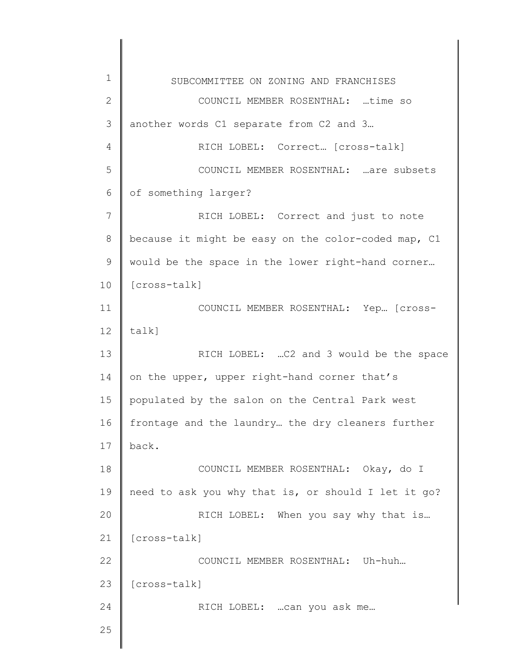1 2 3 4 5 6 7 8 9 10 11 12 13 14 15 16 17 18 19 20 21 22 23 24 25 SUBCOMMITTEE ON ZONING AND FRANCHISES 37 COUNCIL MEMBER ROSENTHAL: …time so another words C1 separate from C2 and 3… RICH LOBEL: Correct… [cross-talk] COUNCIL MEMBER ROSENTHAL: …are subsets of something larger? RICH LOBEL: Correct and just to note because it might be easy on the color-coded map, C1 would be the space in the lower right-hand corner… [cross-talk] COUNCIL MEMBER ROSENTHAL: Yep… [crosstalk] RICH LOBEL: …C2 and 3 would be the space on the upper, upper right-hand corner that's populated by the salon on the Central Park west frontage and the laundry… the dry cleaners further back. COUNCIL MEMBER ROSENTHAL: Okay, do I need to ask you why that is, or should I let it go? RICH LOBEL: When you say why that is… [cross-talk] COUNCIL MEMBER ROSENTHAL: Uh-huh… [cross-talk] RICH LOBEL: …can you ask me…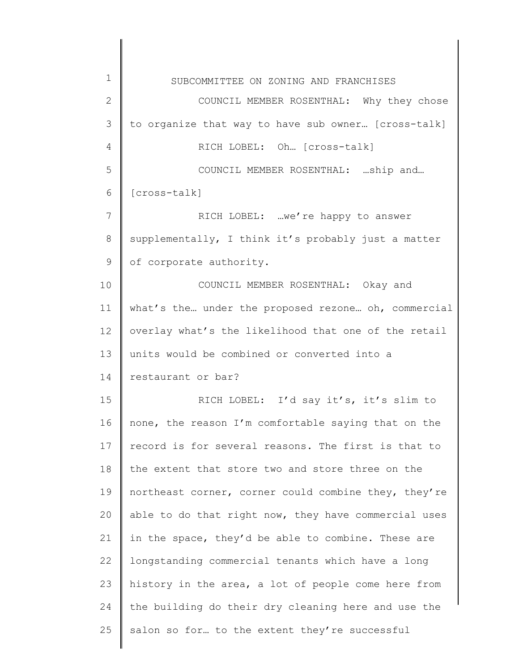1 2 3 4 5 6 7 8 9 10 11 12 13 14 15 16 17 18 19 20 21 22 23 24 25 SUBCOMMITTEE ON ZONING AND FRANCHISES COUNCIL MEMBER ROSENTHAL: Why they chose to organize that way to have sub owner… [cross-talk] RICH LOBEL: Oh… [cross-talk] COUNCIL MEMBER ROSENTHAL: …ship and… [cross-talk] RICH LOBEL: …we're happy to answer supplementally, I think it's probably just a matter of corporate authority. COUNCIL MEMBER ROSENTHAL: Okay and what's the… under the proposed rezone… oh, commercial overlay what's the likelihood that one of the retail units would be combined or converted into a restaurant or bar? RICH LOBEL: I'd say it's, it's slim to none, the reason I'm comfortable saying that on the record is for several reasons. The first is that to the extent that store two and store three on the northeast corner, corner could combine they, they're able to do that right now, they have commercial uses in the space, they'd be able to combine. These are longstanding commercial tenants which have a long history in the area, a lot of people come here from the building do their dry cleaning here and use the salon so for… to the extent they're successful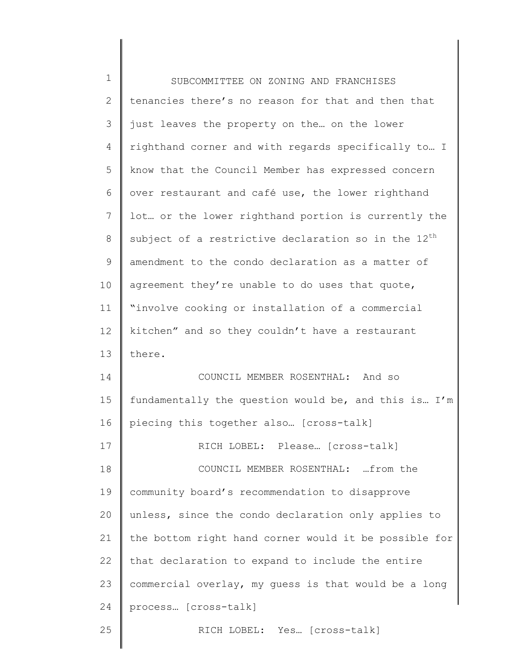| $\mathbf 1$ | SUBCOMMITTEE ON ZONING AND FRANCHISES                           |
|-------------|-----------------------------------------------------------------|
| 2           | tenancies there's no reason for that and then that              |
| 3           | just leaves the property on the on the lower                    |
| 4           | righthand corner and with regards specifically to I             |
| 5           | know that the Council Member has expressed concern              |
| 6           | over restaurant and café use, the lower righthand               |
| 7           | lot or the lower righthand portion is currently the             |
| 8           | subject of a restrictive declaration so in the 12 <sup>th</sup> |
| $\mathsf 9$ | amendment to the condo declaration as a matter of               |
| 10          | agreement they're unable to do uses that quote,                 |
| 11          | "involve cooking or installation of a commercial                |
| 12          | kitchen" and so they couldn't have a restaurant                 |
| 13          | there.                                                          |
|             |                                                                 |
| 14          | COUNCIL MEMBER ROSENTHAL: And so                                |
| 15          | fundamentally the question would be, and this is I'm            |
| 16          | piecing this together also [cross-talk]                         |
| 17          | RICH LOBEL: Please [cross-talk]                                 |
| 18          | COUNCIL MEMBER ROSENTHAL:  from the                             |
| 19          | community board's recommendation to disapprove                  |
| 20          | unless, since the condo declaration only applies to             |
| 21          | the bottom right hand corner would it be possible for           |
| 22          | that declaration to expand to include the entire                |
| 23          | commercial overlay, my guess is that would be a long            |
| 24          | process [cross-talk]                                            |
| 25          | RICH LOBEL: Yes [Cross-talk]                                    |

║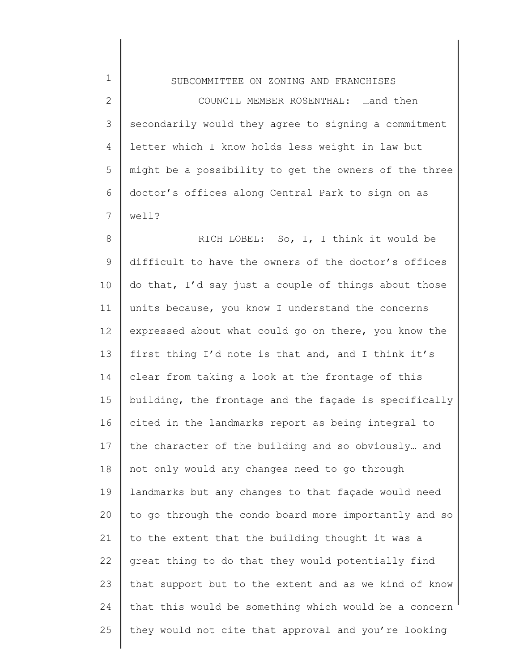1 2 3 4 5 6 7 SUBCOMMITTEE ON ZONING AND FRANCHISES 40 COUNCIL MEMBER ROSENTHAL: …and then secondarily would they agree to signing a commitment letter which I know holds less weight in law but might be a possibility to get the owners of the three doctor's offices along Central Park to sign on as well?

8 9 10 11 12 13 14 15 16 17 18 19 20 21 22 23 24 25 RICH LOBEL: So, I, I think it would be difficult to have the owners of the doctor's offices do that, I'd say just a couple of things about those units because, you know I understand the concerns expressed about what could go on there, you know the first thing I'd note is that and, and I think it's clear from taking a look at the frontage of this building, the frontage and the façade is specifically cited in the landmarks report as being integral to the character of the building and so obviously… and not only would any changes need to go through landmarks but any changes to that façade would need to go through the condo board more importantly and so to the extent that the building thought it was a great thing to do that they would potentially find that support but to the extent and as we kind of know that this would be something which would be a concern they would not cite that approval and you're looking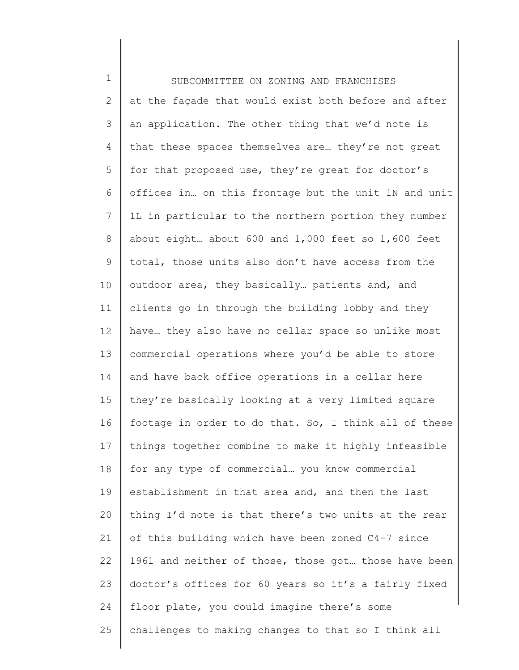1 2 3 4 5 6 7 8 9 10 11 12 13 14 15 16 17 18 19 20 21 22 23 24 25 SUBCOMMITTEE ON ZONING AND FRANCHISES at the façade that would exist both before and after an application. The other thing that we'd note is that these spaces themselves are… they're not great for that proposed use, they're great for doctor's offices in… on this frontage but the unit 1N and unit 1L in particular to the northern portion they number about eight… about 600 and 1,000 feet so 1,600 feet total, those units also don't have access from the outdoor area, they basically… patients and, and clients go in through the building lobby and they have… they also have no cellar space so unlike most commercial operations where you'd be able to store and have back office operations in a cellar here they're basically looking at a very limited square footage in order to do that. So, I think all of these things together combine to make it highly infeasible for any type of commercial… you know commercial establishment in that area and, and then the last thing I'd note is that there's two units at the rear of this building which have been zoned C4-7 since 1961 and neither of those, those got… those have been doctor's offices for 60 years so it's a fairly fixed floor plate, you could imagine there's some challenges to making changes to that so I think all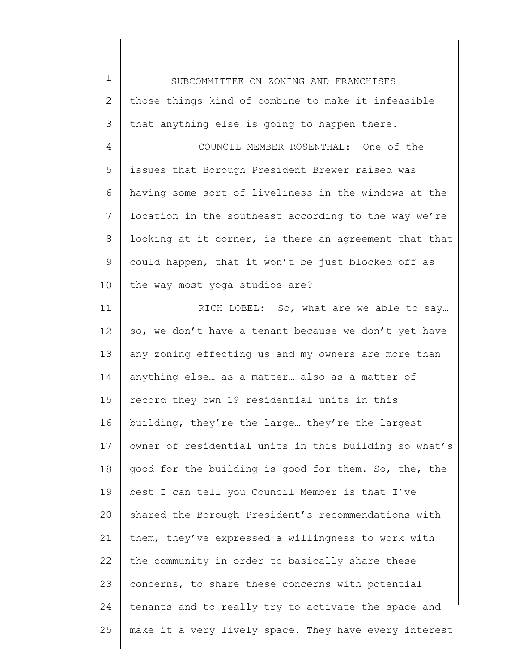1 2 3 SUBCOMMITTEE ON ZONING AND FRANCHISES those things kind of combine to make it infeasible that anything else is going to happen there.

4 5 6 7 8 9 10 COUNCIL MEMBER ROSENTHAL: One of the issues that Borough President Brewer raised was having some sort of liveliness in the windows at the location in the southeast according to the way we're looking at it corner, is there an agreement that that could happen, that it won't be just blocked off as the way most yoga studios are?

11 12 13 14 15 16 17 18 19 20 21 22 23 24 25 RICH LOBEL: So, what are we able to say… so, we don't have a tenant because we don't yet have any zoning effecting us and my owners are more than anything else… as a matter… also as a matter of record they own 19 residential units in this building, they're the large… they're the largest owner of residential units in this building so what's good for the building is good for them. So, the, the best I can tell you Council Member is that I've shared the Borough President's recommendations with them, they've expressed a willingness to work with the community in order to basically share these concerns, to share these concerns with potential tenants and to really try to activate the space and make it a very lively space. They have every interest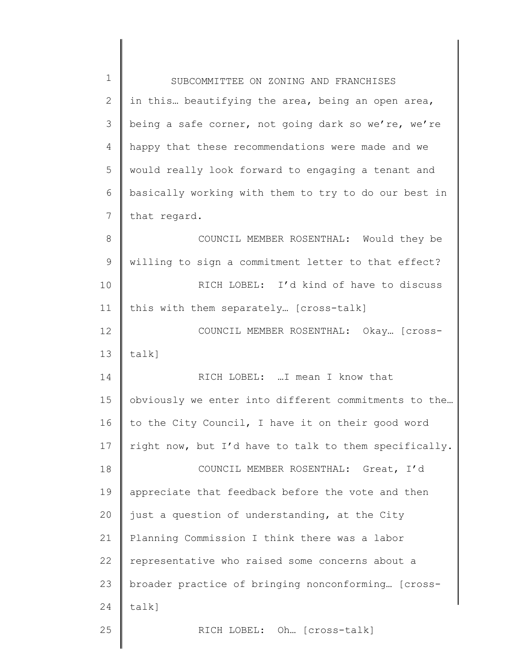| $\mathbf 1$    | SUBCOMMITTEE ON ZONING AND FRANCHISES                 |
|----------------|-------------------------------------------------------|
| 2              | in this beautifying the area, being an open area,     |
| 3              | being a safe corner, not going dark so we're, we're   |
| 4              | happy that these recommendations were made and we     |
| 5              | would really look forward to engaging a tenant and    |
| 6              | basically working with them to try to do our best in  |
| $7\phantom{.}$ | that regard.                                          |
| 8              | COUNCIL MEMBER ROSENTHAL: Would they be               |
| $\mathsf 9$    | willing to sign a commitment letter to that effect?   |
| 10             | RICH LOBEL: I'd kind of have to discuss               |
| 11             | this with them separately [cross-talk]                |
| 12             | COUNCIL MEMBER ROSENTHAL: Okay [Cross-                |
| 13             | $talk$ ]                                              |
| 14             | RICH LOBEL:  I mean I know that                       |
| 15             | obviously we enter into different commitments to the  |
| 16             | to the City Council, I have it on their good word     |
| 17             | right now, but I'd have to talk to them specifically. |
| 18             | COUNCIL MEMBER ROSENTHAL: Great, I'd                  |
| 19             | appreciate that feedback before the vote and then     |
| 20             | just a question of understanding, at the City         |
| 21             | Planning Commission I think there was a labor         |
| 22             | representative who raised some concerns about a       |
| 23             | broader practice of bringing nonconforming [cross-    |
| 24             | $talk$ ]                                              |
| 25             | RICH LOBEL: Oh [Cross-talk]                           |
|                |                                                       |

║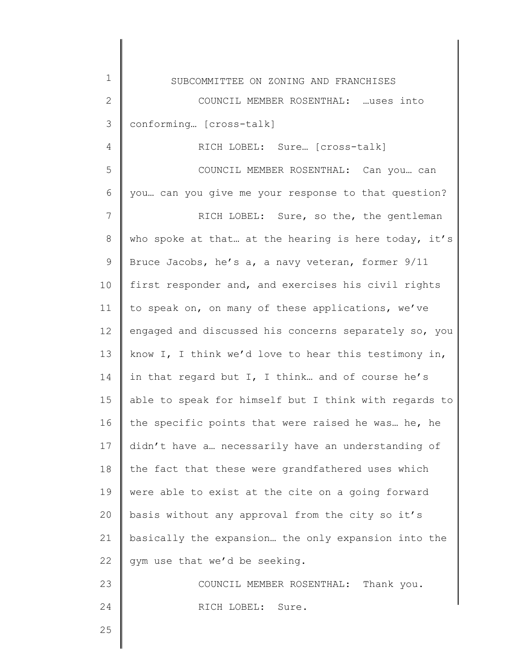| 1            | SUBCOMMITTEE ON ZONING AND FRANCHISES                 |
|--------------|-------------------------------------------------------|
| $\mathbf{2}$ | COUNCIL MEMBER ROSENTHAL: uses into                   |
| 3            | conforming [cross-talk]                               |
| 4            | RICH LOBEL: Sure [cross-talk]                         |
| 5            | COUNCIL MEMBER ROSENTHAL: Can you can                 |
| 6            | you can you give me your response to that question?   |
| 7            | RICH LOBEL: Sure, so the, the gentleman               |
| 8            | who spoke at that at the hearing is here today, it's  |
| 9            | Bruce Jacobs, he's a, a navy veteran, former 9/11     |
| 10           | first responder and, and exercises his civil rights   |
| 11           | to speak on, on many of these applications, we've     |
| 12           | engaged and discussed his concerns separately so, you |
| 13           | know I, I think we'd love to hear this testimony in,  |
| 14           | in that regard but I, I think and of course he's      |
| 15           | able to speak for himself but I think with regards to |
| 16           | the specific points that were raised he was he, he    |
| 17           | didn't have a necessarily have an understanding of    |
| 18           | the fact that these were grandfathered uses which     |
| 19           | were able to exist at the cite on a going forward     |
| 20           | basis without any approval from the city so it's      |
| 21           | basically the expansion the only expansion into the   |
| 22           | gym use that we'd be seeking.                         |
| 23           | COUNCIL MEMBER ROSENTHAL: Thank you.                  |
| 24           | RICH LOBEL: Sure.                                     |
| 25           |                                                       |
|              |                                                       |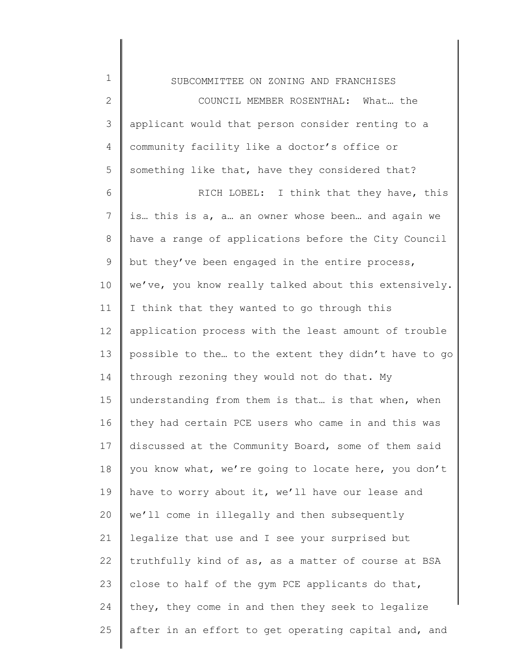1 2 3 4 5 6 7 8 9 10 11 12 13 14 15 16 17 18 19 20 21 22 23 24 25 SUBCOMMITTEE ON ZONING AND FRANCHISES COUNCIL MEMBER ROSENTHAL: What... the applicant would that person consider renting to a community facility like a doctor's office or something like that, have they considered that? RICH LOBEL: I think that they have, this is… this is a, a… an owner whose been… and again we have a range of applications before the City Council but they've been engaged in the entire process, we've, you know really talked about this extensively. I think that they wanted to go through this application process with the least amount of trouble possible to the… to the extent they didn't have to go through rezoning they would not do that. My understanding from them is that… is that when, when they had certain PCE users who came in and this was discussed at the Community Board, some of them said you know what, we're going to locate here, you don't have to worry about it, we'll have our lease and we'll come in illegally and then subsequently legalize that use and I see your surprised but truthfully kind of as, as a matter of course at BSA close to half of the gym PCE applicants do that, they, they come in and then they seek to legalize after in an effort to get operating capital and, and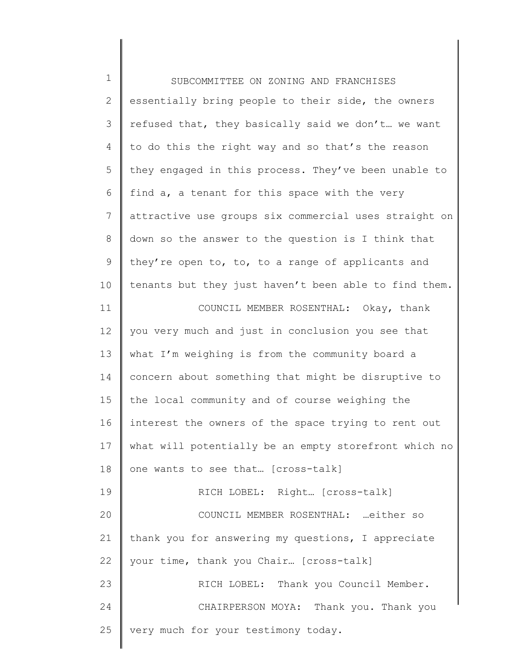| $\mathbf 1$    | SUBCOMMITTEE ON ZONING AND FRANCHISES                 |
|----------------|-------------------------------------------------------|
| $\mathbf{2}$   | essentially bring people to their side, the owners    |
| 3              | refused that, they basically said we don't we want    |
| 4              | to do this the right way and so that's the reason     |
| 5              | they engaged in this process. They've been unable to  |
| 6              | find a, a tenant for this space with the very         |
| $\overline{7}$ | attractive use groups six commercial uses straight on |
| 8              | down so the answer to the question is I think that    |
| $\mathsf 9$    | they're open to, to, to a range of applicants and     |
| 10             | tenants but they just haven't been able to find them. |
| 11             | COUNCIL MEMBER ROSENTHAL: Okay, thank                 |
| 12             | you very much and just in conclusion you see that     |
| 13             | what I'm weighing is from the community board a       |
| 14             | concern about something that might be disruptive to   |
| 15             | the local community and of course weighing the        |
| 16             | interest the owners of the space trying to rent out   |
| 17             | what will potentially be an empty storefront which no |
| 18             | one wants to see that [cross-talk]                    |
| 19             | RICH LOBEL: Right [cross-talk]                        |
| 20             | COUNCIL MEMBER ROSENTHAL:  either so                  |
| 21             | thank you for answering my questions, I appreciate    |
| 22             | your time, thank you Chair [cross-talk]               |
| 23             | RICH LOBEL: Thank you Council Member.                 |
| 24             | CHAIRPERSON MOYA: Thank you. Thank you                |
| 25             | very much for your testimony today.                   |
|                |                                                       |

 $\parallel$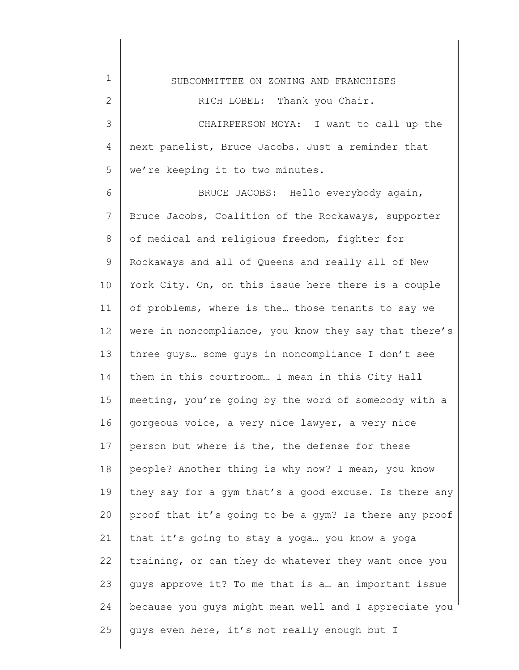| $\mathbf 1$  | SUBCOMMITTEE ON ZONING AND FRANCHISES                 |
|--------------|-------------------------------------------------------|
| $\mathbf{2}$ | RICH LOBEL: Thank you Chair.                          |
| 3            | CHAIRPERSON MOYA: I want to call up the               |
| 4            | next panelist, Bruce Jacobs. Just a reminder that     |
| 5            | we're keeping it to two minutes.                      |
| 6            | BRUCE JACOBS: Hello everybody again,                  |
| 7            | Bruce Jacobs, Coalition of the Rockaways, supporter   |
| 8            | of medical and religious freedom, fighter for         |
| 9            | Rockaways and all of Queens and really all of New     |
| 10           | York City. On, on this issue here there is a couple   |
| 11           | of problems, where is the those tenants to say we     |
| 12           | were in noncompliance, you know they say that there's |
| 13           | three guys some guys in noncompliance I don't see     |
| 14           | them in this courtroom I mean in this City Hall       |
| 15           | meeting, you're going by the word of somebody with a  |
| 16           | gorgeous voice, a very nice lawyer, a very nice       |
| 17           | person but where is the, the defense for these        |
| 18           | people? Another thing is why now? I mean, you know    |
| 19           | they say for a gym that's a good excuse. Is there any |
| 20           | proof that it's going to be a gym? Is there any proof |
| 21           | that it's going to stay a yoga you know a yoga        |
| 22           | training, or can they do whatever they want once you  |
| 23           | guys approve it? To me that is a an important issue   |
| 24           | because you quys might mean well and I appreciate you |
| 25           | guys even here, it's not really enough but I          |
|              |                                                       |

 $\begin{array}{c} \hline \end{array}$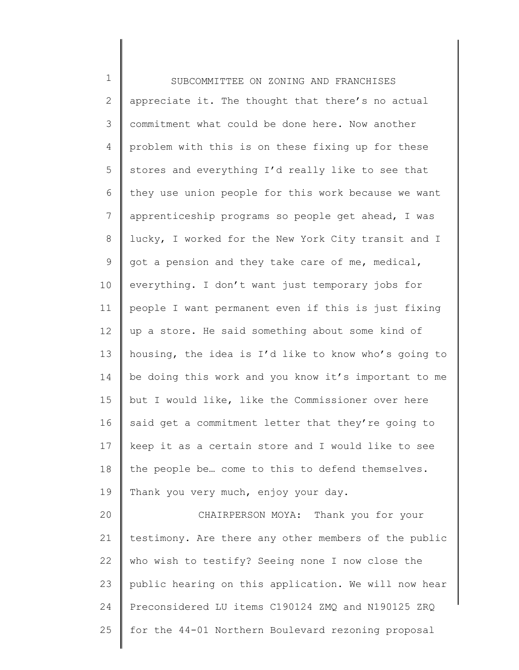1 2 3 4 5 6 7 8 9 10 11 12 13 14 15 16 17 18 19 20 21 22 23 24 25 SUBCOMMITTEE ON ZONING AND FRANCHISES appreciate it. The thought that there's no actual commitment what could be done here. Now another problem with this is on these fixing up for these stores and everything I'd really like to see that they use union people for this work because we want apprenticeship programs so people get ahead, I was lucky, I worked for the New York City transit and I got a pension and they take care of me, medical, everything. I don't want just temporary jobs for people I want permanent even if this is just fixing up a store. He said something about some kind of housing, the idea is I'd like to know who's going to be doing this work and you know it's important to me but I would like, like the Commissioner over here said get a commitment letter that they're going to keep it as a certain store and I would like to see the people be… come to this to defend themselves. Thank you very much, enjoy your day. CHAIRPERSON MOYA: Thank you for your testimony. Are there any other members of the public who wish to testify? Seeing none I now close the public hearing on this application. We will now hear Preconsidered LU items C190124 ZMQ and N190125 ZRQ for the 44-01 Northern Boulevard rezoning proposal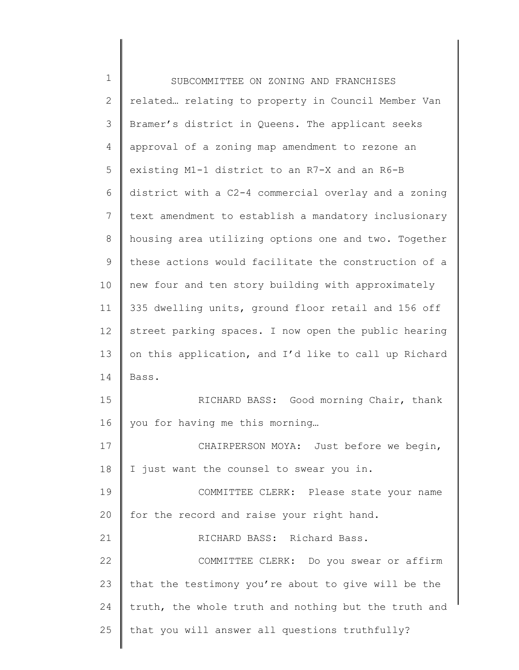| $\mathbf 1$    | SUBCOMMITTEE ON ZONING AND FRANCHISES                |
|----------------|------------------------------------------------------|
| $\mathbf{2}$   | related relating to property in Council Member Van   |
| 3              | Bramer's district in Queens. The applicant seeks     |
| 4              | approval of a zoning map amendment to rezone an      |
| 5              | existing M1-1 district to an R7-X and an R6-B        |
| 6              | district with a C2-4 commercial overlay and a zoning |
| $\overline{7}$ | text amendment to establish a mandatory inclusionary |
| 8              | housing area utilizing options one and two. Together |
| $\mathsf 9$    | these actions would facilitate the construction of a |
| 10             | new four and ten story building with approximately   |
| 11             | 335 dwelling units, ground floor retail and 156 off  |
| 12             | street parking spaces. I now open the public hearing |
| 13             | on this application, and I'd like to call up Richard |
| 14             | Bass.                                                |
| 15             | RICHARD BASS: Good morning Chair, thank              |
| 16             | you for having me this morning                       |
| 17             | CHAIRPERSON MOYA: Just before we begin,              |
| 18             | I just want the counsel to swear you in.             |
| 19             | COMMITTEE CLERK: Please state your name              |
| 20             | for the record and raise your right hand.            |
| 21             | RICHARD BASS: Richard Bass.                          |
| 22             | COMMITTEE CLERK: Do you swear or affirm              |
| 23             | that the testimony you're about to give will be the  |
| 24             | truth, the whole truth and nothing but the truth and |
| 25             | that you will answer all questions truthfully?       |
|                |                                                      |

∥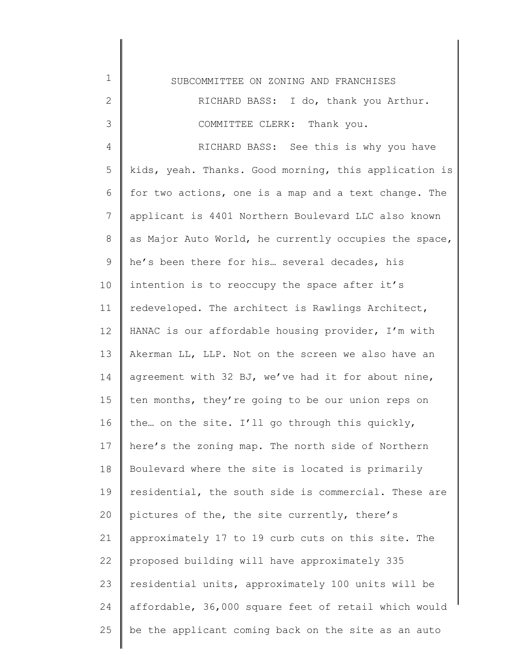SUBCOMMITTEE ON ZONING AND FRANCHISES RICHARD BASS: I do, thank you Arthur. COMMITTEE CLERK: Thank you.

1

2

3

4 5 6 7 8 9 10 11 12 13 14 15 16 17 18 19 20 21 22 23 24 25 RICHARD BASS: See this is why you have kids, yeah. Thanks. Good morning, this application is for two actions, one is a map and a text change. The applicant is 4401 Northern Boulevard LLC also known as Major Auto World, he currently occupies the space, he's been there for his… several decades, his intention is to reoccupy the space after it's redeveloped. The architect is Rawlings Architect, HANAC is our affordable housing provider, I'm with Akerman LL, LLP. Not on the screen we also have an agreement with 32 BJ, we've had it for about nine, ten months, they're going to be our union reps on the… on the site. I'll go through this quickly, here's the zoning map. The north side of Northern Boulevard where the site is located is primarily residential, the south side is commercial. These are pictures of the, the site currently, there's approximately 17 to 19 curb cuts on this site. The proposed building will have approximately 335 residential units, approximately 100 units will be affordable, 36,000 square feet of retail which would be the applicant coming back on the site as an auto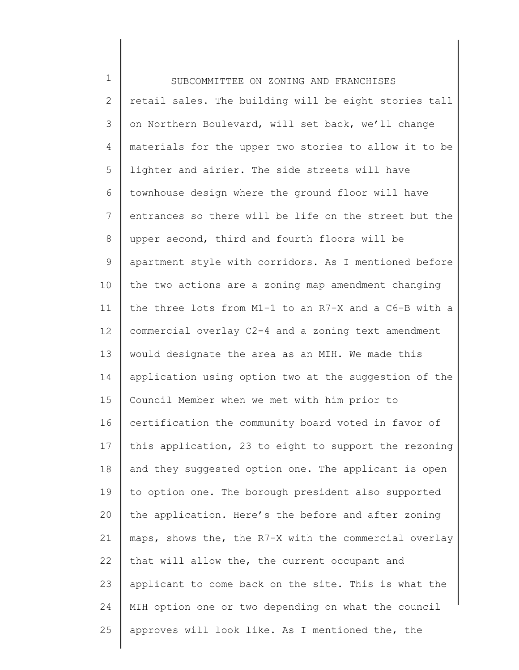1 2 3 4 5 6 7 8 9 10 11 12 13 14 15 16 17 18 19 20 21 22 23 24 25 SUBCOMMITTEE ON ZONING AND FRANCHISES retail sales. The building will be eight stories tall on Northern Boulevard, will set back, we'll change materials for the upper two stories to allow it to be lighter and airier. The side streets will have townhouse design where the ground floor will have entrances so there will be life on the street but the upper second, third and fourth floors will be apartment style with corridors. As I mentioned before the two actions are a zoning map amendment changing the three lots from M1-1 to an R7-X and a C6-B with a commercial overlay C2-4 and a zoning text amendment would designate the area as an MIH. We made this application using option two at the suggestion of the Council Member when we met with him prior to certification the community board voted in favor of this application, 23 to eight to support the rezoning and they suggested option one. The applicant is open to option one. The borough president also supported the application. Here's the before and after zoning maps, shows the, the R7-X with the commercial overlay that will allow the, the current occupant and applicant to come back on the site. This is what the MIH option one or two depending on what the council approves will look like. As I mentioned the, the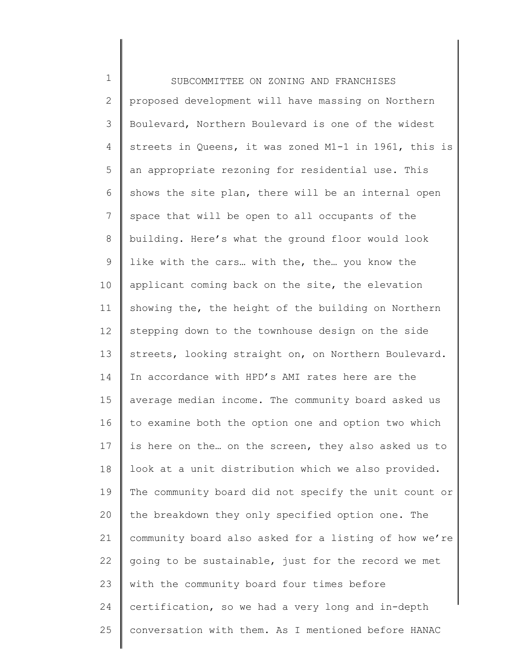1 2 3 4 5 6 7 8 9 10 11 12 13 14 15 16 17 18 19 20 21 22 23 24 25 SUBCOMMITTEE ON ZONING AND FRANCHISES proposed development will have massing on Northern Boulevard, Northern Boulevard is one of the widest streets in Queens, it was zoned M1-1 in 1961, this is an appropriate rezoning for residential use. This shows the site plan, there will be an internal open space that will be open to all occupants of the building. Here's what the ground floor would look like with the cars… with the, the… you know the applicant coming back on the site, the elevation showing the, the height of the building on Northern stepping down to the townhouse design on the side streets, looking straight on, on Northern Boulevard. In accordance with HPD's AMI rates here are the average median income. The community board asked us to examine both the option one and option two which is here on the… on the screen, they also asked us to look at a unit distribution which we also provided. The community board did not specify the unit count or the breakdown they only specified option one. The community board also asked for a listing of how we're going to be sustainable, just for the record we met with the community board four times before certification, so we had a very long and in-depth conversation with them. As I mentioned before HANAC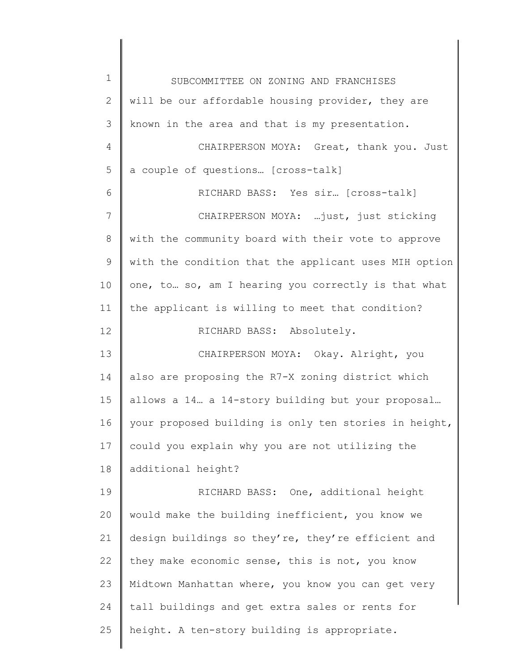1 2 3 4 5 6 7 8 9 10 11 12 13 14 15 16 17 18 19 20 21 22 23 24 25 SUBCOMMITTEE ON ZONING AND FRANCHISES will be our affordable housing provider, they are known in the area and that is my presentation. CHAIRPERSON MOYA: Great, thank you. Just a couple of questions… [cross-talk] RICHARD BASS: Yes sir… [cross-talk] CHAIRPERSON MOYA: …just, just sticking with the community board with their vote to approve with the condition that the applicant uses MIH option one, to… so, am I hearing you correctly is that what the applicant is willing to meet that condition? RICHARD BASS: Absolutely. CHAIRPERSON MOYA: Okay. Alright, you also are proposing the R7-X zoning district which allows a 14… a 14-story building but your proposal… your proposed building is only ten stories in height, could you explain why you are not utilizing the additional height? RICHARD BASS: One, additional height would make the building inefficient, you know we design buildings so they're, they're efficient and they make economic sense, this is not, you know Midtown Manhattan where, you know you can get very tall buildings and get extra sales or rents for height. A ten-story building is appropriate.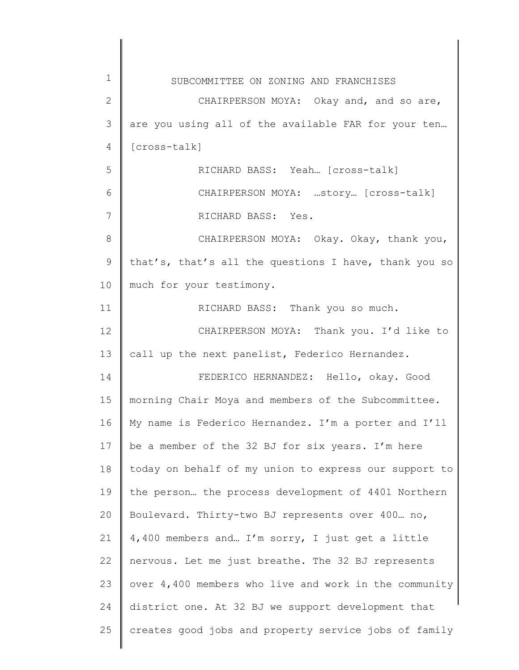| 1            | SUBCOMMITTEE ON ZONING AND FRANCHISES                 |
|--------------|-------------------------------------------------------|
| $\mathbf{2}$ | CHAIRPERSON MOYA: Okay and, and so are,               |
| 3            | are you using all of the available FAR for your ten   |
| 4            | [cross-talk]                                          |
| 5            | RICHARD BASS: Yeah [cross-talk]                       |
| 6            | CHAIRPERSON MOYA: story [cross-talk]                  |
| 7            | RICHARD BASS: Yes.                                    |
| 8            | CHAIRPERSON MOYA: Okay. Okay, thank you,              |
| 9            | that's, that's all the questions I have, thank you so |
| 10           | much for your testimony.                              |
| 11           | RICHARD BASS: Thank you so much.                      |
| 12           | CHAIRPERSON MOYA: Thank you. I'd like to              |
| 13           | call up the next panelist, Federico Hernandez.        |
| 14           | FEDERICO HERNANDEZ: Hello, okay. Good                 |
| 15           | morning Chair Moya and members of the Subcommittee.   |
| 16           | My name is Federico Hernandez. I'm a porter and I'll  |
| 17           | be a member of the 32 BJ for six years. I'm here      |
| 18           | today on behalf of my union to express our support to |
| 19           | the person the process development of 4401 Northern   |
| 20           | Boulevard. Thirty-two BJ represents over 400. no,     |
| 21           | 4,400 members and  I'm sorry, I just get a little     |
| 22           | nervous. Let me just breathe. The 32 BJ represents    |
| 23           | over 4,400 members who live and work in the community |
| 24           | district one. At 32 BJ we support development that    |
| 25           | creates good jobs and property service jobs of family |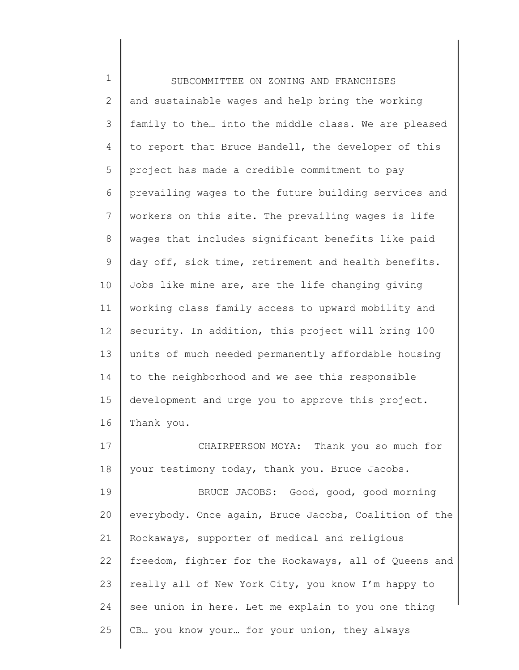1 2 3 4 5 6 7 8 9 10 11 12 13 14 15 16 17 18 19 20 21 22 23 24 SUBCOMMITTEE ON ZONING AND FRANCHISES and sustainable wages and help bring the working family to the… into the middle class. We are pleased to report that Bruce Bandell, the developer of this project has made a credible commitment to pay prevailing wages to the future building services and workers on this site. The prevailing wages is life wages that includes significant benefits like paid day off, sick time, retirement and health benefits. Jobs like mine are, are the life changing giving working class family access to upward mobility and security. In addition, this project will bring 100 units of much needed permanently affordable housing to the neighborhood and we see this responsible development and urge you to approve this project. Thank you. CHAIRPERSON MOYA: Thank you so much for your testimony today, thank you. Bruce Jacobs. BRUCE JACOBS: Good, good, good morning everybody. Once again, Bruce Jacobs, Coalition of the Rockaways, supporter of medical and religious freedom, fighter for the Rockaways, all of Queens and really all of New York City, you know I'm happy to see union in here. Let me explain to you one thing

CB… you know your… for your union, they always

25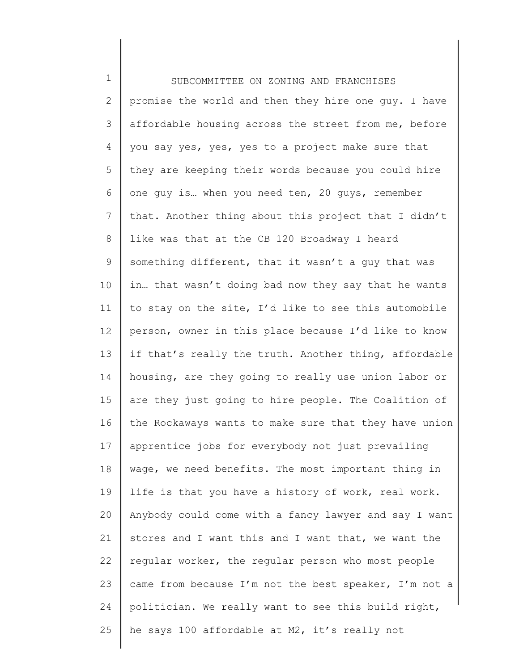1 2 3 4 5 6 7 8 9 10 11 12 13 14 15 16 17 18 19 20 21 22 23 24 25 SUBCOMMITTEE ON ZONING AND FRANCHISES promise the world and then they hire one guy. I have affordable housing across the street from me, before you say yes, yes, yes to a project make sure that they are keeping their words because you could hire one guy is… when you need ten, 20 guys, remember that. Another thing about this project that I didn't like was that at the CB 120 Broadway I heard something different, that it wasn't a guy that was in… that wasn't doing bad now they say that he wants to stay on the site, I'd like to see this automobile person, owner in this place because I'd like to know if that's really the truth. Another thing, affordable housing, are they going to really use union labor or are they just going to hire people. The Coalition of the Rockaways wants to make sure that they have union apprentice jobs for everybody not just prevailing wage, we need benefits. The most important thing in life is that you have a history of work, real work. Anybody could come with a fancy lawyer and say I want stores and I want this and I want that, we want the regular worker, the regular person who most people came from because I'm not the best speaker, I'm not a politician. We really want to see this build right, he says 100 affordable at M2, it's really not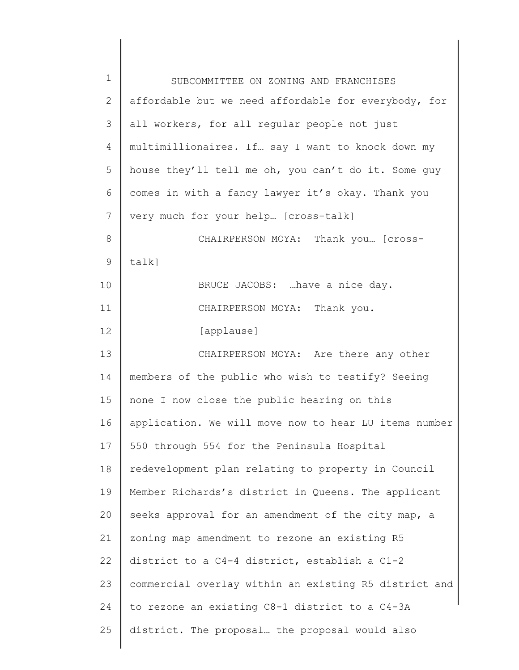| $\mathbf 1$ | SUBCOMMITTEE ON ZONING AND FRANCHISES                 |
|-------------|-------------------------------------------------------|
| 2           | affordable but we need affordable for everybody, for  |
| 3           | all workers, for all regular people not just          |
| 4           | multimillionaires. If say I want to knock down my     |
| 5           | house they'll tell me oh, you can't do it. Some guy   |
| 6           | comes in with a fancy lawyer it's okay. Thank you     |
| 7           | very much for your help [cross-talk]                  |
| 8           | CHAIRPERSON MOYA: Thank you [Cross-                   |
| 9           | talk]                                                 |
| 10          | BRUCE JACOBS:  have a nice day.                       |
| 11          | CHAIRPERSON MOYA: Thank you.                          |
| 12          | [applause]                                            |
| 13          | CHAIRPERSON MOYA: Are there any other                 |
| 14          | members of the public who wish to testify? Seeing     |
| 15          | none I now close the public hearing on this           |
| 16          | application. We will move now to hear LU items number |
| 17          | 550 through 554 for the Peninsula Hospital            |
| 18          | redevelopment plan relating to property in Council    |
| 19          | Member Richards's district in Queens. The applicant   |
| 20          | seeks approval for an amendment of the city map, a    |
| 21          | zoning map amendment to rezone an existing R5         |
| 22          | district to a C4-4 district, establish a C1-2         |
| 23          | commercial overlay within an existing R5 district and |
| 24          | to rezone an existing C8-1 district to a C4-3A        |
| 25          | district. The proposal the proposal would also        |
|             |                                                       |

║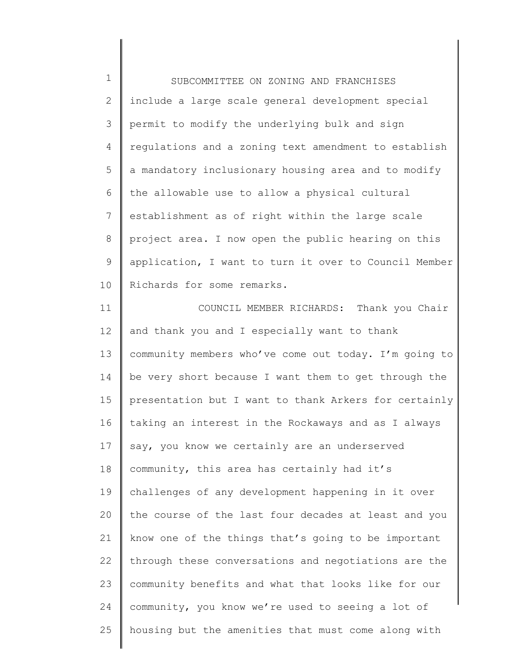1 2 3 4 5 6 7 8 9 10 SUBCOMMITTEE ON ZONING AND FRANCHISES include a large scale general development special permit to modify the underlying bulk and sign regulations and a zoning text amendment to establish a mandatory inclusionary housing area and to modify the allowable use to allow a physical cultural establishment as of right within the large scale project area. I now open the public hearing on this application, I want to turn it over to Council Member Richards for some remarks.

11 12 13 14 15 16 17 18 19 20 21 22 23 24 25 COUNCIL MEMBER RICHARDS: Thank you Chair and thank you and I especially want to thank community members who've come out today. I'm going to be very short because I want them to get through the presentation but I want to thank Arkers for certainly taking an interest in the Rockaways and as I always say, you know we certainly are an underserved community, this area has certainly had it's challenges of any development happening in it over the course of the last four decades at least and you know one of the things that's going to be important through these conversations and negotiations are the community benefits and what that looks like for our community, you know we're used to seeing a lot of housing but the amenities that must come along with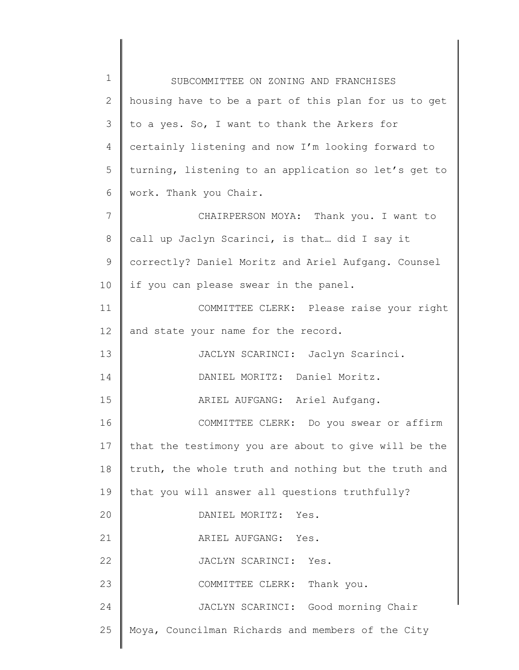1 2 3 4 5 6 7 8 9 10 11 12 13 14 15 16 17 18 19 20 21 22 23 24 25 SUBCOMMITTEE ON ZONING AND FRANCHISES housing have to be a part of this plan for us to get to a yes. So, I want to thank the Arkers for certainly listening and now I'm looking forward to turning, listening to an application so let's get to work. Thank you Chair. CHAIRPERSON MOYA: Thank you. I want to call up Jaclyn Scarinci, is that… did I say it correctly? Daniel Moritz and Ariel Aufgang. Counsel if you can please swear in the panel. COMMITTEE CLERK: Please raise your right and state your name for the record. JACLYN SCARINCI: Jaclyn Scarinci. DANIEL MORITZ: Daniel Moritz. ARIEL AUFGANG: Ariel Aufgang. COMMITTEE CLERK: Do you swear or affirm that the testimony you are about to give will be the truth, the whole truth and nothing but the truth and that you will answer all questions truthfully? DANIEL MORITZ: Yes. ARIEL AUFGANG: Yes. JACLYN SCARINCI: Yes. COMMITTEE CLERK: Thank you. JACLYN SCARINCI: Good morning Chair Moya, Councilman Richards and members of the City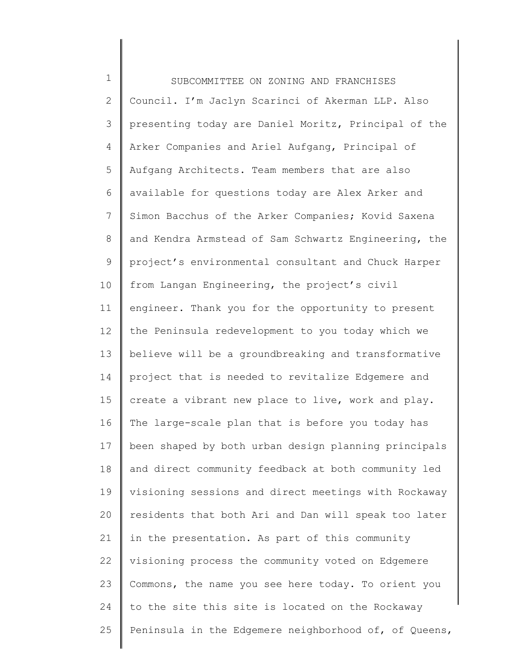1 2 3 4 5 6 7 8 9 10 11 12 13 14 15 16 17 18 19 20 21 22 23 24 25 SUBCOMMITTEE ON ZONING AND FRANCHISES Council. I'm Jaclyn Scarinci of Akerman LLP. Also presenting today are Daniel Moritz, Principal of the Arker Companies and Ariel Aufgang, Principal of Aufgang Architects. Team members that are also available for questions today are Alex Arker and Simon Bacchus of the Arker Companies; Kovid Saxena and Kendra Armstead of Sam Schwartz Engineering, the project's environmental consultant and Chuck Harper from Langan Engineering, the project's civil engineer. Thank you for the opportunity to present the Peninsula redevelopment to you today which we believe will be a groundbreaking and transformative project that is needed to revitalize Edgemere and create a vibrant new place to live, work and play. The large-scale plan that is before you today has been shaped by both urban design planning principals and direct community feedback at both community led visioning sessions and direct meetings with Rockaway residents that both Ari and Dan will speak too later in the presentation. As part of this community visioning process the community voted on Edgemere Commons, the name you see here today. To orient you to the site this site is located on the Rockaway Peninsula in the Edgemere neighborhood of, of Queens,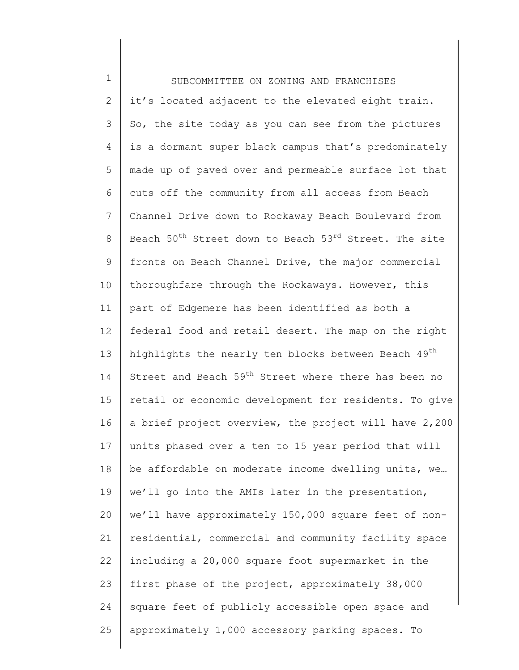1 2 3 4 5 6 7 8 9 10 11 12 13 14 15 16 17 18 19 20 21 22 23 24 25 SUBCOMMITTEE ON ZONING AND FRANCHISES it's located adjacent to the elevated eight train. So, the site today as you can see from the pictures is a dormant super black campus that's predominately made up of paved over and permeable surface lot that cuts off the community from all access from Beach Channel Drive down to Rockaway Beach Boulevard from Beach  $50<sup>th</sup>$  Street down to Beach  $53<sup>rd</sup>$  Street. The site fronts on Beach Channel Drive, the major commercial thoroughfare through the Rockaways. However, this part of Edgemere has been identified as both a federal food and retail desert. The map on the right highlights the nearly ten blocks between Beach  $49<sup>th</sup>$ Street and Beach 59<sup>th</sup> Street where there has been no retail or economic development for residents. To give a brief project overview, the project will have 2,200 units phased over a ten to 15 year period that will be affordable on moderate income dwelling units, we… we'll go into the AMIs later in the presentation, we'll have approximately 150,000 square feet of nonresidential, commercial and community facility space including a 20,000 square foot supermarket in the first phase of the project, approximately 38,000 square feet of publicly accessible open space and approximately 1,000 accessory parking spaces. To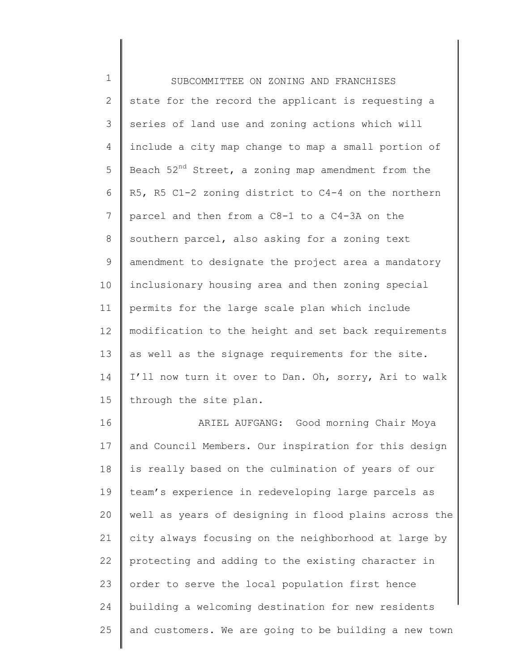1 2 3 4 5 6 7 8 9 10 11 12 13 14 15 SUBCOMMITTEE ON ZONING AND FRANCHISES state for the record the applicant is requesting a series of land use and zoning actions which will include a city map change to map a small portion of Beach  $52^{nd}$  Street, a zoning map amendment from the R5, R5 C1-2 zoning district to C4-4 on the northern parcel and then from a C8-1 to a C4-3A on the southern parcel, also asking for a zoning text amendment to designate the project area a mandatory inclusionary housing area and then zoning special permits for the large scale plan which include modification to the height and set back requirements as well as the signage requirements for the site. I'll now turn it over to Dan. Oh, sorry, Ari to walk through the site plan.

16 17 18 19 20 21 22 23 24 25 ARIEL AUFGANG: Good morning Chair Moya and Council Members. Our inspiration for this design is really based on the culmination of years of our team's experience in redeveloping large parcels as well as years of designing in flood plains across the city always focusing on the neighborhood at large by protecting and adding to the existing character in order to serve the local population first hence building a welcoming destination for new residents and customers. We are going to be building a new town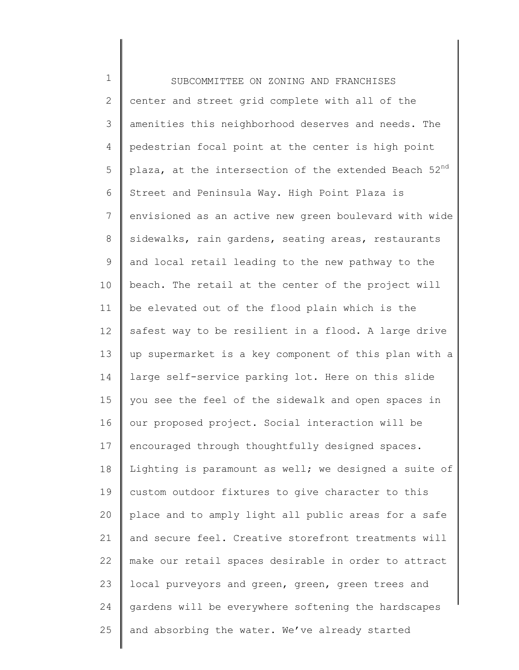1 2 3 4 5 6 7 8 9 10 11 12 13 14 15 16 17 18 19 20 21 22 23 24 25 SUBCOMMITTEE ON ZONING AND FRANCHISES center and street grid complete with all of the amenities this neighborhood deserves and needs. The pedestrian focal point at the center is high point plaza, at the intersection of the extended Beach 52<sup>nd</sup> Street and Peninsula Way. High Point Plaza is envisioned as an active new green boulevard with wide sidewalks, rain gardens, seating areas, restaurants and local retail leading to the new pathway to the beach. The retail at the center of the project will be elevated out of the flood plain which is the safest way to be resilient in a flood. A large drive up supermarket is a key component of this plan with a large self-service parking lot. Here on this slide you see the feel of the sidewalk and open spaces in our proposed project. Social interaction will be encouraged through thoughtfully designed spaces. Lighting is paramount as well; we designed a suite of custom outdoor fixtures to give character to this place and to amply light all public areas for a safe and secure feel. Creative storefront treatments will make our retail spaces desirable in order to attract local purveyors and green, green, green trees and gardens will be everywhere softening the hardscapes and absorbing the water. We've already started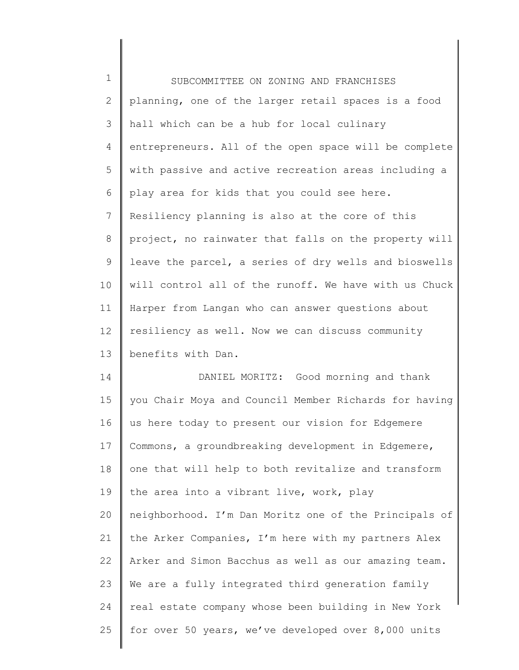1 2 3 4 5 6 7 8 9 10 11 12 13 SUBCOMMITTEE ON ZONING AND FRANCHISES planning, one of the larger retail spaces is a food hall which can be a hub for local culinary entrepreneurs. All of the open space will be complete with passive and active recreation areas including a play area for kids that you could see here. Resiliency planning is also at the core of this project, no rainwater that falls on the property will leave the parcel, a series of dry wells and bioswells will control all of the runoff. We have with us Chuck Harper from Langan who can answer questions about resiliency as well. Now we can discuss community benefits with Dan.

14 15 16 17 18 19 20 21 22 23 24 25 DANIEL MORITZ: Good morning and thank you Chair Moya and Council Member Richards for having us here today to present our vision for Edgemere Commons, a groundbreaking development in Edgemere, one that will help to both revitalize and transform the area into a vibrant live, work, play neighborhood. I'm Dan Moritz one of the Principals of the Arker Companies, I'm here with my partners Alex Arker and Simon Bacchus as well as our amazing team. We are a fully integrated third generation family real estate company whose been building in New York for over 50 years, we've developed over 8,000 units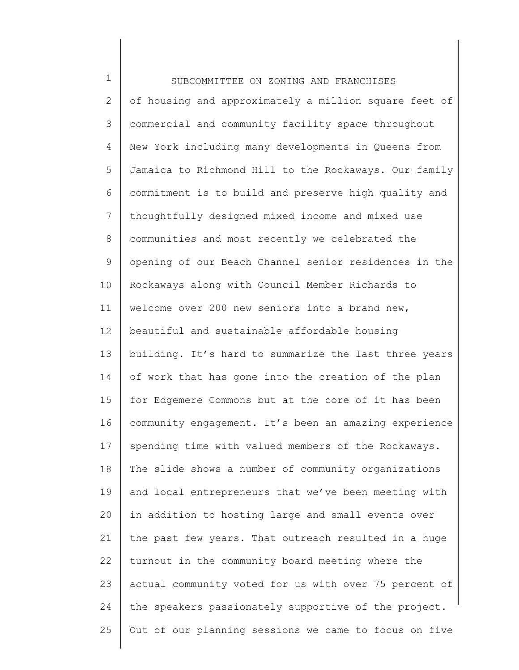1 2 3 4 5 6 7 8 9 10 11 12 13 14 15 16 17 18 19 20 21 22 23 24 25 SUBCOMMITTEE ON ZONING AND FRANCHISES of housing and approximately a million square feet of commercial and community facility space throughout New York including many developments in Queens from Jamaica to Richmond Hill to the Rockaways. Our family commitment is to build and preserve high quality and thoughtfully designed mixed income and mixed use communities and most recently we celebrated the opening of our Beach Channel senior residences in the Rockaways along with Council Member Richards to welcome over 200 new seniors into a brand new, beautiful and sustainable affordable housing building. It's hard to summarize the last three years of work that has gone into the creation of the plan for Edgemere Commons but at the core of it has been community engagement. It's been an amazing experience spending time with valued members of the Rockaways. The slide shows a number of community organizations and local entrepreneurs that we've been meeting with in addition to hosting large and small events over the past few years. That outreach resulted in a huge turnout in the community board meeting where the actual community voted for us with over 75 percent of the speakers passionately supportive of the project. Out of our planning sessions we came to focus on five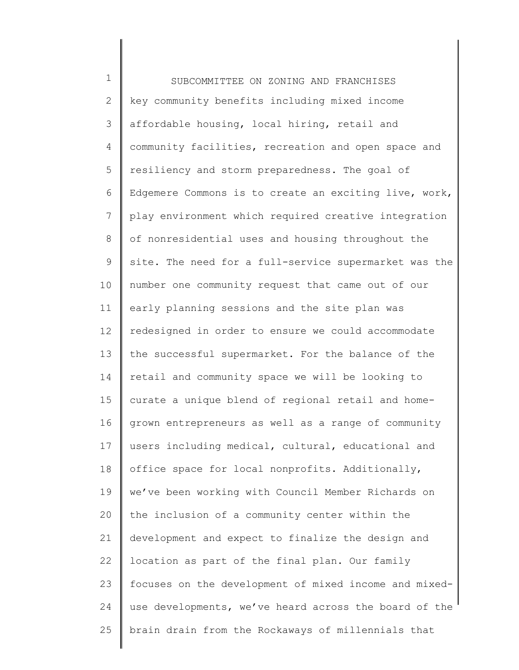1 2 3 4 5 6 7 8 9 10 11 12 13 14 15 16 17 18 19 20 21 22 23 24 25 SUBCOMMITTEE ON ZONING AND FRANCHISES key community benefits including mixed income affordable housing, local hiring, retail and community facilities, recreation and open space and resiliency and storm preparedness. The goal of Edgemere Commons is to create an exciting live, work, play environment which required creative integration of nonresidential uses and housing throughout the site. The need for a full-service supermarket was the number one community request that came out of our early planning sessions and the site plan was redesigned in order to ensure we could accommodate the successful supermarket. For the balance of the retail and community space we will be looking to curate a unique blend of regional retail and homegrown entrepreneurs as well as a range of community users including medical, cultural, educational and office space for local nonprofits. Additionally, we've been working with Council Member Richards on the inclusion of a community center within the development and expect to finalize the design and location as part of the final plan. Our family focuses on the development of mixed income and mixeduse developments, we've heard across the board of the brain drain from the Rockaways of millennials that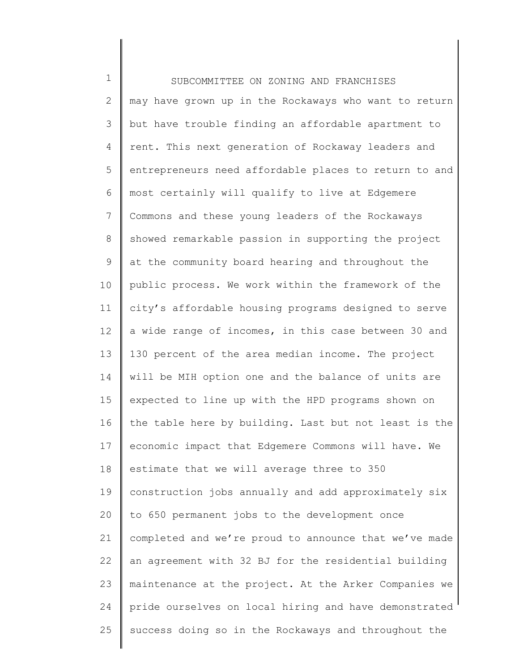1 2 3 4 5 6 7 8 9 10 11 12 13 14 15 16 17 18 19 20 21 22 23 24 25 SUBCOMMITTEE ON ZONING AND FRANCHISES may have grown up in the Rockaways who want to return but have trouble finding an affordable apartment to rent. This next generation of Rockaway leaders and entrepreneurs need affordable places to return to and most certainly will qualify to live at Edgemere Commons and these young leaders of the Rockaways showed remarkable passion in supporting the project at the community board hearing and throughout the public process. We work within the framework of the city's affordable housing programs designed to serve a wide range of incomes, in this case between 30 and 130 percent of the area median income. The project will be MIH option one and the balance of units are expected to line up with the HPD programs shown on the table here by building. Last but not least is the economic impact that Edgemere Commons will have. We estimate that we will average three to 350 construction jobs annually and add approximately six to 650 permanent jobs to the development once completed and we're proud to announce that we've made an agreement with 32 BJ for the residential building maintenance at the project. At the Arker Companies we pride ourselves on local hiring and have demonstrated success doing so in the Rockaways and throughout the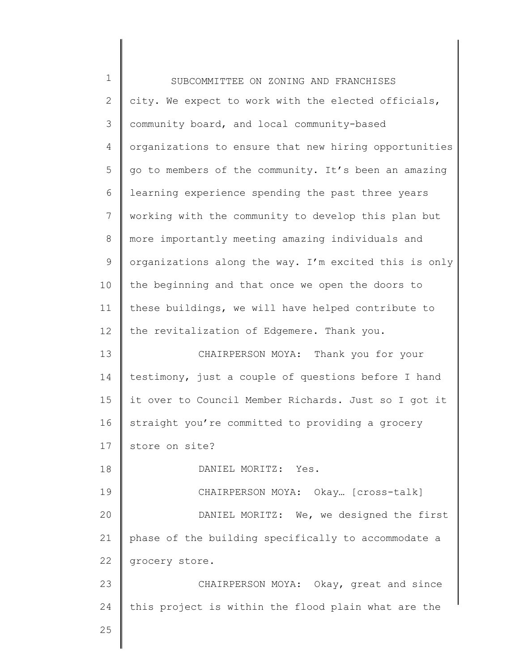| $\mathbf 1$ | SUBCOMMITTEE ON ZONING AND FRANCHISES                 |
|-------------|-------------------------------------------------------|
| 2           | city. We expect to work with the elected officials,   |
| 3           | community board, and local community-based            |
| 4           | organizations to ensure that new hiring opportunities |
| 5           | go to members of the community. It's been an amazing  |
| 6           | learning experience spending the past three years     |
| 7           | working with the community to develop this plan but   |
| 8           | more importantly meeting amazing individuals and      |
| 9           | organizations along the way. I'm excited this is only |
| 10          | the beginning and that once we open the doors to      |
| 11          | these buildings, we will have helped contribute to    |
| 12          | the revitalization of Edgemere. Thank you.            |
| 13          | CHAIRPERSON MOYA: Thank you for your                  |
| 14          | testimony, just a couple of questions before I hand   |
| 15          | it over to Council Member Richards. Just so I got it  |
| 16          | straight you're committed to providing a grocery      |
| 17          | store on site?                                        |
| 18          | DANIEL MORITZ: Yes.                                   |
| 19          | CHAIRPERSON MOYA: Okay [cross-talk]                   |
| 20          | DANIEL MORITZ: We, we designed the first              |
| 21          | phase of the building specifically to accommodate a   |
| 22          | grocery store.                                        |
| 23          | CHAIRPERSON MOYA: Okay, great and since               |
| 24          | this project is within the flood plain what are the   |
| 25          |                                                       |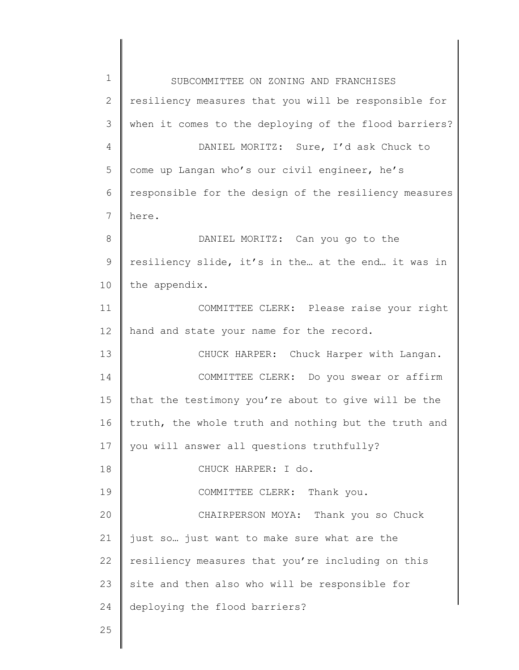1 2 3 4 5 6 7 8 9 10 11 12 13 14 15 16 17 18 19 20 21 22 23 24 25 SUBCOMMITTEE ON ZONING AND FRANCHISES resiliency measures that you will be responsible for when it comes to the deploying of the flood barriers? DANIEL MORITZ: Sure, I'd ask Chuck to come up Langan who's our civil engineer, he's responsible for the design of the resiliency measures here. DANIEL MORITZ: Can you go to the resiliency slide, it's in the… at the end… it was in the appendix. COMMITTEE CLERK: Please raise your right hand and state your name for the record. CHUCK HARPER: Chuck Harper with Langan. COMMITTEE CLERK: Do you swear or affirm that the testimony you're about to give will be the truth, the whole truth and nothing but the truth and you will answer all questions truthfully? CHUCK HARPER: I do. COMMITTEE CLERK: Thank you. CHAIRPERSON MOYA: Thank you so Chuck just so… just want to make sure what are the resiliency measures that you're including on this site and then also who will be responsible for deploying the flood barriers?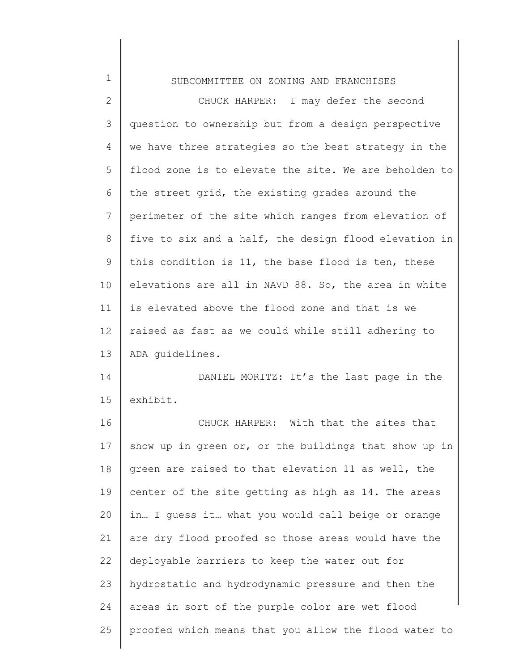| $\mathbf 1$  | SUBCOMMITTEE ON ZONING AND FRANCHISES                 |
|--------------|-------------------------------------------------------|
| $\mathbf{2}$ | CHUCK HARPER: I may defer the second                  |
| 3            | question to ownership but from a design perspective   |
| 4            | we have three strategies so the best strategy in the  |
| 5            | flood zone is to elevate the site. We are beholden to |
| 6            | the street grid, the existing grades around the       |
| 7            | perimeter of the site which ranges from elevation of  |
| $8\,$        | five to six and a half, the design flood elevation in |
| $\mathsf 9$  | this condition is 11, the base flood is ten, these    |
| 10           | elevations are all in NAVD 88. So, the area in white  |
| 11           | is elevated above the flood zone and that is we       |
| 12           | raised as fast as we could while still adhering to    |
| 13           | ADA quidelines.                                       |
| 14           | DANIEL MORITZ: It's the last page in the              |
| 15           | exhibit.                                              |
| 16           | CHUCK HARPER: With that the sites that                |
| 17           | show up in green or, or the buildings that show up in |
| 18           | green are raised to that elevation 11 as well, the    |
| 19           | center of the site getting as high as 14. The areas   |
| 20           | in I quess it what you would call beige or orange     |
| 21           | are dry flood proofed so those areas would have the   |
| 22           | deployable barriers to keep the water out for         |
| 23           | hydrostatic and hydrodynamic pressure and then the    |
| 24           | areas in sort of the purple color are wet flood       |
| 25           | proofed which means that you allow the flood water to |
|              |                                                       |

 $\begin{array}{c} \hline \end{array}$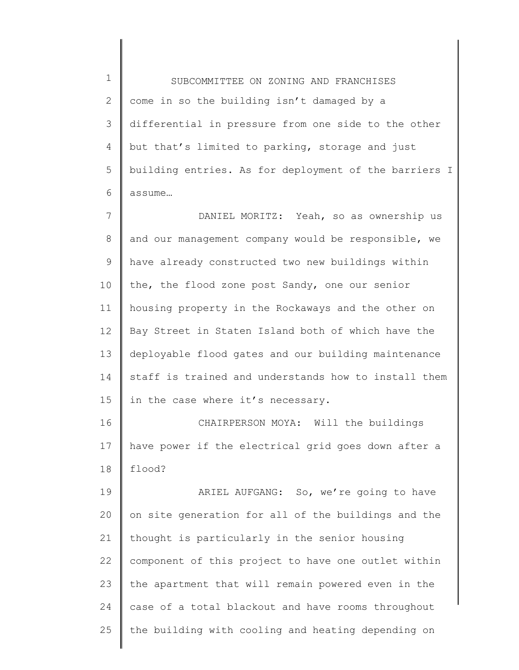1 2 3 4 5 6 SUBCOMMITTEE ON ZONING AND FRANCHISES come in so the building isn't damaged by a differential in pressure from one side to the other but that's limited to parking, storage and just building entries. As for deployment of the barriers I assume…

7 8 9 10 11 12 13 14 15 DANIEL MORITZ: Yeah, so as ownership us and our management company would be responsible, we have already constructed two new buildings within the, the flood zone post Sandy, one our senior housing property in the Rockaways and the other on Bay Street in Staten Island both of which have the deployable flood gates and our building maintenance staff is trained and understands how to install them in the case where it's necessary.

16 17 18 CHAIRPERSON MOYA: Will the buildings have power if the electrical grid goes down after a flood?

19 20 21 22 23 24 25 ARIEL AUFGANG: So, we're going to have on site generation for all of the buildings and the thought is particularly in the senior housing component of this project to have one outlet within the apartment that will remain powered even in the case of a total blackout and have rooms throughout the building with cooling and heating depending on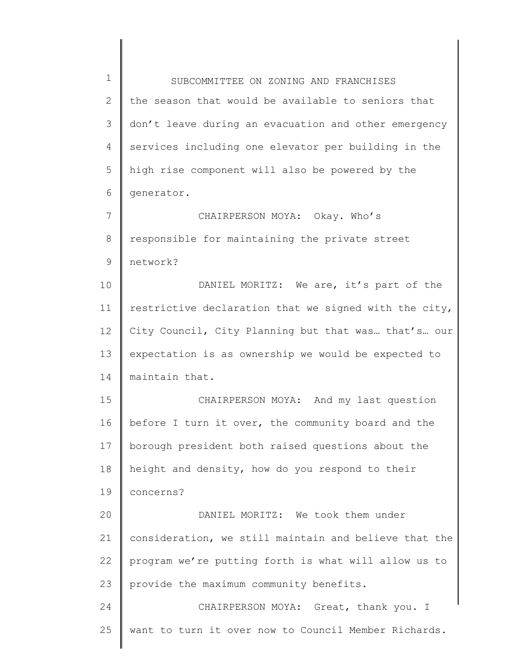1 2 3 4 5 6 7 8 9 10 11 12 13 14 15 16 17 18 19 20 21 22 23 24 25 SUBCOMMITTEE ON ZONING AND FRANCHISES the season that would be available to seniors that don't leave during an evacuation and other emergency services including one elevator per building in the high rise component will also be powered by the generator. CHAIRPERSON MOYA: Okay. Who's responsible for maintaining the private street network? DANIEL MORITZ: We are, it's part of the restrictive declaration that we signed with the city, City Council, City Planning but that was… that's… our expectation is as ownership we would be expected to maintain that. CHAIRPERSON MOYA: And my last question before I turn it over, the community board and the borough president both raised questions about the height and density, how do you respond to their concerns? DANIEL MORITZ: We took them under consideration, we still maintain and believe that the program we're putting forth is what will allow us to provide the maximum community benefits. CHAIRPERSON MOYA: Great, thank you. I want to turn it over now to Council Member Richards.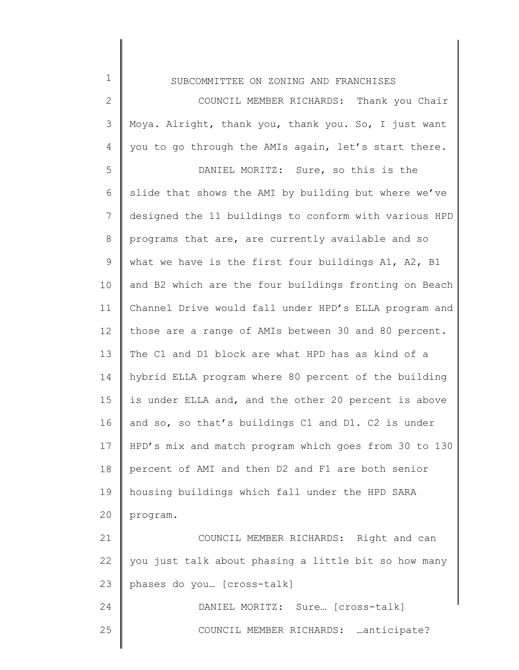1 2 3 4 5 6 7 8 9 10 11 12 13 14 15 16 17 18 19 20 21 22 23 24 SUBCOMMITTEE ON ZONING AND FRANCHISES COUNCIL MEMBER RICHARDS: Thank you Chair Moya. Alright, thank you, thank you. So, I just want you to go through the AMIs again, let's start there. DANIEL MORITZ: Sure, so this is the slide that shows the AMI by building but where we've designed the 11 buildings to conform with various HPD programs that are, are currently available and so what we have is the first four buildings A1, A2, B1 and B2 which are the four buildings fronting on Beach Channel Drive would fall under HPD's ELLA program and those are a range of AMIs between 30 and 80 percent. The C1 and D1 block are what HPD has as kind of a hybrid ELLA program where 80 percent of the building is under ELLA and, and the other 20 percent is above and so, so that's buildings C1 and D1. C2 is under HPD's mix and match program which goes from 30 to 130 percent of AMI and then D2 and F1 are both senior housing buildings which fall under the HPD SARA program. COUNCIL MEMBER RICHARDS: Right and can you just talk about phasing a little bit so how many phases do you… [cross-talk] DANIEL MORITZ: Sure… [cross-talk]

25

COUNCIL MEMBER RICHARDS: …anticipate?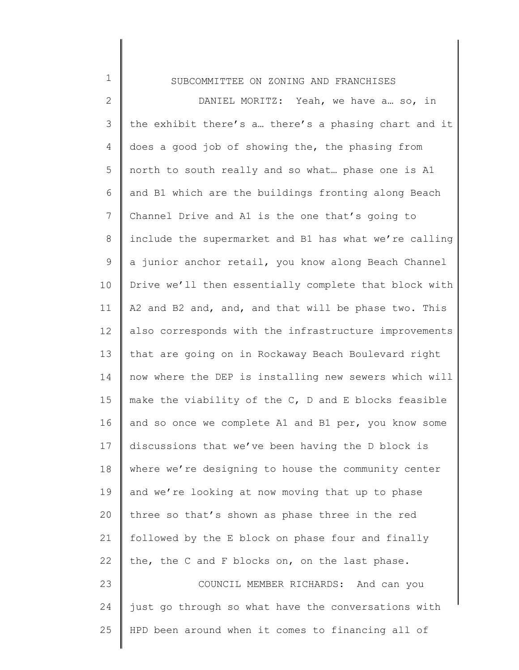1 2 3 4 5 6 7 8 9 10 11 12 13 14 15 16 17 18 19 20 21 22 23 24 25 SUBCOMMITTEE ON ZONING AND FRANCHISES DANIEL MORITZ: Yeah, we have a... so, in the exhibit there's a… there's a phasing chart and it does a good job of showing the, the phasing from north to south really and so what… phase one is A1 and B1 which are the buildings fronting along Beach Channel Drive and A1 is the one that's going to include the supermarket and B1 has what we're calling a junior anchor retail, you know along Beach Channel Drive we'll then essentially complete that block with A2 and B2 and, and, and that will be phase two. This also corresponds with the infrastructure improvements that are going on in Rockaway Beach Boulevard right now where the DEP is installing new sewers which will make the viability of the C, D and E blocks feasible and so once we complete A1 and B1 per, you know some discussions that we've been having the D block is where we're designing to house the community center and we're looking at now moving that up to phase three so that's shown as phase three in the red followed by the E block on phase four and finally the, the C and F blocks on, on the last phase. COUNCIL MEMBER RICHARDS: And can you just go through so what have the conversations with HPD been around when it comes to financing all of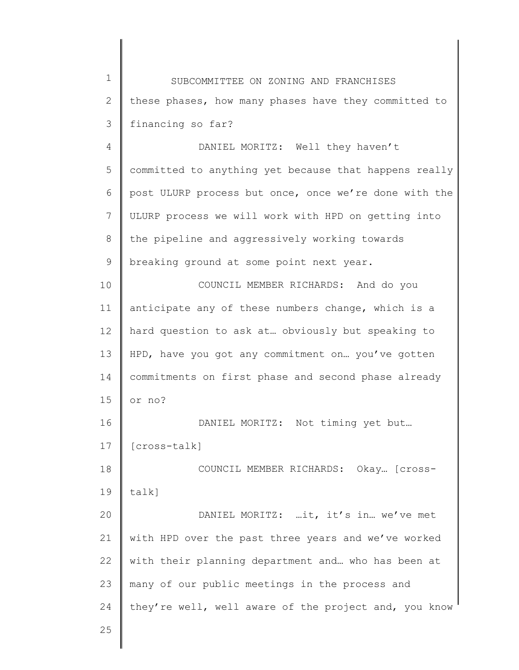1 2 3 SUBCOMMITTEE ON ZONING AND FRANCHISES these phases, how many phases have they committed to financing so far?

4 5 6 7 8 9 DANIEL MORITZ: Well they haven't committed to anything yet because that happens really post ULURP process but once, once we're done with the ULURP process we will work with HPD on getting into the pipeline and aggressively working towards breaking ground at some point next year.

10 11 12 13 14 15 COUNCIL MEMBER RICHARDS: And do you anticipate any of these numbers change, which is a hard question to ask at… obviously but speaking to HPD, have you got any commitment on… you've gotten commitments on first phase and second phase already or no?

16 17 DANIEL MORITZ: Not timing yet but… [cross-talk]

18 19 COUNCIL MEMBER RICHARDS: Okay… [crosstalk]

20 21 22 23 24 DANIEL MORITZ: …it, it's in… we've met with HPD over the past three years and we've worked with their planning department and… who has been at many of our public meetings in the process and they're well, well aware of the project and, you know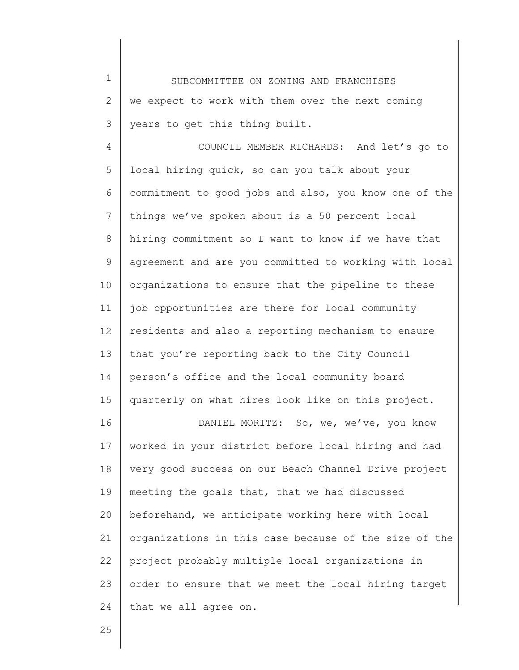1 2 3 SUBCOMMITTEE ON ZONING AND FRANCHISES we expect to work with them over the next coming years to get this thing built.

4 5 6 7 8 9 10 11 12 13 14 15 COUNCIL MEMBER RICHARDS: And let's go to local hiring quick, so can you talk about your commitment to good jobs and also, you know one of the things we've spoken about is a 50 percent local hiring commitment so I want to know if we have that agreement and are you committed to working with local organizations to ensure that the pipeline to these job opportunities are there for local community residents and also a reporting mechanism to ensure that you're reporting back to the City Council person's office and the local community board quarterly on what hires look like on this project.

16 17 18 19 20 21 22 23 24 DANIEL MORITZ: So, we, we've, you know worked in your district before local hiring and had very good success on our Beach Channel Drive project meeting the goals that, that we had discussed beforehand, we anticipate working here with local organizations in this case because of the size of the project probably multiple local organizations in order to ensure that we meet the local hiring target that we all agree on.

25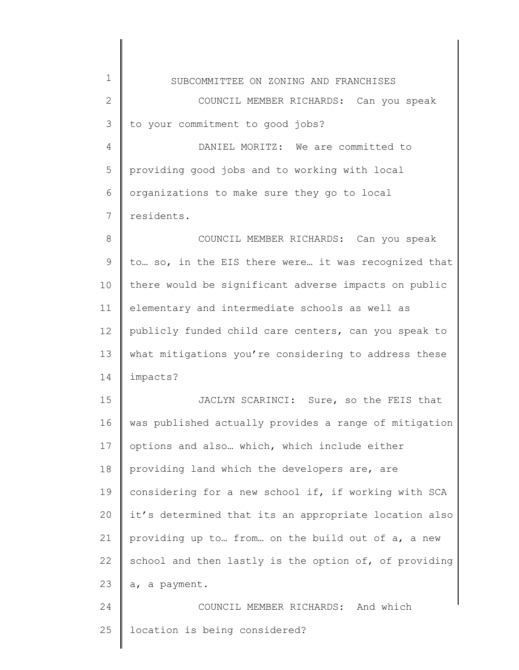| 1            | SUBCOMMITTEE ON ZONING AND FRANCHISES                 |
|--------------|-------------------------------------------------------|
| $\mathbf{2}$ | COUNCIL MEMBER RICHARDS: Can you speak                |
| 3            | to your commitment to good jobs?                      |
| 4            | DANIEL MORITZ: We are committed to                    |
| 5            | providing good jobs and to working with local         |
| 6            | organizations to make sure they go to local           |
| 7            | residents.                                            |
| 8            | COUNCIL MEMBER RICHARDS: Can you speak                |
| 9            | to so, in the EIS there were it was recognized that   |
| 10           | there would be significant adverse impacts on public  |
| 11           | elementary and intermediate schools as well as        |
| 12           | publicly funded child care centers, can you speak to  |
| 13           | what mitigations you're considering to address these  |
| 14           | impacts?                                              |
| 15           | JACLYN SCARINCI: Sure, so the FEIS that               |
| 16           | was published actually provides a range of mitigation |
| 17           | options and also which, which include either          |
| 18           | providing land which the developers are, are          |
| 19           | considering for a new school if, if working with SCA  |
| 20           | it's determined that its an appropriate location also |
| 21           | providing up to from on the build out of a, a new     |
| 22           | school and then lastly is the option of, of providing |
| 23           | a, a payment.                                         |
| 24           | COUNCIL MEMBER RICHARDS: And which                    |
| 25           | location is being considered?                         |
|              |                                                       |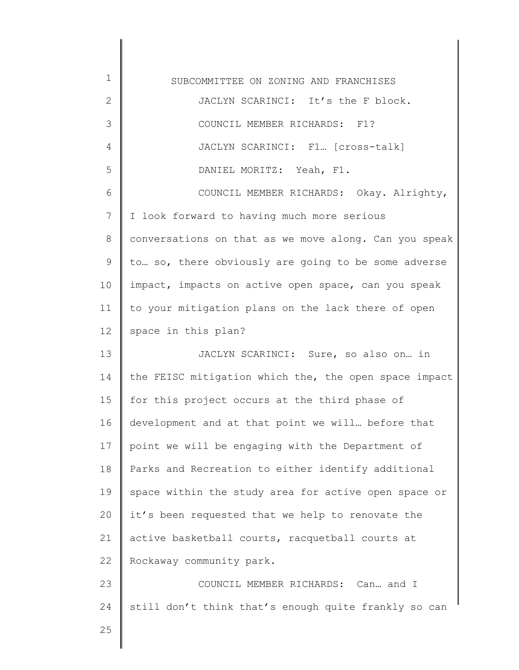| $\mathbf 1$    | SUBCOMMITTEE ON ZONING AND FRANCHISES                 |
|----------------|-------------------------------------------------------|
| $\mathbf{2}$   | JACLYN SCARINCI: It's the F block.                    |
| 3              | COUNCIL MEMBER RICHARDS: F1?                          |
| $\overline{4}$ | JACLYN SCARINCI: F1 [cross-talk]                      |
| 5              | DANIEL MORITZ: Yeah, F1.                              |
| 6              | COUNCIL MEMBER RICHARDS: Okay. Alrighty,              |
| 7              | I look forward to having much more serious            |
| 8              | conversations on that as we move along. Can you speak |
| 9              | to so, there obviously are going to be some adverse   |
| 10             | impact, impacts on active open space, can you speak   |
| 11             | to your mitigation plans on the lack there of open    |
| 12             | space in this plan?                                   |
| 13             | JACLYN SCARINCI: Sure, so also on in                  |
| 14             | the FEISC mitigation which the, the open space impact |
| 15             | for this project occurs at the third phase of         |
| 16             | development and at that point we will before that     |
| 17             | point we will be engaging with the Department of      |
| 18             | Parks and Recreation to either identify additional    |
| 19             | space within the study area for active open space or  |
| 20             | it's been requested that we help to renovate the      |
| 21             | active basketball courts, racquetball courts at       |
| 22             | Rockaway community park.                              |
| 23             | COUNCIL MEMBER RICHARDS: Can and I                    |
| 24             | still don't think that's enough quite frankly so can  |
| 25             |                                                       |
|                |                                                       |

 $\parallel$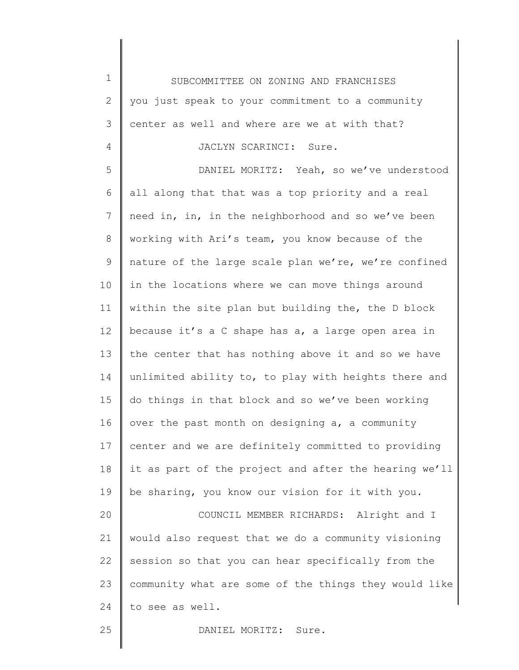1 2 3 4 SUBCOMMITTEE ON ZONING AND FRANCHISES you just speak to your commitment to a community center as well and where are we at with that? JACLYN SCARINCI: Sure.

5 6 7 8 9 10 11 12 13 14 15 16 17 18 19 20 21 22 23 DANIEL MORITZ: Yeah, so we've understood all along that that was a top priority and a real need in, in, in the neighborhood and so we've been working with Ari's team, you know because of the nature of the large scale plan we're, we're confined in the locations where we can move things around within the site plan but building the, the D block because it's a C shape has a, a large open area in the center that has nothing above it and so we have unlimited ability to, to play with heights there and do things in that block and so we've been working over the past month on designing a, a community center and we are definitely committed to providing it as part of the project and after the hearing we'll be sharing, you know our vision for it with you. COUNCIL MEMBER RICHARDS: Alright and I would also request that we do a community visioning session so that you can hear specifically from the community what are some of the things they would like

24 to see as well.

DANIEL MORITZ: Sure.

25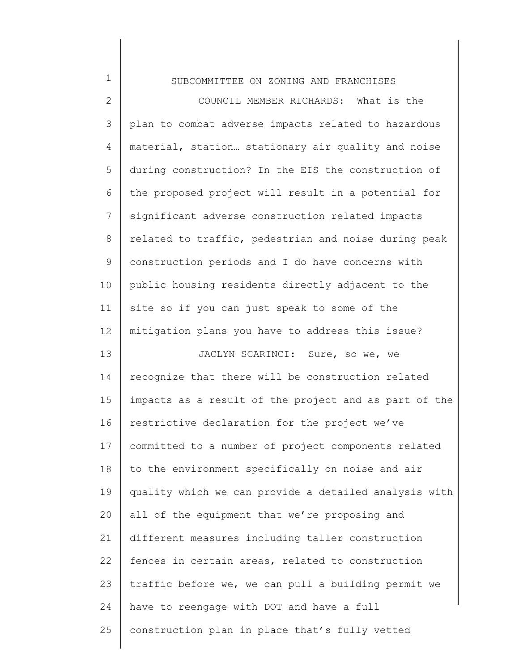| $\mathbf 1$    | SUBCOMMITTEE ON ZONING AND FRANCHISES                 |
|----------------|-------------------------------------------------------|
| $\mathbf{2}$   | COUNCIL MEMBER RICHARDS: What is the                  |
| 3              | plan to combat adverse impacts related to hazardous   |
| 4              | material, station stationary air quality and noise    |
| 5              | during construction? In the EIS the construction of   |
| 6              | the proposed project will result in a potential for   |
| $\overline{7}$ | significant adverse construction related impacts      |
| 8              | related to traffic, pedestrian and noise during peak  |
| 9              | construction periods and I do have concerns with      |
| 10             | public housing residents directly adjacent to the     |
| 11             | site so if you can just speak to some of the          |
| 12             | mitigation plans you have to address this issue?      |
| 13             | JACLYN SCARINCI: Sure, so we, we                      |
| 14             | recognize that there will be construction related     |
| 15             | impacts as a result of the project and as part of the |
| 16             | restrictive declaration for the project we've         |
| 17             | committed to a number of project components related   |
| 18             | to the environment specifically on noise and air      |
| 19             | quality which we can provide a detailed analysis with |
| 20             | all of the equipment that we're proposing and         |
| 21             | different measures including taller construction      |
| 22             | fences in certain areas, related to construction      |
| 23             | traffic before we, we can pull a building permit we   |
| 24             | have to reengage with DOT and have a full             |
| 25             | construction plan in place that's fully vetted        |
|                |                                                       |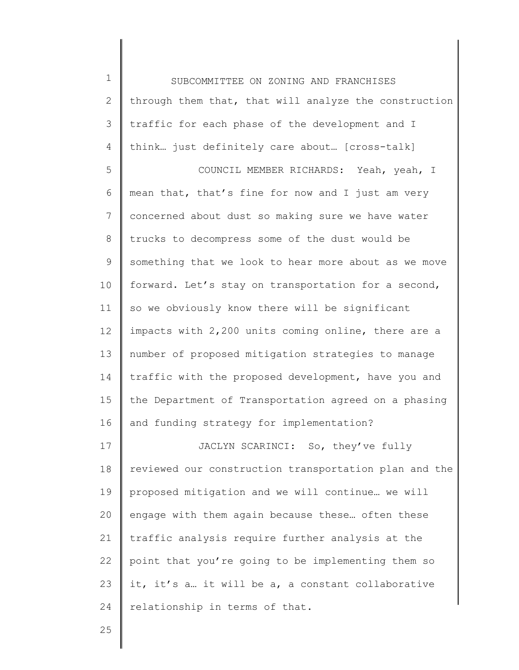1 2 3 4 5 6 7 8 9 10 11 12 13 14 15 16 17 18 19 20 21 22 23 24 SUBCOMMITTEE ON ZONING AND FRANCHISES through them that, that will analyze the construction traffic for each phase of the development and I think… just definitely care about… [cross-talk] COUNCIL MEMBER RICHARDS: Yeah, yeah, I mean that, that's fine for now and I just am very concerned about dust so making sure we have water trucks to decompress some of the dust would be something that we look to hear more about as we move forward. Let's stay on transportation for a second, so we obviously know there will be significant impacts with 2,200 units coming online, there are a number of proposed mitigation strategies to manage traffic with the proposed development, have you and the Department of Transportation agreed on a phasing and funding strategy for implementation? JACLYN SCARINCI: So, they've fully reviewed our construction transportation plan and the proposed mitigation and we will continue… we will engage with them again because these… often these traffic analysis require further analysis at the point that you're going to be implementing them so it, it's a… it will be a, a constant collaborative relationship in terms of that.

25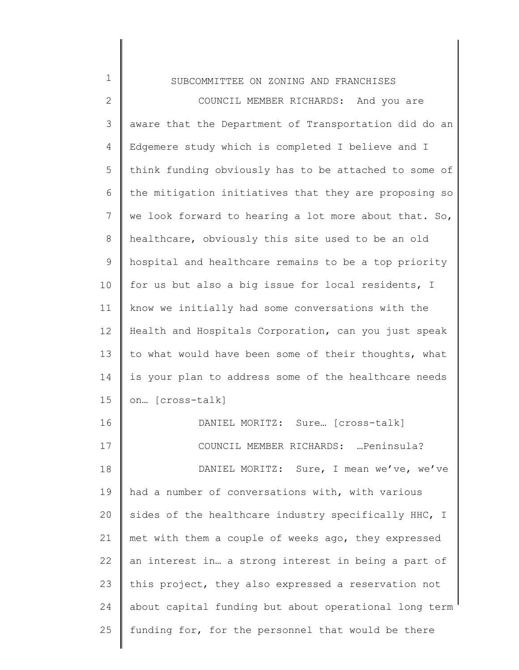| $\mathbf 1$    | SUBCOMMITTEE ON ZONING AND FRANCHISES                 |
|----------------|-------------------------------------------------------|
| $\mathbf{2}$   | COUNCIL MEMBER RICHARDS: And you are                  |
| $\mathcal{S}$  | aware that the Department of Transportation did do an |
| $\overline{4}$ | Edgemere study which is completed I believe and I     |
| 5              | think funding obviously has to be attached to some of |
| 6              | the mitigation initiatives that they are proposing so |
| 7              | we look forward to hearing a lot more about that. So, |
| 8              | healthcare, obviously this site used to be an old     |
| 9              | hospital and healthcare remains to be a top priority  |
| 10             | for us but also a big issue for local residents, I    |
| 11             | know we initially had some conversations with the     |
| 12             | Health and Hospitals Corporation, can you just speak  |
| 13             | to what would have been some of their thoughts, what  |
| 14             | is your plan to address some of the healthcare needs  |
| 15             | on [cross-talk]                                       |
| 16             | DANIEL MORITZ: Sure [cross-talk]                      |
| 17             | COUNCIL MEMBER RICHARDS:  Peninsula?                  |
| 18             | DANIEL MORITZ: Sure, I mean we've, we've              |
| 19             | had a number of conversations with, with various      |
| 20             | sides of the healthcare industry specifically HHC, I  |
| 21             | met with them a couple of weeks ago, they expressed   |
| 22             | an interest in a strong interest in being a part of   |
| 23             | this project, they also expressed a reservation not   |
| 24             | about capital funding but about operational long term |
| 25             | funding for, for the personnel that would be there    |
|                |                                                       |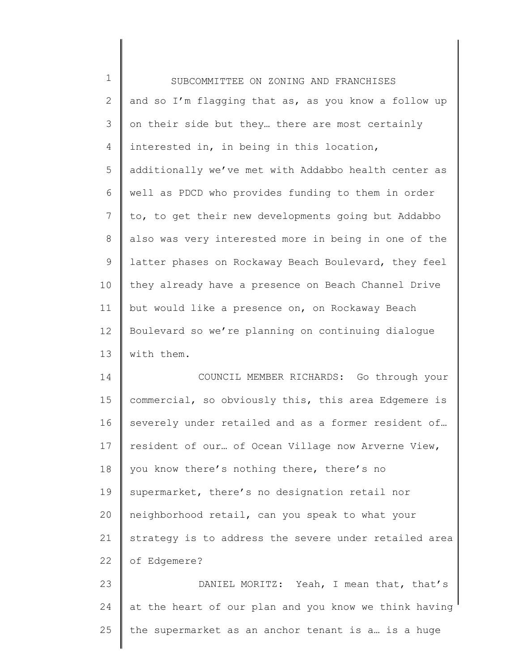1 2 3 4 5 6 7 8 9 10 11 12 13 14 15 16 17 18 19 20 21 22 SUBCOMMITTEE ON ZONING AND FRANCHISES and so  $I'm$  flagging that as, as you know a follow up on their side but they… there are most certainly interested in, in being in this location, additionally we've met with Addabbo health center as well as PDCD who provides funding to them in order to, to get their new developments going but Addabbo also was very interested more in being in one of the latter phases on Rockaway Beach Boulevard, they feel they already have a presence on Beach Channel Drive but would like a presence on, on Rockaway Beach Boulevard so we're planning on continuing dialogue with them. COUNCIL MEMBER RICHARDS: Go through your commercial, so obviously this, this area Edgemere is severely under retailed and as a former resident of… resident of our… of Ocean Village now Arverne View, you know there's nothing there, there's no supermarket, there's no designation retail nor neighborhood retail, can you speak to what your strategy is to address the severe under retailed area of Edgemere?

23 24 25 DANIEL MORITZ: Yeah, I mean that, that's at the heart of our plan and you know we think having the supermarket as an anchor tenant is a… is a huge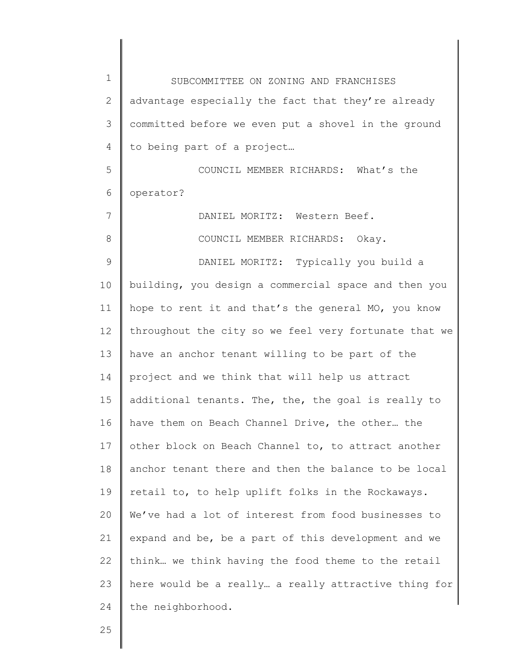1 2 3 4 5 6 7 8 9 10 11 12 13 14 15 16 17 18 19 20 21 22 23 24 SUBCOMMITTEE ON ZONING AND FRANCHISES advantage especially the fact that they're already committed before we even put a shovel in the ground to being part of a project… COUNCIL MEMBER RICHARDS: What's the operator? DANIEL MORITZ: Western Beef. COUNCIL MEMBER RICHARDS: Okay. DANIEL MORITZ: Typically you build a building, you design a commercial space and then you hope to rent it and that's the general MO, you know throughout the city so we feel very fortunate that we have an anchor tenant willing to be part of the project and we think that will help us attract additional tenants. The, the, the goal is really to have them on Beach Channel Drive, the other… the other block on Beach Channel to, to attract another anchor tenant there and then the balance to be local retail to, to help uplift folks in the Rockaways. We've had a lot of interest from food businesses to expand and be, be a part of this development and we think… we think having the food theme to the retail here would be a really… a really attractive thing for the neighborhood.

25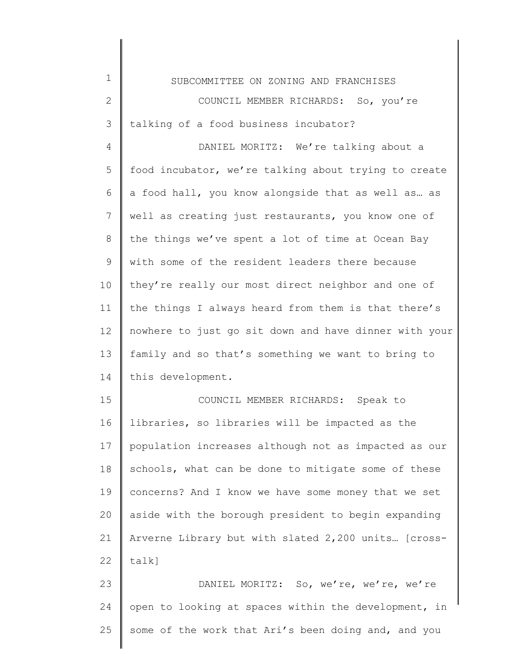| $\mathbf 1$  | SUBCOMMITTEE ON ZONING AND FRANCHISES                 |
|--------------|-------------------------------------------------------|
| $\mathbf{2}$ | COUNCIL MEMBER RICHARDS: So, you're                   |
| 3            | talking of a food business incubator?                 |
| 4            | DANIEL MORITZ: We're talking about a                  |
| 5            | food incubator, we're talking about trying to create  |
| 6            | a food hall, you know alongside that as well as as    |
| 7            | well as creating just restaurants, you know one of    |
| 8            | the things we've spent a lot of time at Ocean Bay     |
| $\mathsf 9$  | with some of the resident leaders there because       |
| 10           | they're really our most direct neighbor and one of    |
| 11           | the things I always heard from them is that there's   |
| 12           | nowhere to just go sit down and have dinner with your |
| 13           | family and so that's something we want to bring to    |
| 14           | this development.                                     |
| 15           | COUNCIL MEMBER RICHARDS: Speak to                     |
| 16           | libraries, so libraries will be impacted as the       |
| 17           | population increases although not as impacted as our  |
| 18           | schools, what can be done to mitigate some of these   |
| 19           | concerns? And I know we have some money that we set   |
| 20           | aside with the borough president to begin expanding   |
| 21           | Arverne Library but with slated 2,200 units [cross-   |
| 22           | talk]                                                 |
| 23           | DANIEL MORITZ: So, we're, we're, we're                |
| 24           | open to looking at spaces within the development, in  |
| 25           | some of the work that Ari's been doing and, and you   |
|              |                                                       |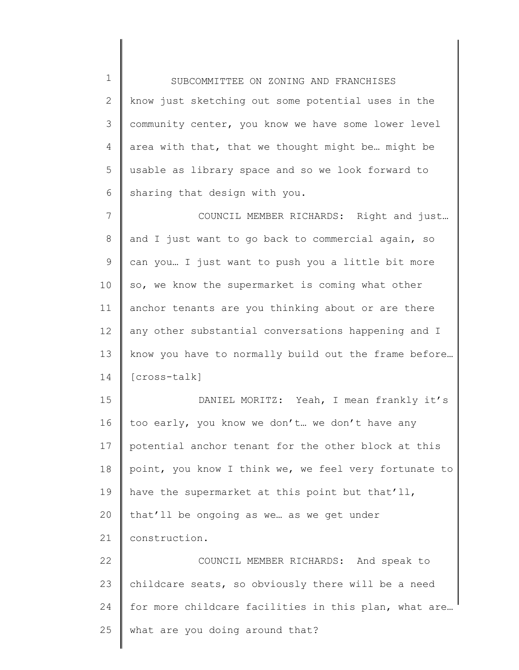1 2 3 4 5 6 SUBCOMMITTEE ON ZONING AND FRANCHISES know just sketching out some potential uses in the community center, you know we have some lower level area with that, that we thought might be… might be usable as library space and so we look forward to sharing that design with you.

7 8 9 10 11 12 13 14 COUNCIL MEMBER RICHARDS: Right and just… and I just want to go back to commercial again, so can you… I just want to push you a little bit more so, we know the supermarket is coming what other anchor tenants are you thinking about or are there any other substantial conversations happening and I know you have to normally build out the frame before… [cross-talk]

15 16 17 18 19 20 21 DANIEL MORITZ: Yeah, I mean frankly it's too early, you know we don't… we don't have any potential anchor tenant for the other block at this point, you know I think we, we feel very fortunate to have the supermarket at this point but that'll, that'll be ongoing as we… as we get under construction.

22 23 24 25 COUNCIL MEMBER RICHARDS: And speak to childcare seats, so obviously there will be a need for more childcare facilities in this plan, what are… what are you doing around that?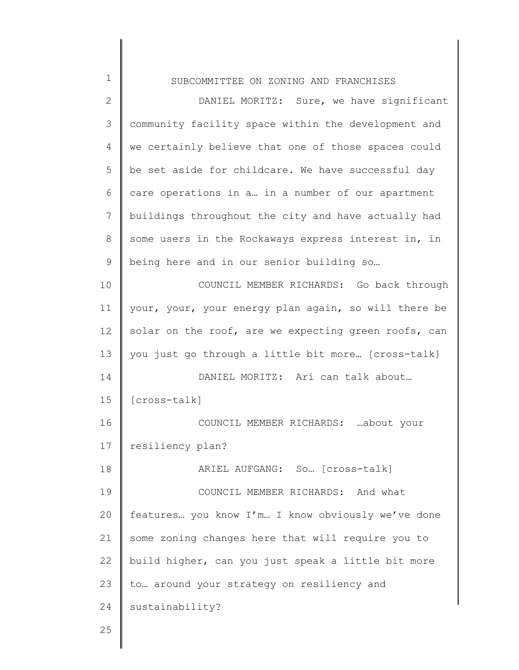| $\mathbf 1$    | SUBCOMMITTEE ON ZONING AND FRANCHISES                |
|----------------|------------------------------------------------------|
| $\mathbf{2}$   | DANIEL MORITZ: Sure, we have significant             |
| $\mathfrak{Z}$ | community facility space within the development and  |
| 4              | we certainly believe that one of those spaces could  |
| 5              | be set aside for childcare. We have successful day   |
| 6              | care operations in a in a number of our apartment    |
| 7              | buildings throughout the city and have actually had  |
| 8              | some users in the Rockaways express interest in, in  |
| $\mathcal{G}$  | being here and in our senior building so             |
| 10             | COUNCIL MEMBER RICHARDS: Go back through             |
| 11             | your, your, your energy plan again, so will there be |
| 12             | solar on the roof, are we expecting green roofs, can |
| 13             | you just go through a little bit more [cross-talk]   |
| 14             | DANIEL MORITZ: Ari can talk about                    |
| 15             | [cross-talk]                                         |
| 16             | COUNCIL MEMBER RICHARDS: about your                  |
| 17             | resiliency plan?                                     |
| 18             | ARIEL AUFGANG: So [cross-talk]                       |
| 19             | COUNCIL MEMBER RICHARDS: And what                    |
| 20             | features you know I'm I know obviously we've done    |
| 21             | some zoning changes here that will require you to    |
| 22             | build higher, can you just speak a little bit more   |
| 23             | to around your strategy on resiliency and            |
| 24             | sustainability?                                      |
| 25             |                                                      |

25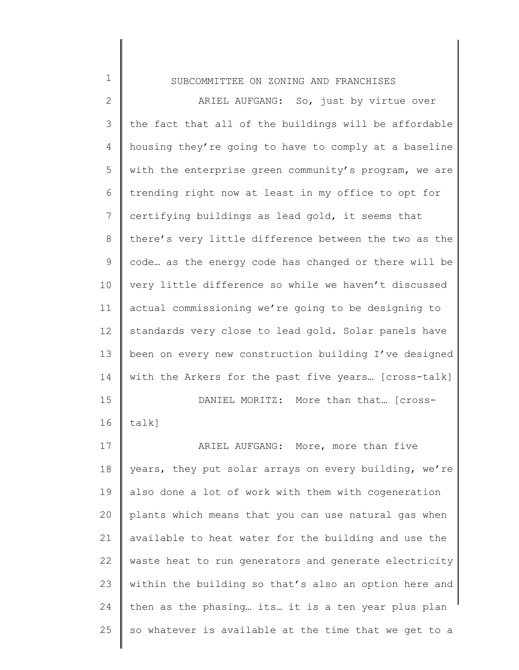| $\mathbf 1$    | SUBCOMMITTEE ON ZONING AND FRANCHISES                 |
|----------------|-------------------------------------------------------|
| $\overline{2}$ | ARIEL AUFGANG: So, just by virtue over                |
| 3              | the fact that all of the buildings will be affordable |
| $\overline{4}$ | housing they're going to have to comply at a baseline |
| 5              | with the enterprise green community's program, we are |
| 6              | trending right now at least in my office to opt for   |
| $\overline{7}$ | certifying buildings as lead gold, it seems that      |
| 8              | there's very little difference between the two as the |
| $\mathcal{G}$  | code as the energy code has changed or there will be  |
| 10             | very little difference so while we haven't discussed  |
| 11             | actual commissioning we're going to be designing to   |
| 12             | standards very close to lead gold. Solar panels have  |
| 13             | been on every new construction building I've designed |
| 14             | with the Arkers for the past five years [cross-talk]  |

15 16 DANIEL MORITZ: More than that… [crosstalk]

17 18 19 20 21 22 23 24 25 ARIEL AUFGANG: More, more than five years, they put solar arrays on every building, we're also done a lot of work with them with cogeneration plants which means that you can use natural gas when available to heat water for the building and use the waste heat to run generators and generate electricity within the building so that's also an option here and then as the phasing… its… it is a ten year plus plan so whatever is available at the time that we get to a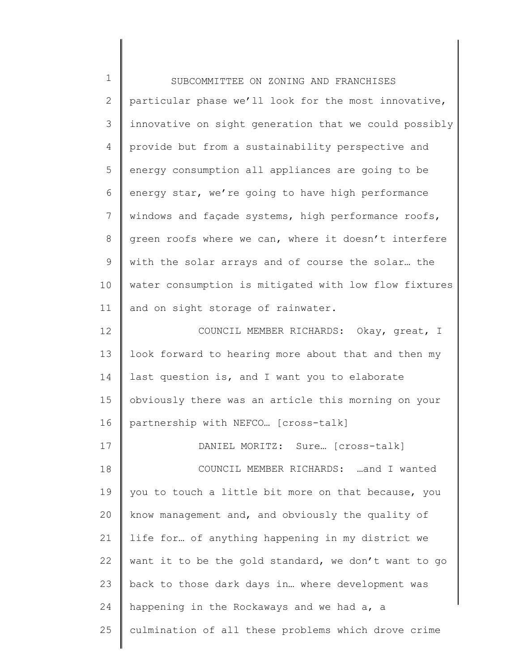| $\mathbf 1$    | SUBCOMMITTEE ON ZONING AND FRANCHISES                 |
|----------------|-------------------------------------------------------|
| $\mathbf{2}$   | particular phase we'll look for the most innovative,  |
| 3              | innovative on sight generation that we could possibly |
| 4              | provide but from a sustainability perspective and     |
| 5              | energy consumption all appliances are going to be     |
| 6              | energy star, we're going to have high performance     |
| $7\phantom{.}$ | windows and façade systems, high performance roofs,   |
| 8              | green roofs where we can, where it doesn't interfere  |
| 9              | with the solar arrays and of course the solar the     |
| 10             | water consumption is mitigated with low flow fixtures |
| 11             | and on sight storage of rainwater.                    |
| 12             | COUNCIL MEMBER RICHARDS: Okay, great, I               |
| 13             | look forward to hearing more about that and then my   |
| 14             | last question is, and I want you to elaborate         |
| 15             | obviously there was an article this morning on your   |
| 16             | partnership with NEFCO [cross-talk]                   |
| 17             | DANIEL MORITZ: Sure [cross-talk]                      |
| 18             | COUNCIL MEMBER RICHARDS: and I wanted                 |
| 19             | you to touch a little bit more on that because, you   |
| 20             | know management and, and obviously the quality of     |
| 21             | life for of anything happening in my district we      |
| 22             | want it to be the gold standard, we don't want to go  |
| 23             | back to those dark days in where development was      |
| 24             | happening in the Rockaways and we had a, a            |
| 25             | culmination of all these problems which drove crime   |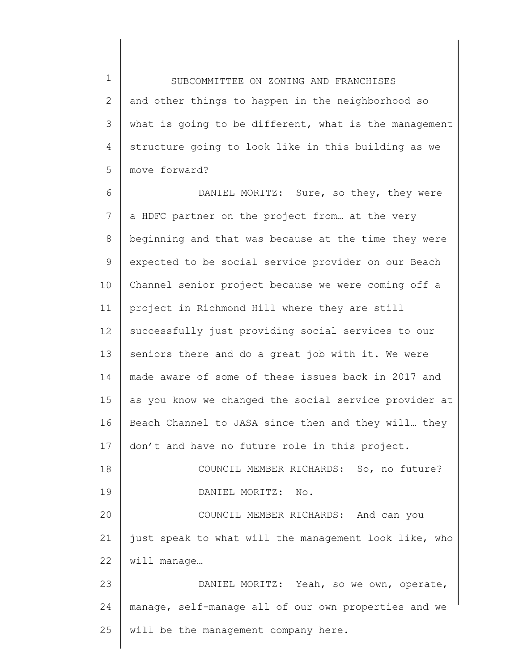1 2 3 4 5 SUBCOMMITTEE ON ZONING AND FRANCHISES and other things to happen in the neighborhood so what is going to be different, what is the management structure going to look like in this building as we move forward?

6 7 8 9 10 11 12 13 14 15 16 17 18 19 20 21 22 23 24 25 DANIEL MORITZ: Sure, so they, they were a HDFC partner on the project from… at the very beginning and that was because at the time they were expected to be social service provider on our Beach Channel senior project because we were coming off a project in Richmond Hill where they are still successfully just providing social services to our seniors there and do a great job with it. We were made aware of some of these issues back in 2017 and as you know we changed the social service provider at Beach Channel to JASA since then and they will… they don't and have no future role in this project. COUNCIL MEMBER RICHARDS: So, no future? DANIEL MORITZ: No. COUNCIL MEMBER RICHARDS: And can you just speak to what will the management look like, who will manage… DANIEL MORITZ: Yeah, so we own, operate, manage, self-manage all of our own properties and we will be the management company here.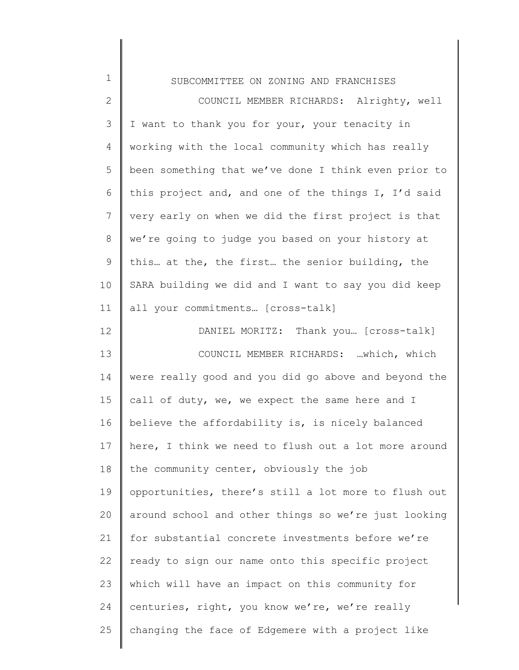| $\mathbf 1$    | SUBCOMMITTEE ON ZONING AND FRANCHISES                |
|----------------|------------------------------------------------------|
| $\mathbf{2}$   | COUNCIL MEMBER RICHARDS: Alrighty, well              |
| $\mathcal{S}$  | I want to thank you for your, your tenacity in       |
| 4              | working with the local community which has really    |
| 5              | been something that we've done I think even prior to |
| 6              | this project and, and one of the things I, I'd said  |
| $7\phantom{.}$ | very early on when we did the first project is that  |
| $\,8\,$        | we're going to judge you based on your history at    |
| $\mathsf 9$    | this at the, the first the senior building, the      |
| 10             | SARA building we did and I want to say you did keep  |
| 11             | all your commitments [cross-talk]                    |
| 12             | DANIEL MORITZ: Thank you [cross-talk]                |
| 13             | COUNCIL MEMBER RICHARDS: which, which                |
| 14             | were really good and you did go above and beyond the |
| 15             | call of duty, we, we expect the same here and I      |
| 16             | believe the affordability is, is nicely balanced     |
| 17             | here, I think we need to flush out a lot more around |
| 18             | the community center, obviously the job              |
| 19             | opportunities, there's still a lot more to flush out |
| 20             | around school and other things so we're just looking |
| 21             | for substantial concrete investments before we're    |
| 22             | ready to sign our name onto this specific project    |
| 23             | which will have an impact on this community for      |
| 24             | centuries, right, you know we're, we're really       |
| 25             | changing the face of Edgemere with a project like    |
|                |                                                      |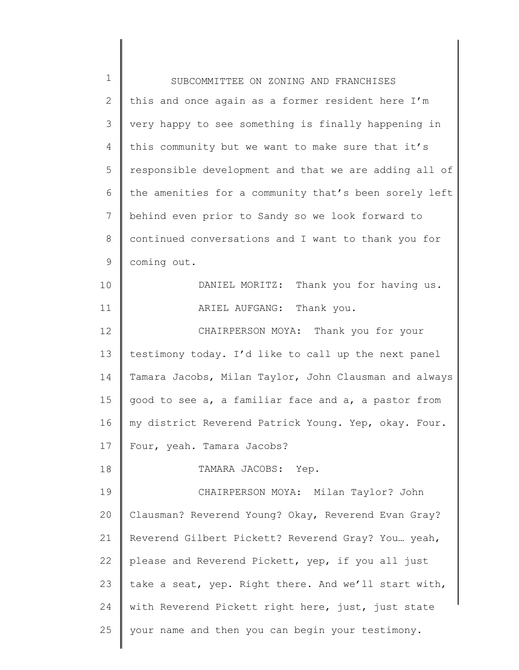| $\mathbf 1$  | SUBCOMMITTEE ON ZONING AND FRANCHISES                 |
|--------------|-------------------------------------------------------|
| $\mathbf{2}$ | this and once again as a former resident here I'm     |
| 3            | very happy to see something is finally happening in   |
| 4            | this community but we want to make sure that it's     |
| 5            | responsible development and that we are adding all of |
| 6            | the amenities for a community that's been sorely left |
| 7            | behind even prior to Sandy so we look forward to      |
| 8            | continued conversations and I want to thank you for   |
| 9            | coming out.                                           |
| 10           | DANIEL MORITZ: Thank you for having us.               |
| 11           | ARIEL AUFGANG: Thank you.                             |
| 12           | CHAIRPERSON MOYA: Thank you for your                  |
| 13           | testimony today. I'd like to call up the next panel   |
| 14           | Tamara Jacobs, Milan Taylor, John Clausman and always |
| 15           | good to see a, a familiar face and a, a pastor from   |
| 16           | my district Reverend Patrick Young. Yep, okay. Four.  |
| 17           | Four, yeah. Tamara Jacobs?                            |
| 18           | TAMARA JACOBS: Yep.                                   |
| 19           | CHAIRPERSON MOYA: Milan Taylor? John                  |
| 20           | Clausman? Reverend Young? Okay, Reverend Evan Gray?   |
| 21           | Reverend Gilbert Pickett? Reverend Gray? You yeah,    |
| 22           | please and Reverend Pickett, yep, if you all just     |
| 23           | take a seat, yep. Right there. And we'll start with,  |
| 24           | with Reverend Pickett right here, just, just state    |
| 25           | your name and then you can begin your testimony.      |
|              |                                                       |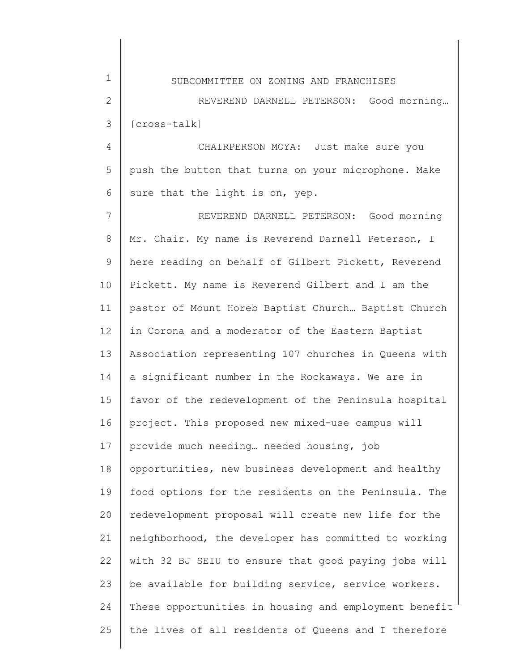1 2 3 SUBCOMMITTEE ON ZONING AND FRANCHISES REVEREND DARNELL PETERSON: Good morning... [cross-talk]

4 5 6 CHAIRPERSON MOYA: Just make sure you push the button that turns on your microphone. Make sure that the light is on, yep.

7 8 9 10 11 12 13 14 15 16 17 18 19 20 21 22 23 24 25 REVEREND DARNELL PETERSON: Good morning Mr. Chair. My name is Reverend Darnell Peterson, I here reading on behalf of Gilbert Pickett, Reverend Pickett. My name is Reverend Gilbert and I am the pastor of Mount Horeb Baptist Church… Baptist Church in Corona and a moderator of the Eastern Baptist Association representing 107 churches in Queens with a significant number in the Rockaways. We are in favor of the redevelopment of the Peninsula hospital project. This proposed new mixed-use campus will provide much needing… needed housing, job opportunities, new business development and healthy food options for the residents on the Peninsula. The redevelopment proposal will create new life for the neighborhood, the developer has committed to working with 32 BJ SEIU to ensure that good paying jobs will be available for building service, service workers. These opportunities in housing and employment benefit the lives of all residents of Queens and I therefore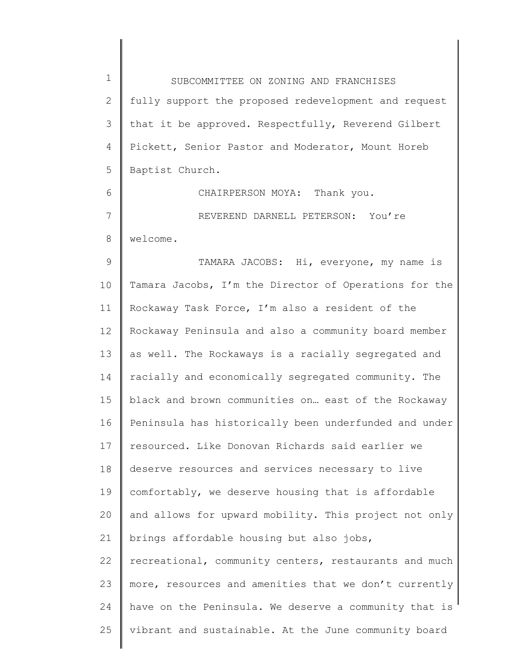| $\mathbf 1$    | SUBCOMMITTEE ON ZONING AND FRANCHISES                 |
|----------------|-------------------------------------------------------|
| 2              | fully support the proposed redevelopment and request  |
| 3              | that it be approved. Respectfully, Reverend Gilbert   |
| 4              | Pickett, Senior Pastor and Moderator, Mount Horeb     |
| 5              | Baptist Church.                                       |
| 6              | CHAIRPERSON MOYA: Thank you.                          |
| $7\phantom{.}$ | REVEREND DARNELL PETERSON: You're                     |
| 8              | welcome.                                              |
| 9              | TAMARA JACOBS: Hi, everyone, my name is               |
| 10             | Tamara Jacobs, I'm the Director of Operations for the |
| 11             | Rockaway Task Force, I'm also a resident of the       |
| 12             | Rockaway Peninsula and also a community board member  |
| 13             | as well. The Rockaways is a racially segregated and   |
| 14             | racially and economically segregated community. The   |
| 15             | black and brown communities on east of the Rockaway   |
| 16             | Peninsula has historically been underfunded and under |
| 17             | resourced. Like Donovan Richards said earlier we      |
| 18             | deserve resources and services necessary to live      |
| 19             | comfortably, we deserve housing that is affordable    |
| 20             | and allows for upward mobility. This project not only |
| 21             | brings affordable housing but also jobs,              |
| 22             | recreational, community centers, restaurants and much |
| 23             | more, resources and amenities that we don't currently |
| 24             | have on the Peninsula. We deserve a community that is |
| 25             | vibrant and sustainable. At the June community board  |
|                |                                                       |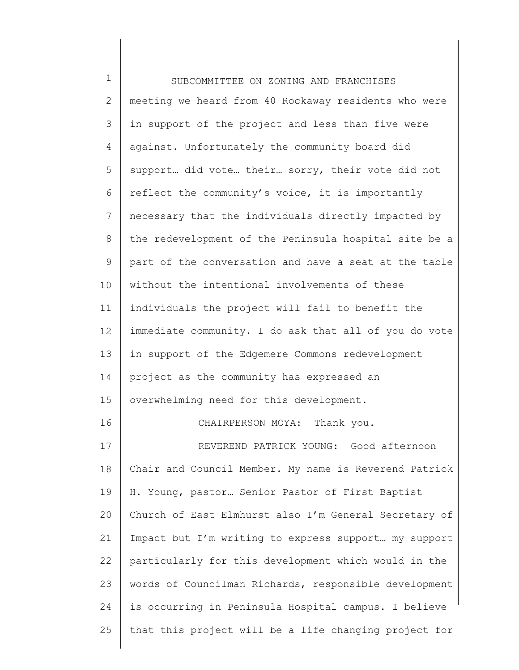| $\mathbf 1$    | SUBCOMMITTEE ON ZONING AND FRANCHISES                 |
|----------------|-------------------------------------------------------|
| 2              | meeting we heard from 40 Rockaway residents who were  |
| 3              | in support of the project and less than five were     |
| 4              | against. Unfortunately the community board did        |
| 5              | support did vote their sorry, their vote did not      |
| 6              | reflect the community's voice, it is importantly      |
| $\overline{7}$ | necessary that the individuals directly impacted by   |
| 8              | the redevelopment of the Peninsula hospital site be a |
| 9              | part of the conversation and have a seat at the table |
| 10             | without the intentional involvements of these         |
| 11             | individuals the project will fail to benefit the      |
| 12             | immediate community. I do ask that all of you do vote |
| 13             | in support of the Edgemere Commons redevelopment      |
| 14             | project as the community has expressed an             |
| 15             | overwhelming need for this development.               |
| 16             | CHAIRPERSON MOYA: Thank you.                          |
| 17             | REVEREND PATRICK YOUNG: Good afternoon                |
| 18             | Chair and Council Member. My name is Reverend Patrick |
| 19             | H. Young, pastor Senior Pastor of First Baptist       |
| 20             | Church of East Elmhurst also I'm General Secretary of |
| 21             | Impact but I'm writing to express support my support  |
| 22             | particularly for this development which would in the  |
| 23             | words of Councilman Richards, responsible development |
| 24             | is occurring in Peninsula Hospital campus. I believe  |
| 25             | that this project will be a life changing project for |
|                |                                                       |

 $\parallel$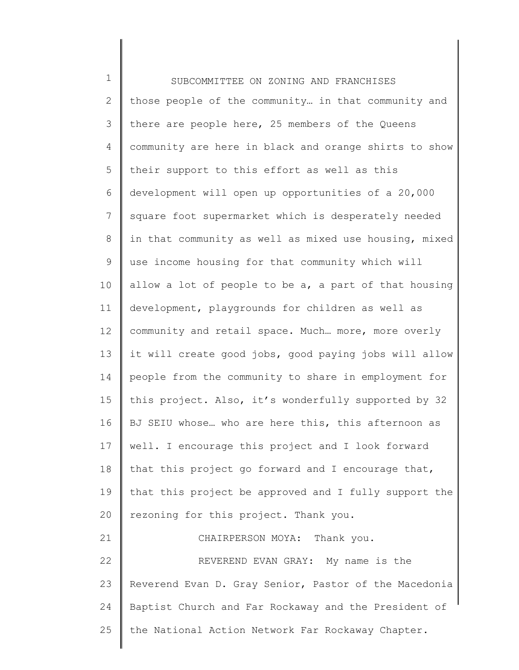1 2 3 4 5 6 7 8 9 10 11 12 13 14 15 16 17 18 19 20 21 22 23 24 25 SUBCOMMITTEE ON ZONING AND FRANCHISES those people of the community... in that community and there are people here, 25 members of the Queens community are here in black and orange shirts to show their support to this effort as well as this development will open up opportunities of a 20,000 square foot supermarket which is desperately needed in that community as well as mixed use housing, mixed use income housing for that community which will allow a lot of people to be a, a part of that housing development, playgrounds for children as well as community and retail space. Much… more, more overly it will create good jobs, good paying jobs will allow people from the community to share in employment for this project. Also, it's wonderfully supported by 32 BJ SEIU whose… who are here this, this afternoon as well. I encourage this project and I look forward that this project go forward and I encourage that, that this project be approved and I fully support the rezoning for this project. Thank you. CHAIRPERSON MOYA: Thank you. REVEREND EVAN GRAY: My name is the Reverend Evan D. Gray Senior, Pastor of the Macedonia Baptist Church and Far Rockaway and the President of the National Action Network Far Rockaway Chapter.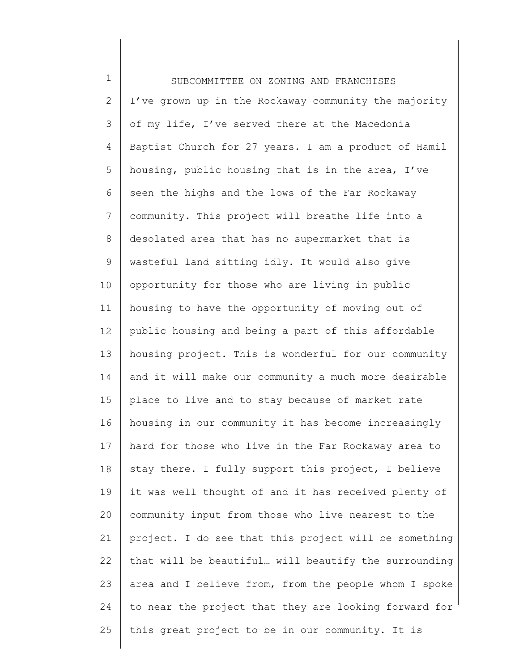1 2 3 4 5 6 7 8 9 10 11 12 13 14 15 16 17 18 19 20 21 22 23 24 25 SUBCOMMITTEE ON ZONING AND FRANCHISES I've grown up in the Rockaway community the majority of my life, I've served there at the Macedonia Baptist Church for 27 years. I am a product of Hamil housing, public housing that is in the area, I've seen the highs and the lows of the Far Rockaway community. This project will breathe life into a desolated area that has no supermarket that is wasteful land sitting idly. It would also give opportunity for those who are living in public housing to have the opportunity of moving out of public housing and being a part of this affordable housing project. This is wonderful for our community and it will make our community a much more desirable place to live and to stay because of market rate housing in our community it has become increasingly hard for those who live in the Far Rockaway area to stay there. I fully support this project, I believe it was well thought of and it has received plenty of community input from those who live nearest to the project. I do see that this project will be something that will be beautiful… will beautify the surrounding area and I believe from, from the people whom I spoke to near the project that they are looking forward for this great project to be in our community. It is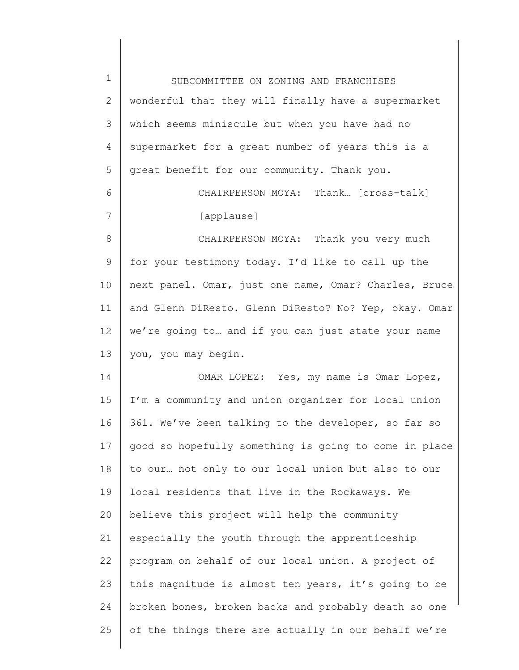| $\mathbf 1$   | SUBCOMMITTEE ON ZONING AND FRANCHISES                 |
|---------------|-------------------------------------------------------|
| $\mathbf{2}$  | wonderful that they will finally have a supermarket   |
| $\mathcal{S}$ | which seems miniscule but when you have had no        |
| 4             | supermarket for a great number of years this is a     |
| 5             | great benefit for our community. Thank you.           |
| 6             | CHAIRPERSON MOYA: Thank [cross-talk]                  |
| 7             | [applause]                                            |
| $\,8\,$       | CHAIRPERSON MOYA: Thank you very much                 |
| $\mathsf 9$   | for your testimony today. I'd like to call up the     |
| 10            | next panel. Omar, just one name, Omar? Charles, Bruce |
| 11            | and Glenn DiResto. Glenn DiResto? No? Yep, okay. Omar |
| 12            | we're going to and if you can just state your name    |
| 13            | you, you may begin.                                   |
| 14            | OMAR LOPEZ: Yes, my name is Omar Lopez,               |
| 15            | I'm a community and union organizer for local union   |
| 16            | 361. We've been talking to the developer, so far so   |
| 17            | good so hopefully something is going to come in place |
| 18            | to our not only to our local union but also to our    |
| 19            | local residents that live in the Rockaways. We        |
| 20            | believe this project will help the community          |
| 21            | especially the youth through the apprenticeship       |
| 22            | program on behalf of our local union. A project of    |
| 23            | this magnitude is almost ten years, it's going to be  |
| 24            | broken bones, broken backs and probably death so one  |
| 25            | of the things there are actually in our behalf we're  |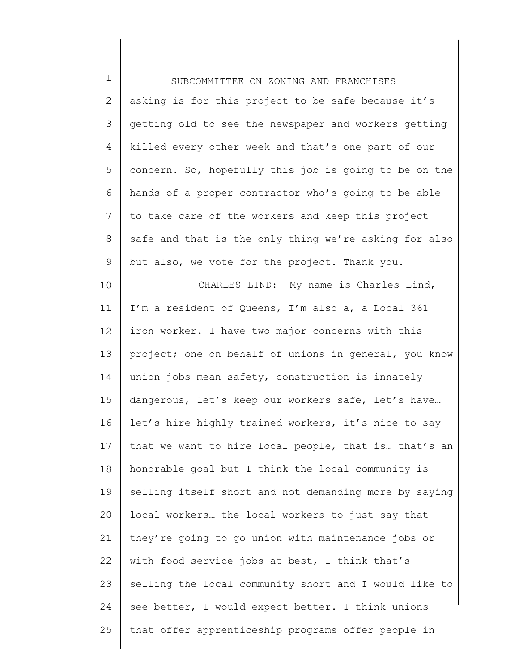1 2 3 4 5 6 7 8 9 10 11 12 13 14 15 16 17 18 19 20 21 22 23 24 25 SUBCOMMITTEE ON ZONING AND FRANCHISES asking is for this project to be safe because it's getting old to see the newspaper and workers getting killed every other week and that's one part of our concern. So, hopefully this job is going to be on the hands of a proper contractor who's going to be able to take care of the workers and keep this project safe and that is the only thing we're asking for also but also, we vote for the project. Thank you. CHARLES LIND: My name is Charles Lind, I'm a resident of Queens, I'm also a, a Local 361 iron worker. I have two major concerns with this project; one on behalf of unions in general, you know union jobs mean safety, construction is innately dangerous, let's keep our workers safe, let's have… let's hire highly trained workers, it's nice to say that we want to hire local people, that is… that's an honorable goal but I think the local community is selling itself short and not demanding more by saying local workers… the local workers to just say that they're going to go union with maintenance jobs or with food service jobs at best, I think that's selling the local community short and I would like to see better, I would expect better. I think unions that offer apprenticeship programs offer people in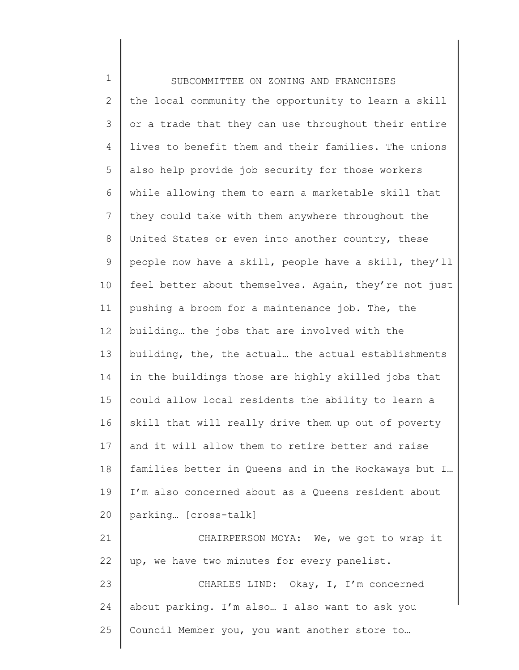| $\mathbf 1$     | SUBCOMMITTEE ON ZONING AND FRANCHISES                 |
|-----------------|-------------------------------------------------------|
| $\mathbf{2}$    | the local community the opportunity to learn a skill  |
| 3               | or a trade that they can use throughout their entire  |
| 4               | lives to benefit them and their families. The unions  |
| 5               | also help provide job security for those workers      |
| 6               | while allowing them to earn a marketable skill that   |
| $7\phantom{.0}$ | they could take with them anywhere throughout the     |
| 8               | United States or even into another country, these     |
| 9               | people now have a skill, people have a skill, they'll |
| 10              | feel better about themselves. Again, they're not just |
| 11              | pushing a broom for a maintenance job. The, the       |
| 12 <sup>°</sup> | building the jobs that are involved with the          |
| 13              | building, the, the actual the actual establishments   |
| 14              | in the buildings those are highly skilled jobs that   |
| 15              | could allow local residents the ability to learn a    |
| 16              | skill that will really drive them up out of poverty   |
| 17              | and it will allow them to retire better and raise     |
| 18              | families better in Queens and in the Rockaways but I  |
| 19              | I'm also concerned about as a Queens resident about   |
| 20              | parking [cross-talk]                                  |
| 21              | CHAIRPERSON MOYA: We, we got to wrap it               |
| 22              | up, we have two minutes for every panelist.           |
| 23              | CHARLES LIND: Okay, I, I'm concerned                  |
| 24              | about parking. I'm also  I also want to ask you       |
| 25              | Council Member you, you want another store to         |
|                 |                                                       |

∥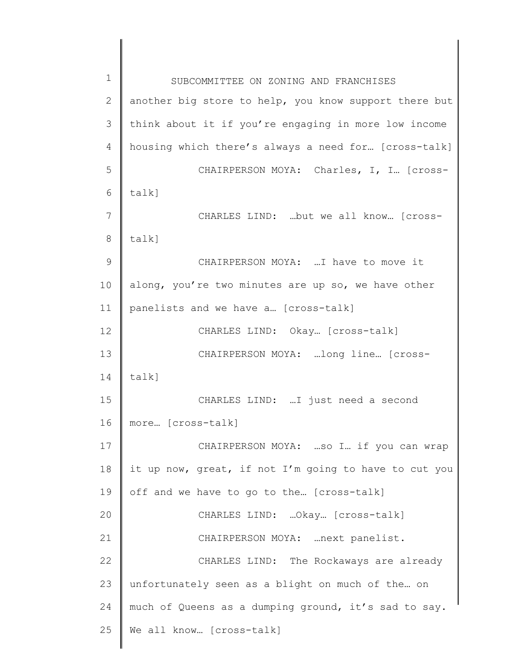1 2 3 4 5 6 7 8 9 10 11 12 13 14 15 16 17 18 19 20 21 22 23 24 25 SUBCOMMITTEE ON ZONING AND FRANCHISES another big store to help, you know support there but think about it if you're engaging in more low income housing which there's always a need for… [cross-talk] CHAIRPERSON MOYA: Charles, I, I… [crosstalk] CHARLES LIND: …but we all know… [crosstalk] CHAIRPERSON MOYA: …I have to move it along, you're two minutes are up so, we have other panelists and we have a… [cross-talk] CHARLES LIND: Okay… [cross-talk] CHAIRPERSON MOYA: …long line… [crosstalk] CHARLES LIND: …I just need a second more… [cross-talk] CHAIRPERSON MOYA: …so I… if you can wrap it up now, great, if not I'm going to have to cut you off and we have to go to the… [cross-talk] CHARLES LIND: …Okay… [cross-talk] CHAIRPERSON MOYA: …next panelist. CHARLES LIND: The Rockaways are already unfortunately seen as a blight on much of the… on much of Queens as a dumping ground, it's sad to say. We all know… [cross-talk]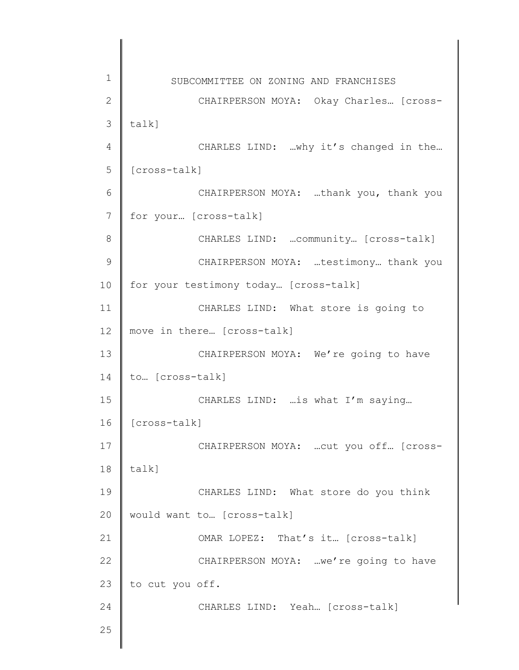1 2 3 4 5 6 7 8 9 10 11 12 13 14 15 16 17 18 19 20 21 22 23 24 25 SUBCOMMITTEE ON ZONING AND FRANCHISES CHAIRPERSON MOYA: Okay Charles... [crosstalk] CHARLES LIND: …why it's changed in the… [cross-talk] CHAIRPERSON MOYA: …thank you, thank you for your… [cross-talk] CHARLES LIND: …community… [cross-talk] CHAIRPERSON MOYA: …testimony… thank you for your testimony today… [cross-talk] CHARLES LIND: What store is going to move in there… [cross-talk] CHAIRPERSON MOYA: We're going to have to… [cross-talk] CHARLES LIND: …is what I'm saying… [cross-talk] CHAIRPERSON MOYA: …cut you off… [crosstalk] CHARLES LIND: What store do you think would want to… [cross-talk] OMAR LOPEZ: That's it… [cross-talk] CHAIRPERSON MOYA: …we're going to have to cut you off. CHARLES LIND: Yeah… [cross-talk]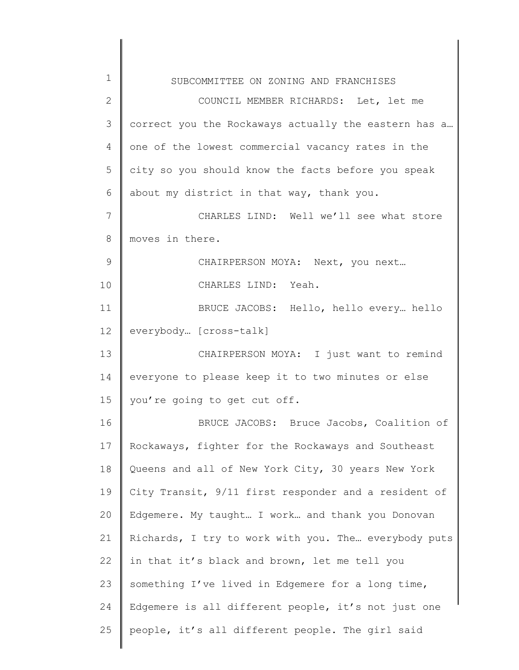| $\mathbf 1$     | SUBCOMMITTEE ON ZONING AND FRANCHISES                |
|-----------------|------------------------------------------------------|
| 2               | COUNCIL MEMBER RICHARDS: Let, let me                 |
| 3               | correct you the Rockaways actually the eastern has a |
| 4               | one of the lowest commercial vacancy rates in the    |
| 5               | city so you should know the facts before you speak   |
| 6               | about my district in that way, thank you.            |
| 7               | CHARLES LIND: Well we'll see what store              |
| 8               | moves in there.                                      |
| 9               | CHAIRPERSON MOYA: Next, you next                     |
| 10              | CHARLES LIND: Yeah.                                  |
| 11              | BRUCE JACOBS: Hello, hello every hello               |
| 12              | everybody [cross-talk]                               |
| 13              | CHAIRPERSON MOYA: I just want to remind              |
| 14              | everyone to please keep it to two minutes or else    |
| 15 <sub>1</sub> | you're going to get cut off.                         |
| 16              | BRUCE JACOBS: Bruce Jacobs, Coalition of             |
| 17              | Rockaways, fighter for the Rockaways and Southeast   |
| 18              | Queens and all of New York City, 30 years New York   |
| 19              | City Transit, 9/11 first responder and a resident of |
| 20              | Edgemere. My taught I work and thank you Donovan     |
| 21              | Richards, I try to work with you. The everybody puts |
| 22              | in that it's black and brown, let me tell you        |
| 23              | something I've lived in Edgemere for a long time,    |
| 24              | Edgemere is all different people, it's not just one  |
| 25              | people, it's all different people. The girl said     |
|                 |                                                      |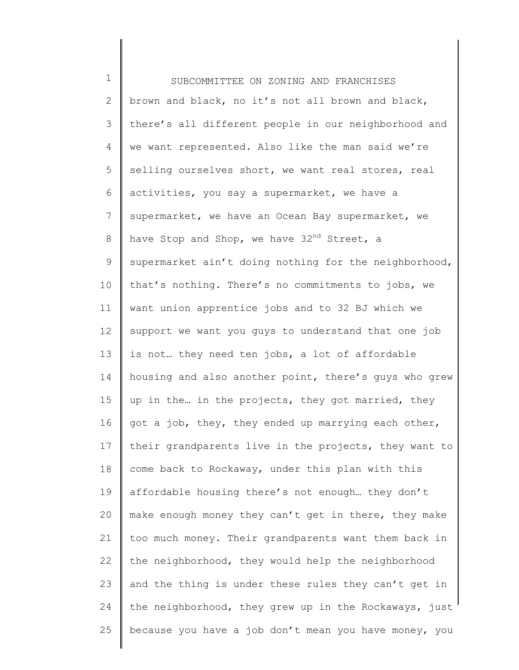1 2 3 4 5 6 7 8 9 10 11 12 13 14 15 16 17 18 19 20 21 22 23 24 25 SUBCOMMITTEE ON ZONING AND FRANCHISES brown and black, no it's not all brown and black, there's all different people in our neighborhood and we want represented. Also like the man said we're selling ourselves short, we want real stores, real activities, you say a supermarket, we have a supermarket, we have an Ocean Bay supermarket, we have Stop and Shop, we have 32<sup>nd</sup> Street, a supermarket ain't doing nothing for the neighborhood, that's nothing. There's no commitments to jobs, we want union apprentice jobs and to 32 BJ which we support we want you guys to understand that one job is not… they need ten jobs, a lot of affordable housing and also another point, there's guys who grew up in the… in the projects, they got married, they got a job, they, they ended up marrying each other, their grandparents live in the projects, they want to come back to Rockaway, under this plan with this affordable housing there's not enough… they don't make enough money they can't get in there, they make too much money. Their grandparents want them back in the neighborhood, they would help the neighborhood and the thing is under these rules they can't get in the neighborhood, they grew up in the Rockaways, just because you have a job don't mean you have money, you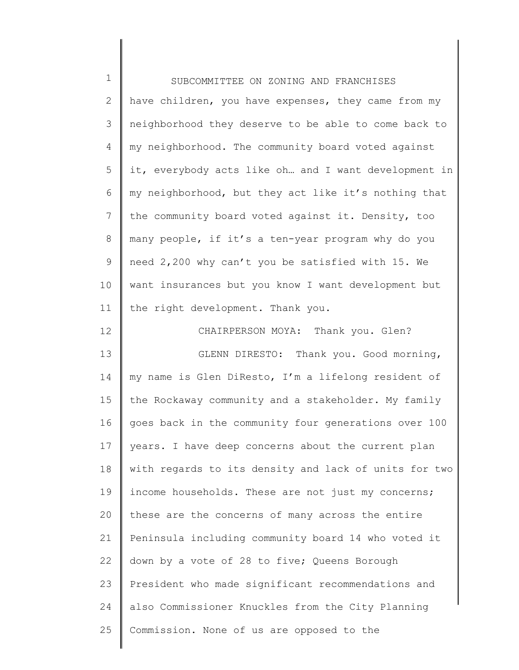| $\mathbf 1$    | SUBCOMMITTEE ON ZONING AND FRANCHISES                 |
|----------------|-------------------------------------------------------|
| $\mathbf{2}$   | have children, you have expenses, they came from my   |
| 3              | neighborhood they deserve to be able to come back to  |
| 4              | my neighborhood. The community board voted against    |
| 5              | it, everybody acts like oh and I want development in  |
| 6              | my neighborhood, but they act like it's nothing that  |
| $\overline{7}$ | the community board voted against it. Density, too    |
| 8              | many people, if it's a ten-year program why do you    |
| 9              | need 2,200 why can't you be satisfied with 15. We     |
| 10             | want insurances but you know I want development but   |
| 11             | the right development. Thank you.                     |
| 12             | CHAIRPERSON MOYA: Thank you. Glen?                    |
| 13             | GLENN DIRESTO: Thank you. Good morning,               |
| 14             | my name is Glen DiResto, I'm a lifelong resident of   |
| 15             | the Rockaway community and a stakeholder. My family   |
| 16             | goes back in the community four generations over 100  |
| 17             | years. I have deep concerns about the current plan    |
| 18             | with regards to its density and lack of units for two |
| 19             | income households. These are not just my concerns;    |
| 20             | these are the concerns of many across the entire      |
| 21             | Peninsula including community board 14 who voted it   |
| 22             | down by a vote of 28 to five; Queens Borough          |
| 23             | President who made significant recommendations and    |
| 24             | also Commissioner Knuckles from the City Planning     |
| 25             | Commission. None of us are opposed to the             |
|                |                                                       |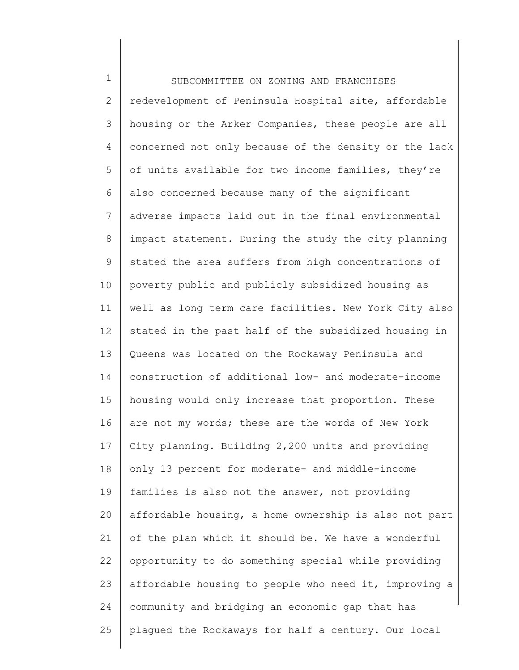1 2 3 4 5 6 7 8 9 10 11 12 13 14 15 16 17 18 19 20 21 22 23 24 25 SUBCOMMITTEE ON ZONING AND FRANCHISES redevelopment of Peninsula Hospital site, affordable housing or the Arker Companies, these people are all concerned not only because of the density or the lack of units available for two income families, they're also concerned because many of the significant adverse impacts laid out in the final environmental impact statement. During the study the city planning stated the area suffers from high concentrations of poverty public and publicly subsidized housing as well as long term care facilities. New York City also stated in the past half of the subsidized housing in Queens was located on the Rockaway Peninsula and construction of additional low- and moderate-income housing would only increase that proportion. These are not my words; these are the words of New York City planning. Building 2,200 units and providing only 13 percent for moderate- and middle-income families is also not the answer, not providing affordable housing, a home ownership is also not part of the plan which it should be. We have a wonderful opportunity to do something special while providing affordable housing to people who need it, improving a community and bridging an economic gap that has plagued the Rockaways for half a century. Our local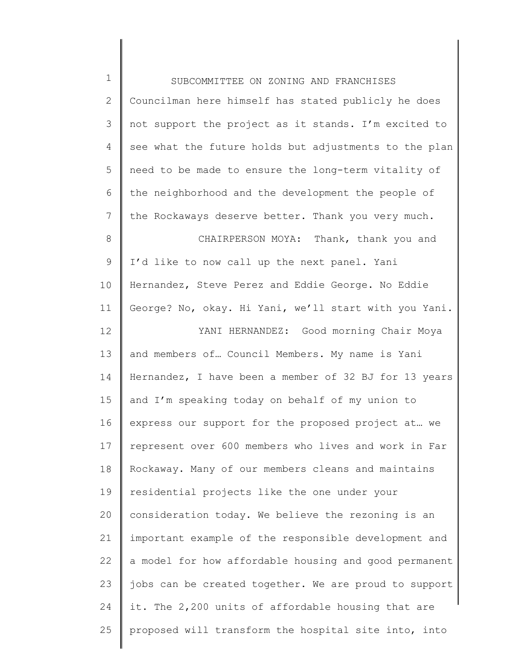| $\mathbf 1$    | SUBCOMMITTEE ON ZONING AND FRANCHISES                 |
|----------------|-------------------------------------------------------|
| $\mathbf{2}$   | Councilman here himself has stated publicly he does   |
| 3              | not support the project as it stands. I'm excited to  |
| 4              | see what the future holds but adjustments to the plan |
| 5              | need to be made to ensure the long-term vitality of   |
| 6              | the neighborhood and the development the people of    |
| $\overline{7}$ | the Rockaways deserve better. Thank you very much.    |
| 8              | CHAIRPERSON MOYA: Thank, thank you and                |
| 9              | I'd like to now call up the next panel. Yani          |
| 10             | Hernandez, Steve Perez and Eddie George. No Eddie     |
| 11             | George? No, okay. Hi Yani, we'll start with you Yani. |
| 12             | YANI HERNANDEZ: Good morning Chair Moya               |
| 13             | and members of Council Members. My name is Yani       |
| 14             | Hernandez, I have been a member of 32 BJ for 13 years |
| 15             | and I'm speaking today on behalf of my union to       |
| 16             | express our support for the proposed project at we    |
| 17             | represent over 600 members who lives and work in Far  |
| 18             | Rockaway. Many of our members cleans and maintains    |
| 19             | residential projects like the one under your          |
| 20             | consideration today. We believe the rezoning is an    |
| 21             | important example of the responsible development and  |
| 22             | a model for how affordable housing and good permanent |
| 23             | jobs can be created together. We are proud to support |
| 24             | it. The 2,200 units of affordable housing that are    |
| 25             | proposed will transform the hospital site into, into  |
|                |                                                       |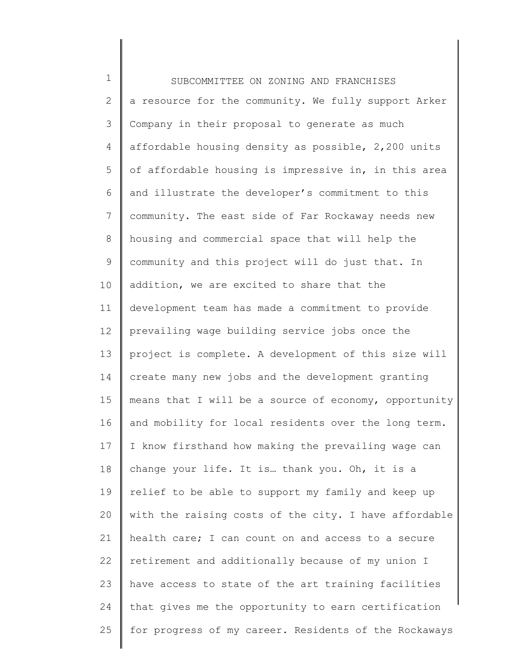1 2 3 4 5 6 7 8 9 10 11 12 13 14 15 16 17 18 19 20 21 22 23 24 25 SUBCOMMITTEE ON ZONING AND FRANCHISES a resource for the community. We fully support Arker Company in their proposal to generate as much affordable housing density as possible, 2,200 units of affordable housing is impressive in, in this area and illustrate the developer's commitment to this community. The east side of Far Rockaway needs new housing and commercial space that will help the community and this project will do just that. In addition, we are excited to share that the development team has made a commitment to provide prevailing wage building service jobs once the project is complete. A development of this size will create many new jobs and the development granting means that I will be a source of economy, opportunity and mobility for local residents over the long term. I know firsthand how making the prevailing wage can change your life. It is… thank you. Oh, it is a relief to be able to support my family and keep up with the raising costs of the city. I have affordable health care; I can count on and access to a secure retirement and additionally because of my union I have access to state of the art training facilities that gives me the opportunity to earn certification for progress of my career. Residents of the Rockaways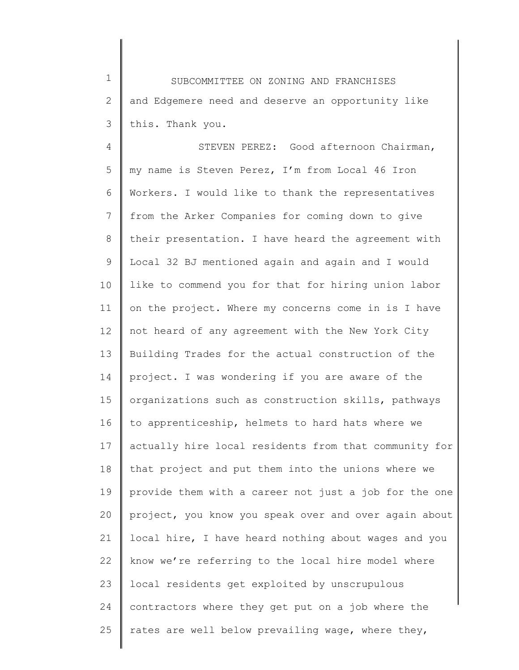1 2 3 SUBCOMMITTEE ON ZONING AND FRANCHISES and Edgemere need and deserve an opportunity like this. Thank you.

4 5 6 7 8 9 10 11 12 13 14 15 16 17 18 19 20 21 22 23 24 25 STEVEN PEREZ: Good afternoon Chairman, my name is Steven Perez, I'm from Local 46 Iron Workers. I would like to thank the representatives from the Arker Companies for coming down to give their presentation. I have heard the agreement with Local 32 BJ mentioned again and again and I would like to commend you for that for hiring union labor on the project. Where my concerns come in is I have not heard of any agreement with the New York City Building Trades for the actual construction of the project. I was wondering if you are aware of the organizations such as construction skills, pathways to apprenticeship, helmets to hard hats where we actually hire local residents from that community for that project and put them into the unions where we provide them with a career not just a job for the one project, you know you speak over and over again about local hire, I have heard nothing about wages and you know we're referring to the local hire model where local residents get exploited by unscrupulous contractors where they get put on a job where the rates are well below prevailing wage, where they,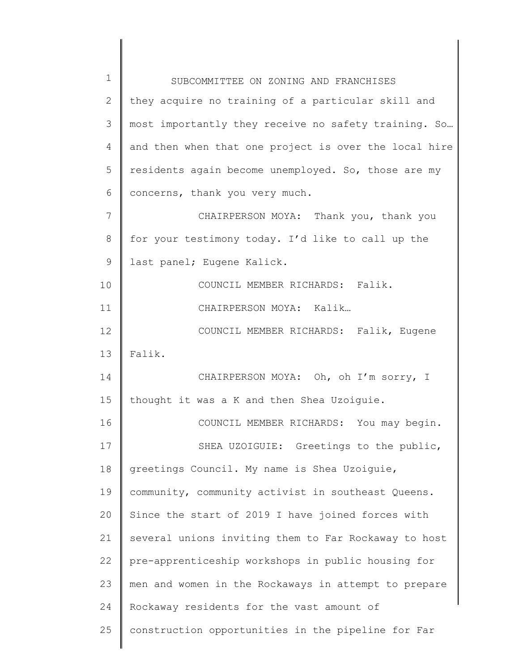1 2 3 4 5 6 7 8 9 10 11 12 13 14 15 16 17 18 19 20 21 22 23 24 25 SUBCOMMITTEE ON ZONING AND FRANCHISES they acquire no training of a particular skill and most importantly they receive no safety training. So… and then when that one project is over the local hire residents again become unemployed. So, those are my concerns, thank you very much. CHAIRPERSON MOYA: Thank you, thank you for your testimony today. I'd like to call up the last panel; Eugene Kalick. COUNCIL MEMBER RICHARDS: Falik. CHAIRPERSON MOYA: Kalik… COUNCIL MEMBER RICHARDS: Falik, Eugene Falik. CHAIRPERSON MOYA: Oh, oh I'm sorry, I thought it was a K and then Shea Uzoiguie. COUNCIL MEMBER RICHARDS: You may begin. SHEA UZOIGUIE: Greetings to the public, greetings Council. My name is Shea Uzoiguie, community, community activist in southeast Queens. Since the start of 2019 I have joined forces with several unions inviting them to Far Rockaway to host pre-apprenticeship workshops in public housing for men and women in the Rockaways in attempt to prepare Rockaway residents for the vast amount of construction opportunities in the pipeline for Far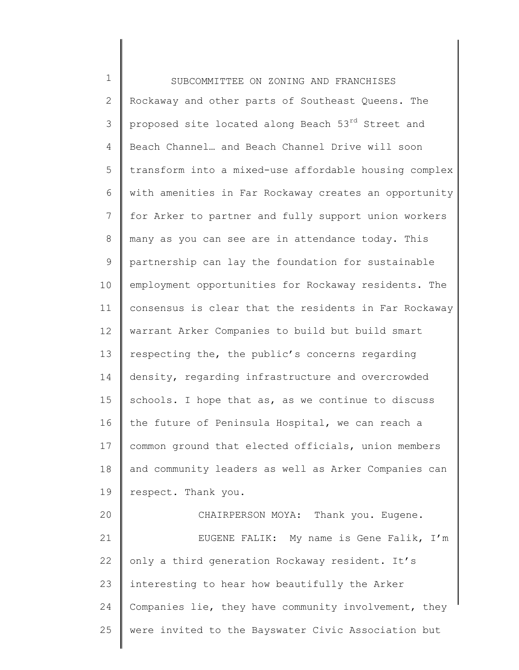1 2 3 4 5 6 7 8 9 10 11 12 13 14 15 16 17 18 19 20 21 22 23 24 25 SUBCOMMITTEE ON ZONING AND FRANCHISES Rockaway and other parts of Southeast Queens. The proposed site located along Beach 53rd Street and Beach Channel… and Beach Channel Drive will soon transform into a mixed-use affordable housing complex with amenities in Far Rockaway creates an opportunity for Arker to partner and fully support union workers many as you can see are in attendance today. This partnership can lay the foundation for sustainable employment opportunities for Rockaway residents. The consensus is clear that the residents in Far Rockaway warrant Arker Companies to build but build smart respecting the, the public's concerns regarding density, regarding infrastructure and overcrowded schools. I hope that as, as we continue to discuss the future of Peninsula Hospital, we can reach a common ground that elected officials, union members and community leaders as well as Arker Companies can respect. Thank you. CHAIRPERSON MOYA: Thank you. Eugene. EUGENE FALIK: My name is Gene Falik, I'm only a third generation Rockaway resident. It's interesting to hear how beautifully the Arker Companies lie, they have community involvement, they were invited to the Bayswater Civic Association but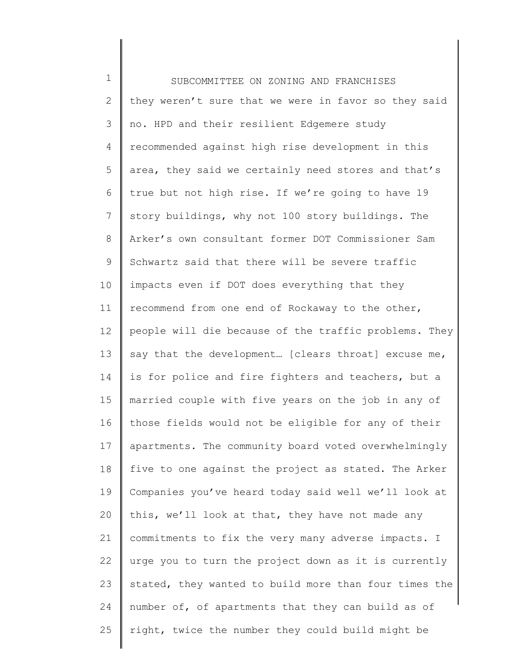1 2 3 4 5 6 7 8 9 10 11 12 13 14 15 16 17 18 19 20 21 22 23 24 25 SUBCOMMITTEE ON ZONING AND FRANCHISES they weren't sure that we were in favor so they said no. HPD and their resilient Edgemere study recommended against high rise development in this area, they said we certainly need stores and that's true but not high rise. If we're going to have 19 story buildings, why not 100 story buildings. The Arker's own consultant former DOT Commissioner Sam Schwartz said that there will be severe traffic impacts even if DOT does everything that they recommend from one end of Rockaway to the other, people will die because of the traffic problems. They say that the development... [clears throat] excuse me, is for police and fire fighters and teachers, but a married couple with five years on the job in any of those fields would not be eligible for any of their apartments. The community board voted overwhelmingly five to one against the project as stated. The Arker Companies you've heard today said well we'll look at this, we'll look at that, they have not made any commitments to fix the very many adverse impacts. I urge you to turn the project down as it is currently stated, they wanted to build more than four times the number of, of apartments that they can build as of right, twice the number they could build might be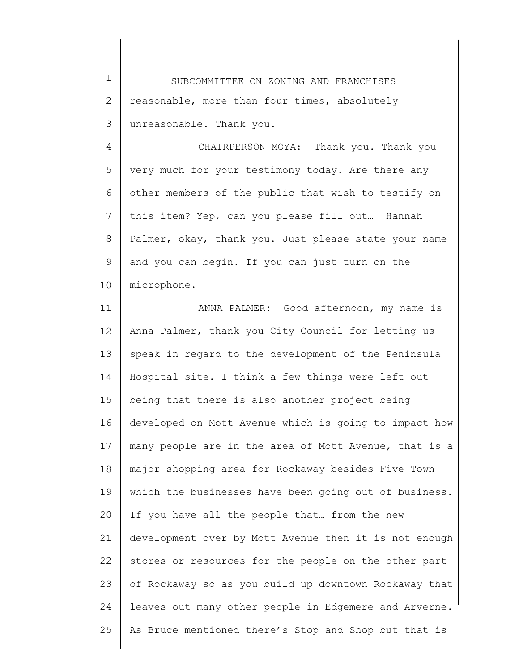1 2 3 SUBCOMMITTEE ON ZONING AND FRANCHISES reasonable, more than four times, absolutely unreasonable. Thank you.

4 5 6 7 8 9 10 CHAIRPERSON MOYA: Thank you. Thank you very much for your testimony today. Are there any other members of the public that wish to testify on this item? Yep, can you please fill out… Hannah Palmer, okay, thank you. Just please state your name and you can begin. If you can just turn on the microphone.

11 12 13 14 15 16 17 18 19 20 21 22 23 24 25 ANNA PALMER: Good afternoon, my name is Anna Palmer, thank you City Council for letting us speak in regard to the development of the Peninsula Hospital site. I think a few things were left out being that there is also another project being developed on Mott Avenue which is going to impact how many people are in the area of Mott Avenue, that is a major shopping area for Rockaway besides Five Town which the businesses have been going out of business. If you have all the people that… from the new development over by Mott Avenue then it is not enough stores or resources for the people on the other part of Rockaway so as you build up downtown Rockaway that leaves out many other people in Edgemere and Arverne. As Bruce mentioned there's Stop and Shop but that is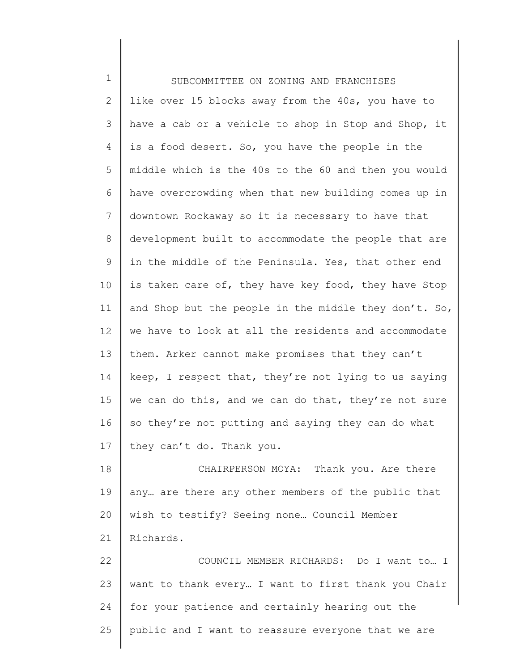1 2 3 4 5 6 7 8 9 10 11 12 13 14 15 16 17 18 19 20 21 22 23 24 25 SUBCOMMITTEE ON ZONING AND FRANCHISES like over 15 blocks away from the 40s, you have to have a cab or a vehicle to shop in Stop and Shop, it is a food desert. So, you have the people in the middle which is the 40s to the 60 and then you would have overcrowding when that new building comes up in downtown Rockaway so it is necessary to have that development built to accommodate the people that are in the middle of the Peninsula. Yes, that other end is taken care of, they have key food, they have Stop and Shop but the people in the middle they don't. So, we have to look at all the residents and accommodate them. Arker cannot make promises that they can't keep, I respect that, they're not lying to us saying we can do this, and we can do that, they're not sure so they're not putting and saying they can do what they can't do. Thank you. CHAIRPERSON MOYA: Thank you. Are there any… are there any other members of the public that wish to testify? Seeing none… Council Member Richards. COUNCIL MEMBER RICHARDS: Do I want to… I want to thank every… I want to first thank you Chair for your patience and certainly hearing out the public and I want to reassure everyone that we are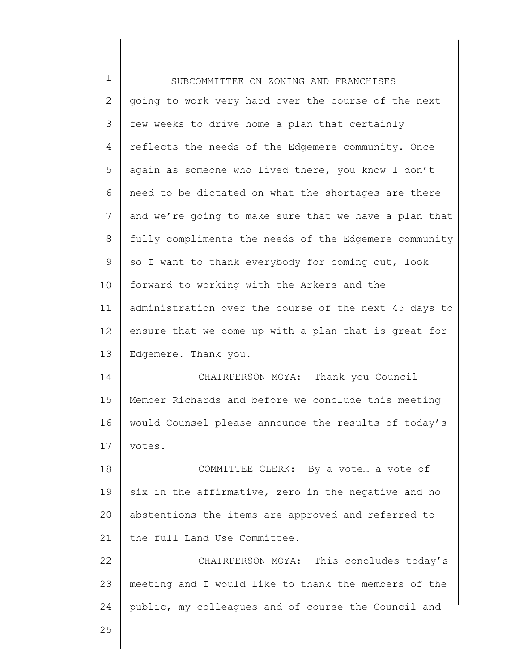| $\mathbf 1$  | SUBCOMMITTEE ON ZONING AND FRANCHISES                 |
|--------------|-------------------------------------------------------|
| $\mathbf{2}$ | going to work very hard over the course of the next   |
| 3            | few weeks to drive home a plan that certainly         |
| 4            | reflects the needs of the Edgemere community. Once    |
| 5            | again as someone who lived there, you know I don't    |
| 6            | need to be dictated on what the shortages are there   |
| 7            | and we're going to make sure that we have a plan that |
| 8            | fully compliments the needs of the Edgemere community |
| $\mathsf 9$  | so I want to thank everybody for coming out, look     |
| 10           | forward to working with the Arkers and the            |
| 11           | administration over the course of the next 45 days to |
| 12           | ensure that we come up with a plan that is great for  |
| 13           | Edgemere. Thank you.                                  |
| 14           | CHAIRPERSON MOYA: Thank you Council                   |
| 15           | Member Richards and before we conclude this meeting   |
| 16           | would Counsel please announce the results of today's  |
| 17           | votes.                                                |
| 18           | COMMITTEE CLERK: By a vote a vote of                  |
| 19           | six in the affirmative, zero in the negative and no   |
| 20           | abstentions the items are approved and referred to    |
| 21           | the full Land Use Committee.                          |
| 22           | CHAIRPERSON MOYA: This concludes today's              |
| 23           | meeting and I would like to thank the members of the  |
| 24           | public, my colleagues and of course the Council and   |
| 25           |                                                       |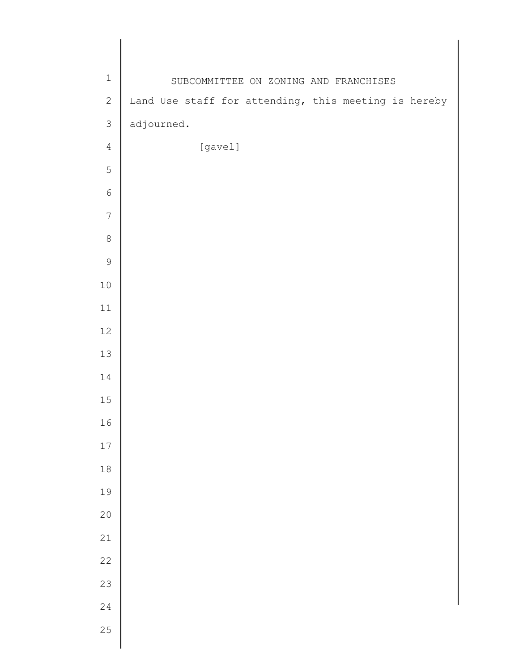| $\ensuremath{\mathbbm{1}}$ | SUBCOMMITTEE ON ZONING AND FRANCHISES                |
|----------------------------|------------------------------------------------------|
| $\sqrt{2}$                 | Land Use staff for attending, this meeting is hereby |
| $\mathfrak{Z}$             | adjourned.                                           |
| $\overline{4}$             | [gavel]                                              |
| $\mathsf S$                |                                                      |
| $\sqrt{6}$                 |                                                      |
| $\boldsymbol{7}$           |                                                      |
| $\,8\,$                    |                                                      |
| $\mathcal{G}$              |                                                      |
| $1\,0$                     |                                                      |
| $11\,$                     |                                                      |
| $12\,$                     |                                                      |
| $13$                       |                                                      |
| 14                         |                                                      |
| $15\,$                     |                                                      |
| 16                         |                                                      |
| $17$                       |                                                      |
| $1\,8$                     |                                                      |
| 19                         |                                                      |
| 20                         |                                                      |
| 21                         |                                                      |
| 22                         |                                                      |
| 23                         |                                                      |
| $2\sqrt{4}$                |                                                      |
| 25                         |                                                      |